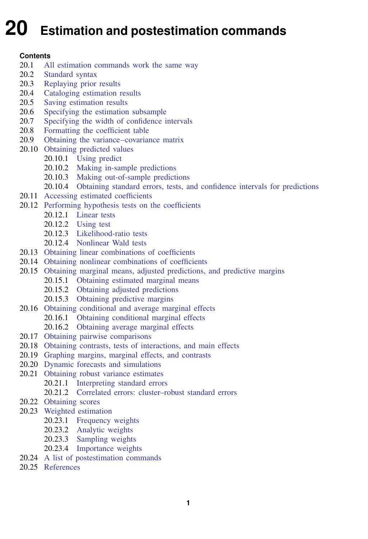# <span id="page-0-0"></span>**20 Estimation and postestimation commands**

## **Contents**

- 20.1 [All estimation commands work the same way](#page-1-0)<br>20.2 Standard syntax
- 20.2 [Standard syntax](#page-3-0)<br>20.3 Replaying prior
- 20.3 [Replaying prior results](#page-6-0)<br>20.4 Cataloging estimation r
- 20.4 [Cataloging estimation results](#page-7-0)<br>20.5 Saving estimation results
- 20.5 [Saving estimation results](#page-8-0)<br>20.6 Specifying the estimation
- 20.6 [Specifying the estimation subsample](#page-9-0)<br>20.7 Specifying the width of confidence is
- [Specifying the width of confidence intervals](#page-10-0)
- 20.8 [Formatting the coefficient table](#page-11-0)<br>20.9 Obtaining the variance–covarian
- 20.9 [Obtaining the variance–covariance matrix](#page-12-0)
- 20.10 [Obtaining predicted values](#page-13-0)
	- 20.10.1 [Using predict](#page-15-0)
	- 20.10.2 [Making in-sample predictions](#page-16-0)
	- 20.10.3 [Making out-of-sample predictions](#page-16-1)
	- 20.10.4 [Obtaining standard errors, tests, and confidence intervals for predictions](#page-17-0)
- 20.11 [Accessing estimated coefficients](#page-18-0)
- 20.12 [Performing hypothesis tests on the coefficients](#page-21-0)
	- 20.12.1 [Linear tests](#page-21-1)
	- 20.12.2 [Using test](#page-22-0)
	- 20.12.3 [Likelihood-ratio tests](#page-23-0)
	- 20.12.4 [Nonlinear Wald tests](#page-24-0)
- 20.13 [Obtaining linear combinations of coefficients](#page-25-0)
- 20.14 [Obtaining nonlinear combinations of coefficients](#page-26-0)
- 20.15 [Obtaining marginal means, adjusted predictions, and predictive margins](#page-28-0)
	- 20.15.1 [Obtaining estimated marginal means](#page-28-1)
	- 20.15.2 [Obtaining adjusted predictions](#page-31-0)
	- 20.15.3 [Obtaining predictive margins](#page-33-0)
- 20.16 [Obtaining conditional and average marginal effects](#page-38-0)
	- 20.16.1 [Obtaining conditional marginal effects](#page-39-0)
	- 20.16.2 [Obtaining average marginal effects](#page-41-0)
- 20.17 [Obtaining pairwise comparisons](#page-42-0)
- 20.18 [Obtaining contrasts, tests of interactions, and main effects](#page-44-0)
- 20.19 [Graphing margins, marginal effects, and contrasts](#page-46-0)
- 20.20 [Dynamic forecasts and simulations](#page-47-0)
- 20.21 [Obtaining robust variance estimates](#page-48-0)
	- 20.21.1 [Interpreting standard errors](#page-50-0)
	- 20.21.2 [Correlated errors: cluster–robust standard errors](#page-51-0)
- 20.22 [Obtaining scores](#page-53-0)
- 20.23 [Weighted estimation](#page-56-0)
	- 20.23.1 [Frequency weights](#page-57-0)
	- 20.23.2 [Analytic weights](#page-58-0)
	- 20.23.3 [Sampling weights](#page-58-1)
	- 20.23.4 [Importance weights](#page-60-0)
- 20.24 [A list of postestimation commands](#page-61-0)
- 20.25 [References](#page-62-0)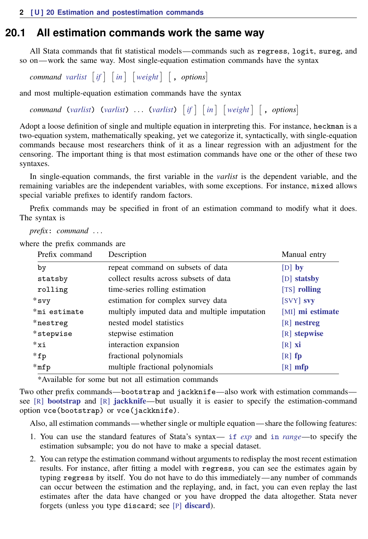# <span id="page-1-0"></span>**20.1 All estimation commands work the same way**

All Stata commands that fit statistical models—commands such as regress, logit, sureg, and so on—work the same way. Most single-equation estimation commands have the syntax

 $command \; varlist \; [if] \; [in] \; [weight] \; [sub]$  $command \; varlist \; [if] \; [in] \; [weight] \; [sub]$  $command \; varlist \; [if] \; [in] \; [weight] \; [sub]$  $command \; varlist \; [if] \; [in] \; [weight] \; [sub]$  $command \; varlist \; [if] \; [in] \; [weight] \; [sub]$  $command \; varlist \; [if] \; [in] \; [weight] \; [sub]$  $command \; varlist \; [if] \; [in] \; [weight] \; [sub]$  $command \; varlist \; [if] \; [in] \; [weight] \; [sub]$  $command \; varlist \; [if] \; [in] \; [weight] \; [sub]$ 

and most multiple-equation estimation commands have the syntax

*command* (*[varlist](http://www.stata.com/manuals13/u11.pdf#u11.4varlists)*) (*varlist*) ... (*varlist*)  $|if| |in| |weight|$  $|if| |in| |weight|$  $|if| |in| |weight|$  $|if| |in| |weight|$  $|if| |in| |weight|$  $|if| |in| |weight|$  $|if| |in| |weight|$ , *options* 

Adopt a loose definition of single and multiple equation in interpreting this. For instance, heckman is a two-equation system, mathematically speaking, yet we categorize it, syntactically, with single-equation commands because most researchers think of it as a linear regression with an adjustment for the censoring. The important thing is that most estimation commands have one or the other of these two syntaxes.

In single-equation commands, the first variable in the *varlist* is the dependent variable, and the remaining variables are the independent variables, with some exceptions. For instance, mixed allows special variable prefixes to identify random factors.

Prefix commands may be specified in front of an estimation command to modify what it does. The syntax is

*prefix*: *command* . . .

where the prefix commands are

| Prefix command    | Description                                   | Manual entry     |
|-------------------|-----------------------------------------------|------------------|
| by                | repeat command on subsets of data             | $[D]$ by         |
| statsby           | collect results across subsets of data        | $[D]$ statsby    |
| rolling           | time-series rolling estimation                | $[TS]$ rolling   |
| *svy              | estimation for complex survey data            | $SVY$ svy        |
| *mi estimate      | multiply imputed data and multiple imputation | [MI] mi estimate |
| *nestreg          | nested model statistics                       | $[R]$ nestreg    |
| *stepwise         | stepwise estimation                           | $[R]$ stepwise   |
| $*_{\mathtt{xi}}$ | interaction expansion                         | $[R]$ xi         |
| $*$ fp            | fractional polynomials                        | $[R]$ fp         |
| $*$ mfp           | multiple fractional polynomials               | $[R]$ mfp        |

\*Available for some but not all estimation commands

Two other prefix commands—bootstrap and jackknife—also work with estimation commands see  $[R]$  [bootstrap](http://www.stata.com/manuals13/rbootstrap.pdf#rbootstrap) and  $[R]$  [jackknife](http://www.stata.com/manuals13/rjackknife.pdf#rjackknife)—but usually it is easier to specify the estimation-command option vce(bootstrap) or vce(jackknife).

Also, all estimation commands—whether single or multiple equation— share the following features:

- 1. You can use the standard features of Stata's syntax— if *[exp](http://www.stata.com/manuals13/u11.pdf#u11.1.3ifexp)* and in *[range](http://www.stata.com/manuals13/u11.pdf#u11.1.4inrange)*—to specify the estimation subsample; you do not have to make a special dataset.
- 2. You can retype the estimation command without arguments to redisplay the most recent estimation results. For instance, after fitting a model with regress, you can see the estimates again by typing regress by itself. You do not have to do this immediately—any number of commands can occur between the estimation and the replaying, and, in fact, you can even replay the last estimates after the data have changed or you have dropped the data altogether. Stata never forgets (unless you type discard; see [P] [discard](http://www.stata.com/manuals13/pdiscard.pdf#pdiscard)).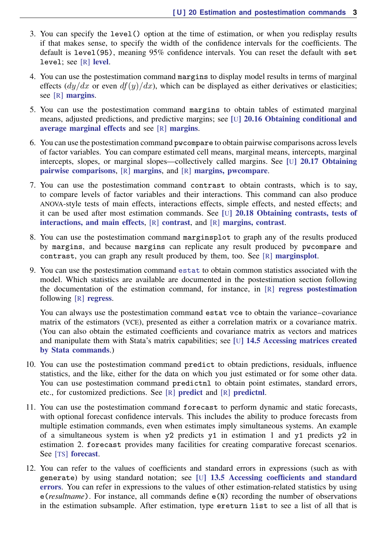- 3. You can specify the level() option at the time of estimation, or when you redisplay results if that makes sense, to specify the width of the confidence intervals for the coefficients. The default is level(95), meaning 95% confidence intervals. You can reset the default with set level; see [R] [level](http://www.stata.com/manuals13/rlevel.pdf#rlevel).
- 4. You can use the postestimation command margins to display model results in terms of marginal effects  $\frac{dy}{dx}$  or even  $\frac{df(y)}{dx}$ , which can be displayed as either derivatives or elasticities; see [R] [margins](http://www.stata.com/manuals13/rmargins.pdf#rmargins).
- 5. You can use the postestimation command margins to obtain tables of estimated marginal means, adjusted predictions, and predictive margins; see [U[\] 20.16 Obtaining conditional and](#page-38-0) [average marginal effects](#page-38-0) and see [R] [margins](http://www.stata.com/manuals13/rmargins.pdf#rmargins).
- 6. You can use the postestimation command pwcompare to obtain pairwise comparisons across levels of factor variables. You can compare estimated cell means, marginal means, intercepts, marginal intercepts, slopes, or marginal slopes—collectively called margins. See [U[\] 20.17 Obtaining](#page-42-0) [pairwise comparisons](#page-42-0), [R] [margins](http://www.stata.com/manuals13/rmargins.pdf#rmargins), and [R] [margins, pwcompare](http://www.stata.com/manuals13/rmarginspwcompare.pdf#rmargins,pwcompare).
- 7. You can use the postestimation command contrast to obtain contrasts, which is to say, to compare levels of factor variables and their interactions. This command can also produce ANOVA-style tests of main effects, interactions effects, simple effects, and nested effects; and it can be used after most estimation commands. See [U[\] 20.18 Obtaining contrasts, tests of](#page-44-0) [interactions, and main effects](#page-44-0), [R] [contrast](http://www.stata.com/manuals13/rcontrast.pdf#rcontrast), and [R] [margins, contrast](http://www.stata.com/manuals13/rmarginscontrast.pdf#rmargins,contrast).
- 8. You can use the postestimation command marginsplot to graph any of the results produced by margins, and because margins can replicate any result produced by pwcompare and contrast, you can graph any result produced by them, too. See  $[R]$  [marginsplot](http://www.stata.com/manuals13/rmarginsplot.pdf#rmarginsplot).
- 9. You can use the postestimation command [estat](http://www.stata.com/manuals13/restat.pdf#restat) to obtain common statistics associated with the model. Which statistics are available are documented in the postestimation section following the documentation of the estimation command, for instance, in [R] [regress postestimation](http://www.stata.com/manuals13/rregresspostestimation.pdf#rregresspostestimation) following [R] [regress](http://www.stata.com/manuals13/rregress.pdf#rregress).

You can always use the postestimation command estat vce to obtain the variance–covariance matrix of the estimators (VCE), presented as either a correlation matrix or a covariance matrix. (You can also obtain the estimated coefficients and covariance matrix as vectors and matrices and manipulate them with Stata's matrix capabilities; see [U[\] 14.5 Accessing matrices created](http://www.stata.com/manuals13/u14.pdf#u14.5AccessingmatricescreatedbyStatacommands) [by Stata commands](http://www.stata.com/manuals13/u14.pdf#u14.5AccessingmatricescreatedbyStatacommands).)

- 10. You can use the postestimation command predict to obtain predictions, residuals, influence statistics, and the like, either for the data on which you just estimated or for some other data. You can use postestimation command predictnl to obtain point estimates, standard errors, etc., for customized predictions. See [R] [predict](http://www.stata.com/manuals13/rpredict.pdf#rpredict) and [R] [predictnl](http://www.stata.com/manuals13/rpredictnl.pdf#rpredictnl).
- 11. You can use the postestimation command forecast to perform dynamic and static forecasts, with optional forecast confidence intervals. This includes the ability to produce forecasts from multiple estimation commands, even when estimates imply simultaneous systems. An example of a simultaneous system is when y2 predicts y1 in estimation 1 and y1 predicts y2 in estimation 2. forecast provides many facilities for creating comparative forecast scenarios. See [TS] [forecast](http://www.stata.com/manuals13/tsforecast.pdf#tsforecast).
- 12. You can refer to the values of coefficients and standard errors in expressions (such as with generate) by using standard notation; see [U[\] 13.5 Accessing coefficients and standard](http://www.stata.com/manuals13/u13.pdf#u13.5Accessingcoefficientsandstandarderrors) [errors](http://www.stata.com/manuals13/u13.pdf#u13.5Accessingcoefficientsandstandarderrors). You can refer in expressions to the values of other estimation-related statistics by using e(*resultname*). For instance, all commands define e(N) recording the number of observations in the estimation subsample. After estimation, type ereturn list to see a list of all that is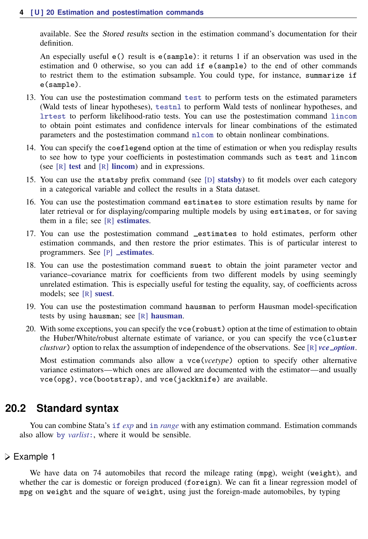available. See the Stored results section in the estimation command's documentation for their definition.

An especially useful  $e()$  result is  $e$ (sample): it returns 1 if an observation was used in the estimation and 0 otherwise, so you can add if e(sample) to the end of other commands to restrict them to the estimation subsample. You could type, for instance, summarize if e(sample).

- 13. You can use the postestimation command [test](http://www.stata.com/manuals13/rtest.pdf#rtest) to perform tests on the estimated parameters (Wald tests of linear hypotheses), [testnl](http://www.stata.com/manuals13/rtestnl.pdf#rtestnl) to perform Wald tests of nonlinear hypotheses, and [lrtest](http://www.stata.com/manuals13/rlrtest.pdf#rlrtest) to perform likelihood-ratio tests. You can use the postestimation command [lincom](http://www.stata.com/manuals13/rlincom.pdf#rlincom) to obtain point estimates and confidence intervals for linear combinations of the estimated parameters and the postestimation command [nlcom](http://www.stata.com/manuals13/rnlcom.pdf#rnlcom) to obtain nonlinear combinations.
- 14. You can specify the coeflegend option at the time of estimation or when you redisplay results to see how to type your coefficients in postestimation commands such as test and lincom (see  $[R]$  [test](http://www.stata.com/manuals13/rtest.pdf#rtest) and  $[R]$  [lincom](http://www.stata.com/manuals13/rlincom.pdf#rlincom)) and in expressions.
- 15. You can use the [statsby](http://www.stata.com/manuals13/dstatsby.pdf#dstatsby) prefix command (see  $[D]$  statsby) to fit models over each category in a categorical variable and collect the results in a Stata dataset.
- 16. You can use the postestimation command estimates to store estimation results by name for later retrieval or for displaying/comparing multiple models by using estimates, or for saving them in a file; see [R] [estimates](http://www.stata.com/manuals13/restimates.pdf#restimates).
- 17. You can use the postestimation command \_estimates to hold estimates, perform other estimation commands, and then restore the prior estimates. This is of particular interest to programmers. See [P] \_[estimates](http://www.stata.com/manuals13/p_estimates.pdf#p_estimates).
- 18. You can use the postestimation command suest to obtain the joint parameter vector and variance–covariance matrix for coefficients from two different models by using seemingly unrelated estimation. This is especially useful for testing the equality, say, of coefficients across models; see [R] [suest](http://www.stata.com/manuals13/rsuest.pdf#rsuest).
- 19. You can use the postestimation command hausman to perform Hausman model-specification tests by using hausman; see [R] [hausman](http://www.stata.com/manuals13/rhausman.pdf#rhausman).
- 20. With some exceptions, you can specify the vce(robust) option at the time of estimation to obtain the Huber/White/robust alternate estimate of variance, or you can specify the vce(cluster *clustvar*) option to relax the assumption of independence of the observations. See [R] *vce [option](http://www.stata.com/manuals13/rvce_option.pdf#rvce_option)*.

Most estimation commands also allow a vce(*vcetype*) option to specify other alternative variance estimators—which ones are allowed are documented with the estimator—and usually vce(opg), vce(bootstrap), and vce(jackknife) are available.

# <span id="page-3-0"></span>**20.2 Standard syntax**

You can combine Stata's if *[exp](http://www.stata.com/manuals13/u11.pdf#u11.1.3ifexp)* and in *[range](http://www.stata.com/manuals13/u11.pdf#u11.1.4inrange)* with any estimation command. Estimation commands also allow by *[varlist](http://www.stata.com/manuals13/u11.pdf#u11.1.2byvarlist)*:, where it would be sensible.

## Example 1

We have data on 74 automobiles that record the mileage rating (mpg), weight (weight), and whether the car is domestic or foreign produced (foreign). We can fit a linear regression model of mpg on weight and the square of weight, using just the foreign-made automobiles, by typing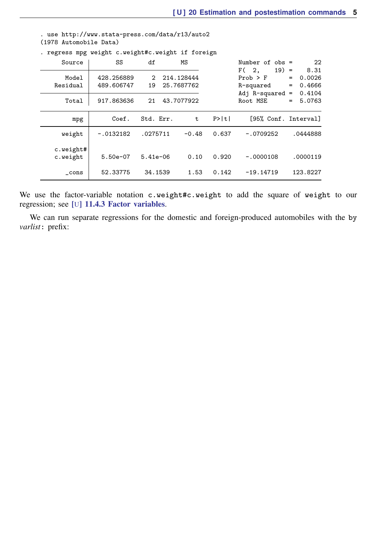| . regress mpg weight c.weight#c.weight if foreign |                       |                          |            |  |                          |       |                                                                    |            |                                    |
|---------------------------------------------------|-----------------------|--------------------------|------------|--|--------------------------|-------|--------------------------------------------------------------------|------------|------------------------------------|
|                                                   | Source                | SS                       | df         |  | МS                       |       | Number of $obs =$                                                  |            | 22                                 |
|                                                   | Model<br>Residual     | 428.256889<br>489.606747 | 2<br>19    |  | 214.128444<br>25.7687762 |       | $19) =$<br>F(2,<br>$Prob$ > $F$<br>R-squared<br>Adj $R$ -squared = | $=$<br>$=$ | 8.31<br>0.0026<br>0.4666<br>0.4104 |
|                                                   | Total                 | 917.863636               | 21         |  | 43.7077922               |       | Root MSE                                                           | $=$        | 5.0763                             |
|                                                   | mpg                   | Coef.                    | Std. Err.  |  | t                        | P>  t | [95% Conf. Interval]                                               |            |                                    |
|                                                   | weight                | $-.0132182$              | .0275711   |  | $-0.48$                  | 0.637 | $-.0709252$                                                        |            | .0444888                           |
|                                                   | c.weight#<br>c.weight | $5.50e-07$               | $5.41e-06$ |  | 0.10                     | 0.920 | $-.0000108$                                                        |            | .0000119                           |
|                                                   | $\_cons$              | 52.33775                 | 34.1539    |  | 1.53                     | 0.142 | $-19.14719$                                                        |            | 123.8227                           |

. use http://www.stata-press.com/data/r13/auto2

(1978 Automobile Data)

We use the factor-variable notation c.weight#c.weight to add the square of weight to our regression; see [U[\] 11.4.3 Factor variables](http://www.stata.com/manuals13/u11.pdf#u11.4.3Factorvariables).

We can run separate regressions for the domestic and foreign-produced automobiles with the by *varlist*: prefix: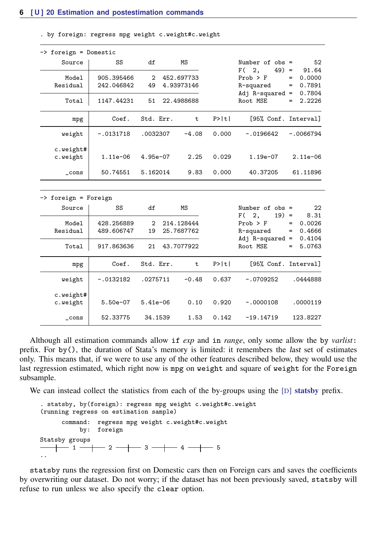c.weight#

| -> foreign = Domestic |             |                |            |       |                                 |     |                 |
|-----------------------|-------------|----------------|------------|-------|---------------------------------|-----|-----------------|
| Source                | SS          | df             | ΜS         |       | Number of $obs =$               |     | 52              |
| Model                 | 905.395466  | $\mathbf{2}$   | 452.697733 |       | F(2,<br>$49) =$<br>$Prob$ > $F$ | $=$ | 91.64<br>0.0000 |
| Residual              | 242.046842  | 49             | 4.93973146 |       | R-squared                       | $=$ | 0.7891          |
|                       |             |                |            |       | Adj $R$ -squared =              |     | 0.7804          |
| Total                 | 1147.44231  | 51             | 22.4988688 |       | Root MSE                        | $=$ | 2.2226          |
| mpg                   | Coef.       | Std. Err.      | t          | P>  t | [95% Conf. Interval]            |     |                 |
| weight                | $-.0131718$ | .0032307       | $-4.08$    | 0.000 | $-.0196642$                     |     | $-.0066794$     |
| c.weight#<br>c.weight | $1.11e-06$  | $4.95e-07$     | 2.25       | 0.029 | $1.19e-07$                      |     | $2.11e-06$      |
| $\_cons$              | 50.74551    | 5.162014       | 9.83       | 0.000 | 40.37205                        |     | 61.11896        |
|                       |             |                |            |       |                                 |     |                 |
| -> foreign = Foreign  |             |                |            |       |                                 |     |                 |
| Source                | SS          | df             | ΜS         |       | Number of $obs =$               |     | 22              |
|                       |             |                |            |       | F(2,<br>$19) =$                 |     | 8.31            |
| Model                 | 428.256889  | $\overline{2}$ | 214.128444 |       | $Prob$ > $F$                    | $=$ | 0.0026          |
| Residual              | 489.606747  | 19             | 25.7687762 |       | R-squared                       | $=$ | 0.4666          |
|                       |             |                |            |       | $Adj$ R-squared =               |     | 0.4104          |
| Total                 | 917.863636  | 21             | 43.7077922 |       | Root MSE                        | $=$ | 5.0763          |
| mpg                   | Coef.       | Std. Err.      | t.         | P>  t | [95% Conf. Interval]            |     |                 |
| weight                | $-.0132182$ | .0275711       | $-0.48$    | 0.637 | $-.0709252$                     |     | .0444888        |

. by foreign: regress mpg weight c.weight#c.weight

Although all estimation commands allow if *exp* and in *range*, only some allow the by *varlist*: prefix. For by(), the duration of Stata's memory is limited: it remembers the last set of estimates only. This means that, if we were to use any of the other features described below, they would use the last regression estimated, which right now is mpg on weight and square of weight for the Foreign subsample.

c.weight 5.50e-07 5.41e-06 0.10 0.920 -.0000108 .0000119 \_cons 52.33775 34.1539 1.53 0.142 -19.14719 123.8227

We can instead collect the statistics from each of the by-groups using the [D] [statsby](http://www.stata.com/manuals13/dstatsby.pdf#dstatsby) prefix.

```
. statsby, by(foreign): regress mpg weight c.weight#c.weight
(running regress on estimation sample)
     command: regress mpg weight c.weight#c.weight
         by: foreign
Statsby groups
        1 —— 2 —— 3 —— 4 —— 5
..
```
statsby runs the regression first on Domestic cars then on Foreign cars and saves the coefficients by overwriting our dataset. Do not worry; if the dataset has not been previously saved, statsby will refuse to run unless we also specify the clear option.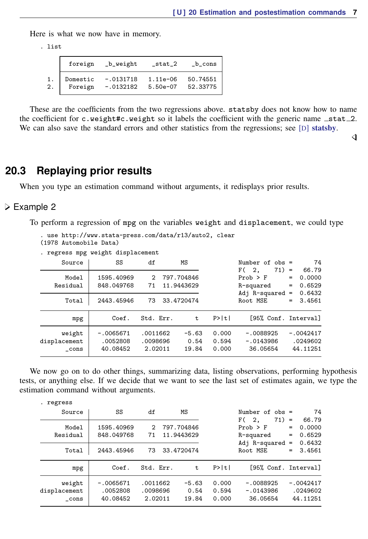◁

Here is what we now have in memory.

. list

|    | foreign  | _b_weight   | stat 2     | b cons   |
|----|----------|-------------|------------|----------|
| 1. | Domestic | $-.0131718$ | $1.11e-06$ | 50.74551 |
| 2. | Foreign  | $-.0132182$ | $5.50e-07$ | 52.33775 |

These are the coefficients from the two regressions above. statsby does not know how to name the coefficient for c.weight#c.weight so it labels the coefficient with the generic name \_stat\_2. We can also save the standard errors and other statistics from the regressions; see [D] [statsby](http://www.stata.com/manuals13/dstatsby.pdf#dstatsby).

# <span id="page-6-0"></span>**20.3 Replaying prior results**

When you type an estimation command without arguments, it redisplays prior results.

## Example 2

To perform a regression of mpg on the variables weight and displacement, we could type

```
. use http://www.stata-press.com/data/r13/auto2, clear
```

```
(1978 Automobile Data)
```
. regress

. regress mpg weight displacement

| Source       | SS          | df          | ΜS         |       | Number of $obs =$    |     | 74          |
|--------------|-------------|-------------|------------|-------|----------------------|-----|-------------|
|              |             |             |            |       | $71) =$<br>F(2,      |     | 66.79       |
| Model        | 1595.40969  | $2^{\circ}$ | 797.704846 |       | $Prob$ > $F$         | $=$ | 0.0000      |
| Residual     | 848.049768  | 71          | 11.9443629 |       | R-squared            | $=$ | 0.6529      |
|              |             |             |            |       | Adj $R$ -squared =   |     | 0.6432      |
| Total        | 2443.45946  | 73          | 33.4720474 |       | Root MSE             |     | $= 3.4561$  |
| mpg          | Coef.       | Std. Err.   | t          | P>  t | [95% Conf. Interval] |     |             |
| weight       | $-.0065671$ | .0011662    | $-5.63$    | 0.000 | $-.0088925$          |     | $-.0042417$ |
| displacement | .0052808    | .0098696    | 0.54       | 0.594 | $-.0143986$          |     | .0249602    |
| cons         | 40.08452    | 2.02011     | 19.84      | 0.000 | 36.05654             |     | 44.11251    |
|              |             |             |            |       |                      |     |             |

We now go on to do other things, summarizing data, listing observations, performing hypothesis tests, or anything else. If we decide that we want to see the last set of estimates again, we type the estimation command without arguments.

| Source                         | SS                                  | df                              | ΜS                       |                         | Number of $obs =$                                                       | 74                                                |
|--------------------------------|-------------------------------------|---------------------------------|--------------------------|-------------------------|-------------------------------------------------------------------------|---------------------------------------------------|
| Model<br>Residual              | 1595.40969<br>848.049768            | $\mathcal{D}$<br>71             | 797.704846<br>11.9443629 |                         | $71) =$<br>F (<br>2.<br>$Prob$ > $F$<br>R-squared<br>Adj $R$ -squared = | 66.79<br>0.0000<br>$=$<br>0.6529<br>$=$<br>0.6432 |
| Total                          | 2443.45946                          | 73                              | 33.4720474               |                         | Root MSE                                                                | $= 3.4561$                                        |
| mpg                            | Coef.                               | Std. Err.                       | t                        | P>  t                   | [95% Conf. Interval]                                                    |                                                   |
| weight<br>displacement<br>cons | $-.0065671$<br>.0052808<br>40.08452 | .0011662<br>.0098696<br>2.02011 | $-5.63$<br>0.54<br>19.84 | 0.000<br>0.594<br>0.000 | $-.0088925$<br>$-.0143986$<br>36.05654                                  | $-.0042417$<br>.0249602<br>44.11251               |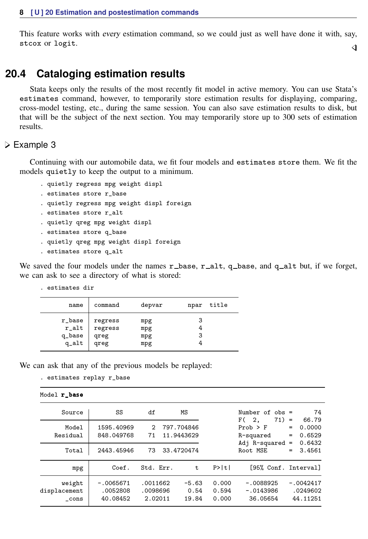This feature works with every estimation command, so we could just as well have done it with, say, stcox or logit. ◁

# <span id="page-7-0"></span>**20.4 Cataloging estimation results**

Stata keeps only the results of the most recently fit model in active memory. You can use Stata's estimates command, however, to temporarily store estimation results for displaying, comparing, cross-model testing, etc., during the same session. You can also save estimation results to disk, but that will be the subject of the next section. You may temporarily store up to 300 sets of estimation results.

#### Example 3

Continuing with our automobile data, we fit four models and estimates store them. We fit the models quietly to keep the output to a minimum.

- . quietly regress mpg weight displ
- . estimates store r\_base
- . quietly regress mpg weight displ foreign
- . estimates store r\_alt
- . quietly qreg mpg weight displ
- . estimates store q\_base
- . quietly qreg mpg weight displ foreign
- . estimates store q\_alt

We saved the four models under the names  $r_{\text{base}}$ ,  $r_{\text{alt}}$ ,  $q_{\text{base}}$ , and  $q_{\text{alt}}$  but, if we forget, we can ask to see a directory of what is stored:

|  |  | estimates dir |  |  |
|--|--|---------------|--|--|
|--|--|---------------|--|--|

| name                                  | command                            | depvar                   | title<br>npar |
|---------------------------------------|------------------------------------|--------------------------|---------------|
| r_base<br>r_alt<br>q_base<br>$q$ _alt | regress<br>regress<br>qreg<br>qreg | mpg<br>mpg<br>mpg<br>mpg | 3<br>3        |

We can ask that any of the previous models be replayed:

. estimates replay r\_base

| Model r_base                   |                                     |                                 |                          |                         |                                              |            |                                     |
|--------------------------------|-------------------------------------|---------------------------------|--------------------------|-------------------------|----------------------------------------------|------------|-------------------------------------|
| Source                         | SS                                  | df                              | ΜS                       |                         | Number of $obs =$                            |            | 74                                  |
| Model<br>Residual              | 1595.40969<br>848,049768            | $\mathcal{D}$<br>71             | 797.704846<br>11.9443629 |                         | $71) =$<br>F(2,<br>$Prob$ > $F$<br>R-squared | $=$<br>$=$ | 66.79<br>0.0000<br>0.6529<br>0.6432 |
| Total                          | 2443.45946                          | 73                              | 33.4720474               |                         | Adj $R$ -squared =<br>Root MSE               | $=$        | 3.4561                              |
| mpg                            | Coef.                               | Std. Err.                       | t                        | P>  t                   | [95% Conf. Interval]                         |            |                                     |
| weight<br>displacement<br>cons | $-.0065671$<br>.0052808<br>40.08452 | .0011662<br>.0098696<br>2.02011 | $-5.63$<br>0.54<br>19.84 | 0.000<br>0.594<br>0.000 | $-.0088925$<br>$-.0143986$<br>36.05654       |            | $-.0042417$<br>.0249602<br>44.11251 |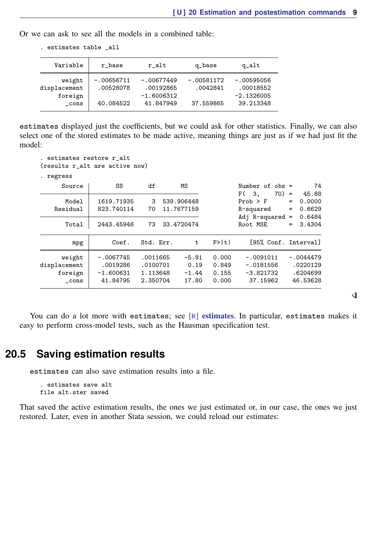Or we can ask to see all the models in a combined table:

| Variable                                      | r base                                 | r alt                                                  | q_base                                | q_alt                                                  |
|-----------------------------------------------|----------------------------------------|--------------------------------------------------------|---------------------------------------|--------------------------------------------------------|
| weight<br>displacement<br>foreign<br>$\_cons$ | $-.00656711$<br>.00528078<br>40.084522 | $-.00677449$<br>.00192865<br>$-1.6006312$<br>41.847949 | $-.00581172$<br>.0042841<br>37.559865 | $-.00595056$<br>.00018552<br>$-2.1326005$<br>39.213348 |
|                                               |                                        |                                                        |                                       |                                                        |

. estimates table \_all

estimates displayed just the coefficients, but we could ask for other statistics. Finally, we can also select one of the stored estimates to be made active, meaning things are just as if we had just fit the model:

```
. estimates restore r_alt
(results r_alt are active now)
```
. regress

| Source       | SS          | df        | МS         |       | Number of $obs =$    |     | 74          |
|--------------|-------------|-----------|------------|-------|----------------------|-----|-------------|
|              |             |           |            |       | $70) =$<br>F(3,      |     | 45.88       |
| Model        | 1619.71935  | 3         | 539.906448 |       | $Prob$ > $F$         | $=$ | 0.0000      |
| Residual     | 823.740114  | 70        | 11.7677159 |       | R-squared            | $=$ | 0.6629      |
|              |             |           |            |       | Adj $R$ -squared =   |     | 0.6484      |
| Total        | 2443.45946  | 73        | 33.4720474 |       | Root MSE             | $=$ | 3.4304      |
| mpg          | Coef.       | Std. Err. | t          | P>  t | [95% Conf. Interval] |     |             |
| weight       | $-.0067745$ | .0011665  | $-5.81$    | 0.000 | $-.0091011$          |     | $-.0044479$ |
| displacement | .0019286    | .0100701  | 0.19       | 0.849 | $-.0181556$          |     | .0220129    |
| foreign      | $-1.600631$ | 1.113648  | $-1.44$    | 0.155 | $-3.821732$          |     | .6204699    |
| $\_cons$     | 41.84795    | 2.350704  | 17.80      | 0.000 | 37.15962             |     | 46.53628    |
|              |             |           |            |       |                      |     |             |

<span id="page-8-0"></span>You can do a lot more with [estimates](http://www.stata.com/manuals13/restimates.pdf#restimates); see [R] estimates. In particular, estimates makes it easy to perform cross-model tests, such as the Hausman specification test.

# **20.5 Saving estimation results**

estimates can also save estimation results into a file.

. estimates save alt file alt.ster saved

That saved the active estimation results, the ones we just estimated or, in our case, the ones we just restored. Later, even in another Stata session, we could reload our estimates:

 $\blacktriangleleft$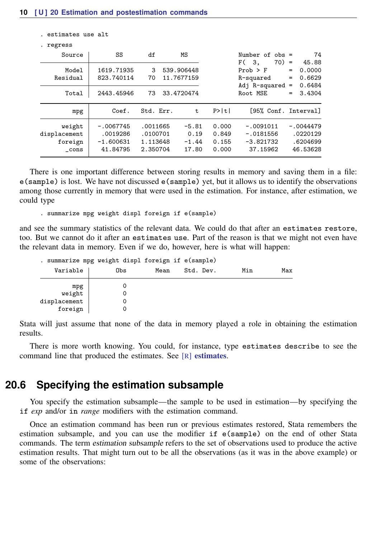. estimates use alt

| regress                                       |                                                    |                                              |                                     |                                  |                                                                    |            |                                                 |
|-----------------------------------------------|----------------------------------------------------|----------------------------------------------|-------------------------------------|----------------------------------|--------------------------------------------------------------------|------------|-------------------------------------------------|
| Source                                        | SS                                                 | df                                           | ΜS                                  |                                  | Number of $obs =$                                                  |            | 74                                              |
| Model<br>Residual                             | 1619.71935<br>823.740114                           | 3<br>70                                      | 539.906448<br>11.7677159            |                                  | $70) =$<br>F(3,<br>$Prob$ > $F$<br>R-squared<br>Adj $R$ -squared = | $=$<br>$=$ | 45.88<br>0.0000<br>0.6629<br>0.6484             |
| Total                                         | 2443.45946                                         | 73                                           | 33.4720474                          |                                  | Root MSE                                                           | $=$        | 3.4304                                          |
| mpg                                           | Coef.                                              | Std. Err.                                    | t                                   | P>  t                            | [95% Conf. Interval]                                               |            |                                                 |
| weight<br>displacement<br>foreign<br>$\_cons$ | $-.0067745$<br>.0019286<br>$-1.600631$<br>41.84795 | .0011665<br>.0100701<br>1.113648<br>2.350704 | $-5.81$<br>0.19<br>$-1.44$<br>17.80 | 0.000<br>0.849<br>0.155<br>0.000 | $-.0091011$<br>$-.0181556$<br>$-3.821732$<br>37.15962              |            | $-.0044479$<br>.0220129<br>.6204699<br>46.53628 |

There is one important difference between storing results in memory and saving them in a file: e(sample) is lost. We have not discussed e(sample) yet, but it allows us to identify the observations among those currently in memory that were used in the estimation. For instance, after estimation, we could type

. summarize mpg weight displ foreign if e(sample)

and see the summary statistics of the relevant data. We could do that after an estimates restore, too. But we cannot do it after an estimates use. Part of the reason is that we might not even have the relevant data in memory. Even if we do, however, here is what will happen:

| $\ddot{\phantom{0}}$                     | summarize mpg weight displ foreign if e(sample) |      |           |     |     |
|------------------------------------------|-------------------------------------------------|------|-----------|-----|-----|
| Variable                                 | Obs                                             | Mean | Std. Dev. | Min | Max |
| mpg<br>weight<br>displacement<br>foreign | O                                               |      |           |     |     |

Stata will just assume that none of the data in memory played a role in obtaining the estimation results.

<span id="page-9-0"></span>There is more worth knowing. You could, for instance, type estimates describe to see the command line that produced the estimates. See [R] [estimates](http://www.stata.com/manuals13/restimates.pdf#restimates).

# **20.6 Specifying the estimation subsample**

You specify the estimation subsample—the sample to be used in estimation—by specifying the if *exp* and/or in *range* modifiers with the estimation command.

Once an estimation command has been run or previous estimates restored, Stata remembers the estimation subsample, and you can use the modifier if e(sample) on the end of other Stata commands. The term estimation subsample refers to the set of observations used to produce the active estimation results. That might turn out to be all the observations (as it was in the above example) or some of the observations: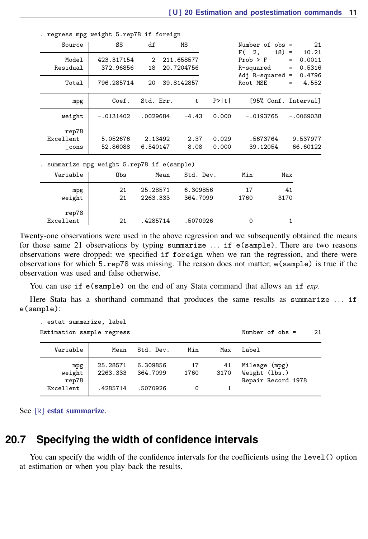|                    | . regress mpg weight 5.rep78 if foreign   |                |            |           |                    |         |                      |
|--------------------|-------------------------------------------|----------------|------------|-----------|--------------------|---------|----------------------|
| Source             | SS                                        | df             | ΜS         |           | Number of $obs =$  |         | 21                   |
|                    |                                           |                |            |           | F(2,               | $18) =$ | 10.21                |
| Model              | 423.317154                                | $\overline{2}$ | 211.658577 |           | $Prob$ > $F$       |         | 0.0011<br>$=$        |
| Residual           | 372.96856                                 | 18             | 20.7204756 |           | R-squared          |         | 0.5316<br>$=$        |
|                    |                                           |                |            |           | Adj $R$ -squared = |         | 0.4796               |
| Total              | 796.285714                                | 20             | 39.8142857 |           | Root MSE           |         | 4.552<br>=           |
| mpg                | Coef.                                     | Std. Err.      | t.         | P>  t     |                    |         | [95% Conf. Interval] |
| weight             | $-.0131402$                               | .0029684       | $-4.43$    | 0.000     | $-.0193765$        |         | $-.0069038$          |
| rep78              |                                           |                |            |           |                    |         |                      |
| Excellent          | 5.052676                                  | 2.13492        | 2.37       | 0.029     | .5673764           |         | 9.537977             |
| cons               | 52.86088                                  | 6.540147       | 8.08       | 0.000     | 39.12054           |         | 66.60122             |
|                    |                                           |                |            |           |                    |         |                      |
|                    | summarize mpg weight 5.rep78 if e(sample) |                |            |           |                    |         |                      |
| Variable           | Obs                                       | Mean           |            | Std. Dev. | Min                | Max     |                      |
| mpg                | 21                                        | 25.28571       | 6.309856   |           | 17                 |         | 41                   |
| weight             | 21                                        | 2263.333       | 364.7099   |           | 1760               | 3170    |                      |
| rep78<br>Excellent | 21                                        | .4285714       |            | .5070926  | 0                  |         | 1                    |
|                    |                                           |                |            |           |                    |         |                      |

Twenty-one observations were used in the above regression and we subsequently obtained the means for those same 21 observations by typing summarize . . . if e(sample). There are two reasons observations were dropped: we specified if foreign when we ran the regression, and there were observations for which 5.rep78 was missing. The reason does not matter; e(sample) is true if the observation was used and false otherwise.

You can use if  $e$ (sample) on the end of any Stata command that allows an if *exp*.

Here Stata has a shorthand command that produces the same results as summarize . . . if e(sample):

| Estimation sample regress           |                                  |                                  |                 |            | 21<br>Number of $obs =$                              |
|-------------------------------------|----------------------------------|----------------------------------|-----------------|------------|------------------------------------------------------|
| Variable                            | Mean                             | Std. Dev.                        | Min             | Max        | Label                                                |
| mpg<br>weight<br>rep78<br>Excellent | 25.28571<br>2263.333<br>.4285714 | 6.309856<br>364,7099<br>.5070926 | 17<br>1760<br>ი | 41<br>3170 | Mileage (mpg)<br>Weight (lbs.)<br>Repair Record 1978 |

<span id="page-10-0"></span>See [R] [estat summarize](http://www.stata.com/manuals13/restatsummarize.pdf#restatsummarize).

. estat summarize, label

# **20.7 Specifying the width of confidence intervals**

You can specify the width of the confidence intervals for the coefficients using the level() option at estimation or when you play back the results.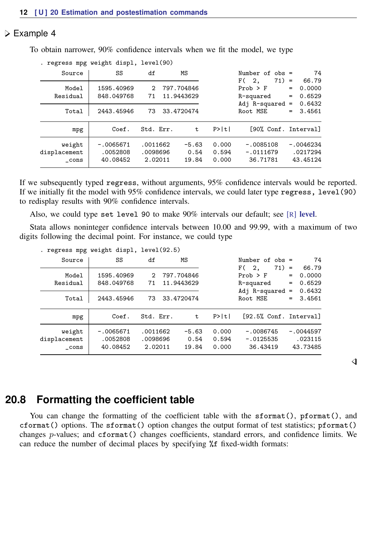## Example 4

To obtain narrower, 90% confidence intervals when we fit the model, we type

| Source                         | SS                                  | df                              | ΜS                       |                         | Number of $obs =$                            |            | 74                                  |
|--------------------------------|-------------------------------------|---------------------------------|--------------------------|-------------------------|----------------------------------------------|------------|-------------------------------------|
| Model<br>Residual              | 1595.40969<br>848,049768            | $\mathcal{D}$<br>71             | 797.704846<br>11.9443629 |                         | $71) =$<br>F(2,<br>$Prob$ > $F$<br>R-squared | $=$<br>$=$ | 66.79<br>0.0000<br>0.6529           |
| Total                          | 2443.45946                          | 73                              | 33.4720474               |                         | Adj $R$ -squared =<br>Root MSE               |            | 0.6432<br>$= 3.4561$                |
| mpg                            | Coef.                               | Std. Err.                       | t                        | P>  t                   | [90% Conf. Interval]                         |            |                                     |
| weight<br>displacement<br>cons | $-.0065671$<br>.0052808<br>40.08452 | .0011662<br>.0098696<br>2.02011 | $-5.63$<br>0.54<br>19.84 | 0.000<br>0.594<br>0.000 | $-.0085108$<br>$-.0111679$<br>36.71781       |            | $-.0046234$<br>.0217294<br>43.45124 |

. regress mpg weight displ, level(90)

If we subsequently typed regress, without arguments, 95% confidence intervals would be reported. If we initially fit the model with 95% confidence intervals, we could later type regress, level(90) to redisplay results with 90% confidence intervals.

Also, we could type set level 90 to make 90% intervals our default; see [R] [level](http://www.stata.com/manuals13/rlevel.pdf#rlevel).

Stata allows noninteger confidence intervals between 10.00 and 99.99, with a maximum of two digits following the decimal point. For instance, we could type

|                                | . regress mpg weight displ, level(92.5) |                                 |                          |                         |                                                                         |                                                   |
|--------------------------------|-----------------------------------------|---------------------------------|--------------------------|-------------------------|-------------------------------------------------------------------------|---------------------------------------------------|
| Source                         | SS                                      | df                              | ΜS                       |                         | Number of $obs =$                                                       | 74                                                |
| Model<br>Residual              | 1595.40969<br>848,049768                | $\mathcal{D}$<br>71             | 797.704846<br>11.9443629 |                         | $71) =$<br>F (<br>2.<br>$Prob$ > $F$<br>R-squared<br>Adj $R$ -squared = | 66.79<br>0.0000<br>$=$<br>0.6529<br>$=$<br>0.6432 |
| Total                          | 2443.45946                              | 73                              | 33.4720474               |                         | Root MSE                                                                | 3.4561<br>$=$                                     |
| mpg                            | Coef.                                   | Std. Err.                       | t                        | P>  t                   | [92.5% Conf. Interval]                                                  |                                                   |
| weight<br>displacement<br>cons | $-.0065671$<br>.0052808<br>40.08452     | .0011662<br>.0098696<br>2.02011 | $-5.63$<br>0.54<br>19.84 | 0.000<br>0.594<br>0.000 | $-.0086745$<br>$-.0125535$<br>36.43419                                  | $-.0044597$<br>.023115<br>43.73485                |

<span id="page-11-0"></span>**20.8 Formatting the coefficient table**

You can change the formatting of the coefficient table with the sformat(), pformat(), and cformat() options. The sformat() option changes the output format of test statistics; pformat() changes p-values; and cformat() changes coefficients, standard errors, and confidence limits. We can reduce the number of decimal places by specifying %f fixed-width formats:

◁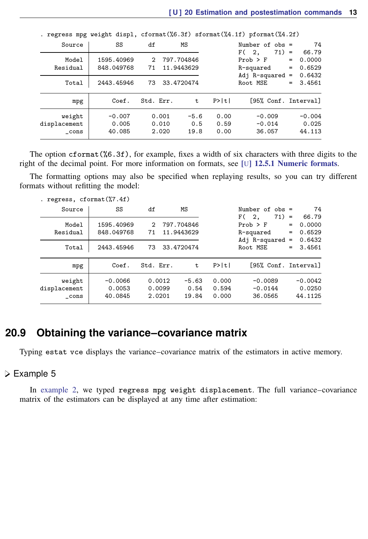|                            | . regress mpg weight displ, cformat(%6.3f) sformat(%4.1f) pformat(%4.2f) |                                         |                                        |             |              |                                                                           |         |            |                                         |
|----------------------------|--------------------------------------------------------------------------|-----------------------------------------|----------------------------------------|-------------|--------------|---------------------------------------------------------------------------|---------|------------|-----------------------------------------|
| Source                     | SS                                                                       | df                                      | ΜS                                     |             |              | Number of $obs =$                                                         |         |            | 74                                      |
| Model<br>Residual<br>Total | 1595.40969<br>848.049768<br>2443.45946                                   | $\mathcal{D}_{\mathcal{L}}$<br>71<br>73 | 797.704846<br>11.9443629<br>33.4720474 |             |              | F(2,<br>$Prob$ > $F$<br>R-squared<br>Adj R-squared = $0.6432$<br>Root MSE | $71) =$ | $=$<br>$=$ | 66.79<br>0.0000<br>0.6529<br>$= 3.4561$ |
| mpg                        | Coef.                                                                    | Std. Err.                               |                                        | t           | P>  t        |                                                                           |         |            | [95% Conf. Interval]                    |
| weight                     | $-0.007$                                                                 |                                         | 0.001                                  | $-5.6$      | 0.00         | $-0.009$                                                                  |         |            | $-0.004$                                |
| displacement<br>cons       | 0.005<br>40.085                                                          |                                         | 0.010<br>2.020                         | 0.5<br>19.8 | 0.59<br>0.00 | $-0.014$<br>36.057                                                        |         |            | 0.025<br>44.113                         |

The option cformat(%6.3f), for example, fixes a width of six characters with three digits to the right of the decimal point. For more information on formats, see [U[\] 12.5.1 Numeric formats](http://www.stata.com/manuals13/u12.pdf#u12.5.1Numericformats).

The formatting options may also be specified when replaying results, so you can try different formats without refitting the model:

| . regress, $\text{cformat}(\text{\%7.4f})$ |                                |                            |                          |                          |                         |                                                                    |                                                   |
|--------------------------------------------|--------------------------------|----------------------------|--------------------------|--------------------------|-------------------------|--------------------------------------------------------------------|---------------------------------------------------|
| Source                                     | SS                             | df                         |                          | ΜS                       |                         | Number of $obs =$                                                  | 74                                                |
| Model<br>Residual                          | 1595.40969<br>848.049768       | $2^{\circ}$<br>71          | 797.704846<br>11.9443629 |                          |                         | $71) =$<br>F(2,<br>$Prob$ > $F$<br>R-squared<br>Adj $R$ -squared = | 66.79<br>0.0000<br>$=$<br>0.6529<br>$=$<br>0.6432 |
| Total                                      | 2443.45946                     | 73                         | 33.4720474               |                          |                         | Root MSE                                                           | $= 3.4561$                                        |
| mpg                                        | Coef.                          | Std. Err.                  |                          | t                        | P>  t                   | [95% Conf. Interval]                                               |                                                   |
| weight<br>displacement<br>cons             | $-0.0066$<br>0.0053<br>40.0845 | 0.0012<br>0.0099<br>2.0201 |                          | $-5.63$<br>0.54<br>19.84 | 0.000<br>0.594<br>0.000 | $-0.0089$<br>$-0.0144$<br>36.0565                                  | $-0.0042$<br>0.0250<br>44.1125                    |

# <span id="page-12-0"></span>**20.9 Obtaining the variance–covariance matrix**

Typing estat vce displays the variance–covariance matrix of the estimators in active memory.

## **▷** Example 5

In [example 2,](#page-6-0) we typed regress mpg weight displacement. The full variance–covariance matrix of the estimators can be displayed at any time after estimation: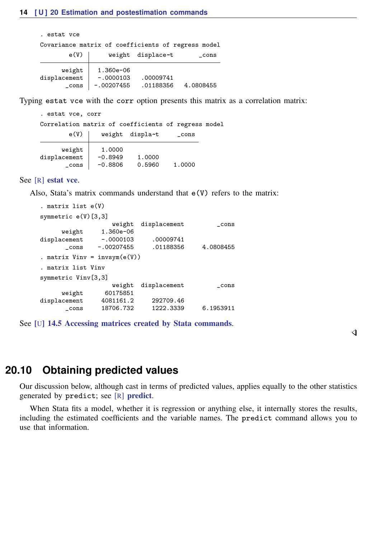| . estat vce                                        |                                              |                        |           |  |  |  |  |  |  |
|----------------------------------------------------|----------------------------------------------|------------------------|-----------|--|--|--|--|--|--|
| Covariance matrix of coefficients of regress model |                                              |                        |           |  |  |  |  |  |  |
| e(V)                                               | weight                                       | displace~t             | cons      |  |  |  |  |  |  |
| weight<br>displacement<br>$\_cons$                 | $1.360e - 06$<br>$-.0000103$<br>$-.00207455$ | .00009741<br>.01188356 | 4.0808455 |  |  |  |  |  |  |

Typing estat vce with the corr option presents this matrix as a correlation matrix:

```
. estat vce, corr
Correlation matrix of coefficients of regress model
         e(V) weight displa~t
                                           \_consweight 1.0000<br>cement -0.8949displacement -0.8949 1.0000<br>cons -0.8806 0.5960
        \text{cons} -0.8806 0.5960 1.0000
```
#### See [R] [estat vce](http://www.stata.com/manuals13/restatvce.pdf#restatvce).

Also, Stata's matrix commands understand that e(V) refers to the matrix:

```
. matrix list e(V)
symmetric e(V)[3,3]
                      weight displacement _cons
      weight 1.360e-06<br>cement -.0000103displacement -.0000103 .00009741<br>cons -.00207455 .01188356
                _cons -.00207455 .01188356 4.0808455
. matrix Vinv = invsym(e(V)). matrix list Vinv
symmetric Vinv[3,3]
                      weight displacement _cons
      weight 60175851<br>cement 4081161.2
displacement 4081161.2 292709.46<br>cons 18706.732 1222.3339
       _cons 18706.732 1222.3339 6.1953911
```
See [U[\] 14.5 Accessing matrices created by Stata commands](http://www.stata.com/manuals13/u14.pdf#u14.5AccessingmatricescreatedbyStatacommands).

◁

# <span id="page-13-0"></span>**20.10 Obtaining predicted values**

Our discussion below, although cast in terms of predicted values, applies equally to the other statistics generated by predict; see [R] [predict](http://www.stata.com/manuals13/rpredict.pdf#rpredict).

When Stata fits a model, whether it is regression or anything else, it internally stores the results, including the estimated coefficients and the variable names. The predict command allows you to use that information.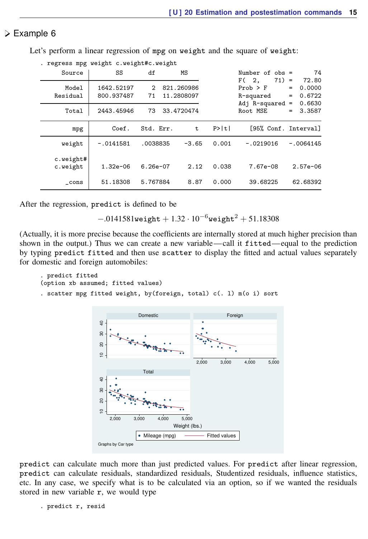## **▷** Example 6

Let's perform a linear regression of mpg on weight and the square of weight:

| Source    | SS          | df         | ΜS         |       | Number of $obs =$    |     | 74          |
|-----------|-------------|------------|------------|-------|----------------------|-----|-------------|
|           |             |            |            |       | $71) =$<br>F(2,      |     | 72.80       |
| Model     | 1642.52197  | 2          | 821.260986 |       | $Prob$ > $F$         | $=$ | 0.0000      |
| Residual  | 800.937487  | 71         | 11.2808097 |       | R-squared            | $=$ | 0.6722      |
|           |             |            |            |       | Adj $R$ -squared =   |     | 0.6630      |
| Total     | 2443.45946  | 73         | 33.4720474 |       | Root MSE             |     | $= 3.3587$  |
|           |             |            |            |       |                      |     |             |
| mpg       | Coef.       | Std. Err.  | t          | P>  t | [95% Conf. Interval] |     |             |
|           |             |            |            |       |                      |     |             |
| weight    | $-.0141581$ | .0038835   | $-3.65$    | 0.001 | $-.0219016$          |     | $-.0064145$ |
|           |             |            |            |       |                      |     |             |
| c.weight# |             |            |            |       |                      |     |             |
|           | $1.32e-06$  | $6.26e-07$ | 2.12       | 0.038 | 7.67e-08             |     | $2.57e-06$  |
| c.weight  |             |            |            |       |                      |     |             |
|           |             |            |            |       |                      |     |             |
| $\_cons$  | 51.18308    | 5.767884   | 8.87       | 0.000 | 39.68225             |     | 62.68392    |

. regress mpg weight c.weight#c.weight

After the regression, predict is defined to be

 $-.0141581$ weight + 1.32 $\cdot$  10 $^{-6}$ weight $^2$  + 51.18308

(Actually, it is more precise because the coefficients are internally stored at much higher precision than shown in the output.) Thus we can create a new variable—call it fitted—equal to the prediction by typing predict fitted and then use scatter to display the fitted and actual values separately for domestic and foreign automobiles:

```
. predict fitted
(option xb assumed; fitted values)
```




predict can calculate much more than just predicted values. For predict after linear regression, predict can calculate residuals, standardized residuals, Studentized residuals, influence statistics, etc. In any case, we specify what is to be calculated via an option, so if we wanted the residuals stored in new variable  $r$ , we would type

. predict r, resid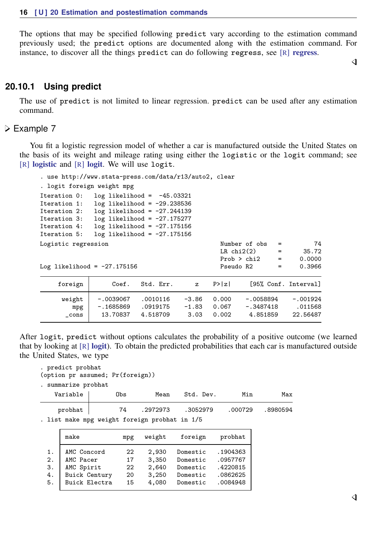The options that may be specified following predict vary according to the estimation command previously used; the predict options are documented along with the estimation command. For instance, to discover all the things predict can do following regress, see [R] [regress](http://www.stata.com/manuals13/rregress.pdf#rregress).

 $\overline{\mathcal{A}}$ 

#### <span id="page-15-0"></span>**20.10.1 Using predict**

The use of predict is not limited to linear regression. predict can be used after any estimation command.

## **▷** Example 7

You fit a logistic regression model of whether a car is manufactured outside the United States on the basis of its weight and mileage rating using either the logistic or the logit command; see [R] [logistic](http://www.stata.com/manuals13/rlogistic.pdf#rlogistic) and [R] [logit](http://www.stata.com/manuals13/rlogit.pdf#rlogit). We will use logit.

| . use http://www.stata-press.com/data/r13/auto2, clear |                               |                                |              |           |                 |     |                      |
|--------------------------------------------------------|-------------------------------|--------------------------------|--------------|-----------|-----------------|-----|----------------------|
| . logit foreign weight mpg                             |                               |                                |              |           |                 |     |                      |
| Iteration 0:                                           |                               | $log$ likelihood = $-45.03321$ |              |           |                 |     |                      |
| Iteration 1:                                           | $log$ likelihood = -29.238536 |                                |              |           |                 |     |                      |
| Iteration 2:                                           | $log$ likelihood = -27.244139 |                                |              |           |                 |     |                      |
| Iteration 3:                                           | $log$ likelihood = -27.175277 |                                |              |           |                 |     |                      |
| Iteration 4:                                           | $log$ likelihood = -27.175156 |                                |              |           |                 |     |                      |
| Iteration 5:                                           | $log$ likelihood = -27.175156 |                                |              |           |                 |     |                      |
| Logistic regression                                    |                               |                                |              |           | Number of obs   | $=$ | 74                   |
|                                                        |                               |                                |              |           | $LR$ chi $2(2)$ | $=$ | 35.72                |
|                                                        |                               |                                |              |           | Prob > chi2     | $=$ | 0.0000               |
| Log likelihood = $-27.175156$                          |                               |                                |              | Pseudo R2 |                 | $=$ | 0.3966               |
| foreign                                                | Coef.                         | Std. Err.                      | $\mathbf{z}$ | P >  z    |                 |     | [95% Conf. Interval] |
| weight                                                 | -.0039067                     | .0010116                       | -3.86        | 0.000     | -.0058894       |     | $-.001924$           |
| mpg                                                    | $-.1685869$                   | .0919175                       | -1.83        | 0.067     | -.3487418       |     | .011568              |
| $\_cons$                                               | 13.70837                      | 4.518709                       | 3.03         | 0.002     | 4.851859        |     | 22.56487             |

After logit, predict without options calculates the probability of a positive outcome (we learned that by looking at  $[R]$  [logit](http://www.stata.com/manuals13/rlogit.pdf#rlogit)). To obtain the predicted probabilities that each car is manufactured outside the United States, we type

```
. predict probhat
(option pr assumed; Pr(foreign))
. summarize probhat
    Variable Obs Mean Std. Dev. Min Max
     probhat 74 .2972973 .3052979 .000729 .8980594
. list make mpg weight foreign probhat in 1/5
       make mpg weight foreign probhat
 1. AMC Concord 22 2,930 Domestic .1904363<br>2. AMC Pacer 17 3.350 Domestic .0957767
 2. AMC Pacer 17 3,350 Domestic .0957767<br>3. AMC Spirit 22 2.640 Domestic .4220815
 3. AMC Spirit 22 2,640 Domestic .4220815<br>4. Buick Century 20 3,250 Domestic .0862625
       Buick Century 20 3,250 Domestic .0862625<br>Buick Electra 15 4,080 Domestic .0084948
 5. Buick Electra 15 4,080 Domestic
```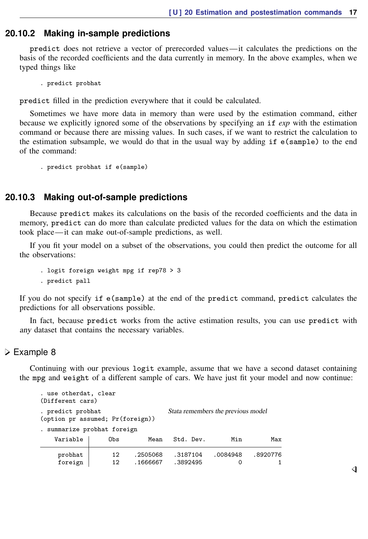#### <span id="page-16-0"></span>**20.10.2 Making in-sample predictions**

predict does not retrieve a vector of prerecorded values—it calculates the predictions on the basis of the recorded coefficients and the data currently in memory. In the above examples, when we typed things like

. predict probhat

predict filled in the prediction everywhere that it could be calculated.

Sometimes we have more data in memory than were used by the estimation command, either because we explicitly ignored some of the observations by specifying an if *exp* with the estimation command or because there are missing values. In such cases, if we want to restrict the calculation to the estimation subsample, we would do that in the usual way by adding if e(sample) to the end of the command:

```
. predict probhat if e(sample)
```
## **20.10.3 Making out-of-sample predictions**

Because predict makes its calculations on the basis of the recorded coefficients and the data in memory, predict can do more than calculate predicted values for the data on which the estimation took place—it can make out-of-sample predictions, as well.

If you fit your model on a subset of the observations, you could then predict the outcome for all the observations:

```
. logit foreign weight mpg if rep78 > 3
. predict pall
```
If you do not specify if e(sample) at the end of the predict command, predict calculates the predictions for all observations possible.

In fact, because predict works from the active estimation results, you can use predict with any dataset that contains the necessary variables.

#### Example 8

Continuing with our previous logit example, assume that we have a second dataset containing the mpg and weight of a different sample of cars. We have just fit your model and now continue:

| . use otherdat, clear<br>(Different cars)             |     |          |                                    |          |          |
|-------------------------------------------------------|-----|----------|------------------------------------|----------|----------|
| . predict probhat<br>(option pr assumed; Pr(foreign)) |     |          | Stata remembers the previous model |          |          |
| . summarize probhat foreign                           |     |          |                                    |          |          |
| Variable                                              | Obs | Mean     | Std. Dev.                          | Min      | Max      |
| probhat                                               | 12  | .2505068 | .3187104                           | .0084948 | .8920776 |
| foreign                                               | 12  | .1666667 | .3892495                           | 0        |          |

◁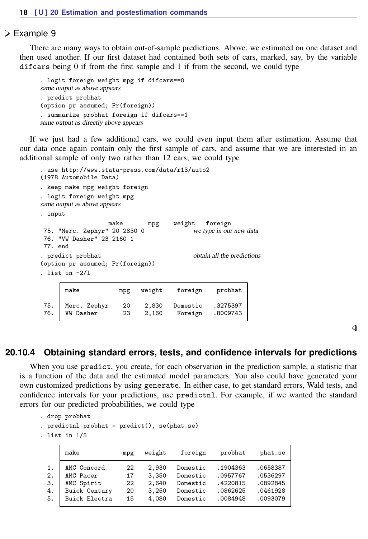#### Example 9

There are many ways to obtain out-of-sample predictions. Above, we estimated on one dataset and then used another. If our first dataset had contained both sets of cars, marked, say, by the variable difcars being 0 if from the first sample and 1 if from the second, we could type

```
. logit foreign weight mpg if difcars==0
same output as above appears
. predict probhat
(option pr assumed; Pr(foreign))
. summarize probhat foreign if difcars==1
same output as directly above appears
```
If we just had a few additional cars, we could even input them after estimation. Assume that our data once again contain only the first sample of cars, and assume that we are interested in an additional sample of only two rather than 12 cars; we could type

```
. use http://www.stata-press.com/data/r13/auto2
(1978 Automobile Data)
. keep make mpg weight foreign
. logit foreign weight mpg
same output as above appears
. input
                make mpg weight foreign
75. "Merc. Zephyr" 20 2830 0 we type in our new data
76. "VW Dasher" 23 2160 1
77. end
. predict probhat obtain all the predictions
(option pr assumed; Pr(foreign))
. list in -2/l
      make mpg weight foreign probhat
75. Merc. Zephyr 20 2,830 Domestic .3275397
76. VW Dasher 23 2,160 Foreign .8009743
```
◁

#### <span id="page-17-0"></span>**20.10.4 Obtaining standard errors, tests, and confidence intervals for predictions**

When you use predict, you create, for each observation in the prediction sample, a statistic that is a function of the data and the estimated model parameters. You also could have generated your own customized predictions by using generate. In either case, to get standard errors, Wald tests, and confidence intervals for your predictions, use predictnl. For example, if we wanted the standard errors for our predicted probabilities, we could type

```
. drop probhat
```

```
. predictnl probhat = predict(), se(phat_se)
```
. list in 1/5

|                  | make          | mpg | weight | foreign  | probhat   | phat_se  |
|------------------|---------------|-----|--------|----------|-----------|----------|
| 1.               | AMC Concord   | 22  | 2,930  | Domestic | . 1904363 | .0658387 |
| $\overline{2}$ . | AMC Pacer     | 17  | 3,350  | Domestic | .0957767  | .0536297 |
| З.               | AMC Spirit    | 22  | 2,640  | Domestic | .4220815  | .0892845 |
| 4.               | Buick Century | 20  | 3,250  | Domestic | .0862625  | .0461928 |
| 5.               | Buick Electra | 15  | 4,080  | Domestic | .0084948  | .0093079 |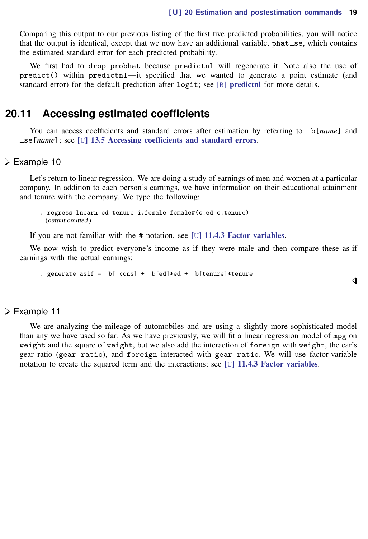$\blacktriangleleft$ 

Comparing this output to our previous listing of the first five predicted probabilities, you will notice that the output is identical, except that we now have an additional variable, phat\_se, which contains the estimated standard error for each predicted probability.

We first had to drop probhat because predictnl will regenerate it. Note also the use of predict() within predictnl—it specified that we wanted to generate a point estimate (and standard error) for the default prediction after logit; see [R] **predictni** for more details.

# <span id="page-18-0"></span>**20.11 Accessing estimated coefficients**

You can access coefficients and standard errors after estimation by referring to  $_b[name]$  and se[*name*]; see [U[\] 13.5 Accessing coefficients and standard errors](http://www.stata.com/manuals13/u13.pdf#u13.5Accessingcoefficientsandstandarderrors).

## Example 10

Let's return to linear regression. We are doing a study of earnings of men and women at a particular company. In addition to each person's earnings, we have information on their educational attainment and tenure with the company. We type the following:

. regress lnearn ed tenure i.female female#(c.ed c.tenure) (output omitted )

If you are not familiar with the  $\#$  notation, see [U[\] 11.4.3 Factor variables](http://www.stata.com/manuals13/u11.pdf#u11.4.3Factorvariables).

We now wish to predict everyone's income as if they were male and then compare these as-if earnings with the actual earnings:

. generate asif =  $_b[-\text{cons}] + b[\text{ed}]*\text{ed} + b[\text{tenure}]*\text{tenure}$ 

## Example 11

We are analyzing the mileage of automobiles and are using a slightly more sophisticated model than any we have used so far. As we have previously, we will fit a linear regression model of mpg on weight and the square of weight, but we also add the interaction of foreign with weight, the car's gear ratio (gear ratio), and foreign interacted with gear ratio. We will use factor-variable notation to create the squared term and the interactions; see [U[\] 11.4.3 Factor variables](http://www.stata.com/manuals13/u11.pdf#u11.4.3Factorvariables).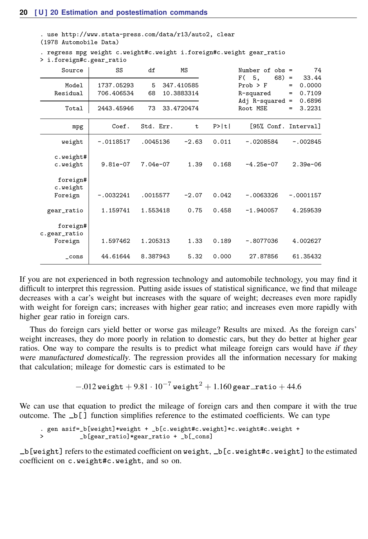. use http://www.stata-press.com/data/r13/auto2, clear

(1978 Automobile Data)

. regress mpg weight c.weight#c.weight i.foreign#c.weight gear\_ratio

> i.foreign#c.gear\_ratio

| Source                   | SS                       | df        | ΜS                       |       | Number of $obs =$                                                 | 74                                              |
|--------------------------|--------------------------|-----------|--------------------------|-------|-------------------------------------------------------------------|-------------------------------------------------|
| Model<br>Residual        | 1737.05293<br>706.406534 | 5<br>68   | 347.410585<br>10.3883314 |       | F(5,<br>$68) =$<br>$Prob$ > $F$<br>R-squared<br>$Adj$ R-squared = | 33.44<br>0.0000<br>$=$<br>0.7109<br>=<br>0.6896 |
| Total                    | 2443.45946               | 73        | 33.4720474               |       | Root MSE                                                          | 3.2231<br>$=$                                   |
| mpg                      | Coef.                    | Std. Err. | t                        | P>  t | [95% Conf. Interval]                                              |                                                 |
| weight                   | $-.0118517$              | .0045136  | $-2.63$                  | 0.011 | $-.0208584$                                                       | $-.002845$                                      |
| c.weight#<br>c.weight    | $9.81e-07$               | 7.04e-07  | 1.39                     | 0.168 | $-4.25e-07$                                                       | $2.39e-06$                                      |
| foreign#<br>c.weight     |                          |           |                          |       |                                                                   |                                                 |
| Foreign                  | $-.0032241$              | .0015577  | $-2.07$                  | 0.042 | $-.0063326$                                                       | $-.0001157$                                     |
| gear_ratio               | 1.159741                 | 1.553418  | 0.75                     | 0.458 | $-1.940057$                                                       | 4.259539                                        |
| foreign#<br>c.gear_ratio |                          |           |                          |       |                                                                   |                                                 |
| Foreign                  | 1.597462                 | 1.205313  | 1.33                     | 0.189 | $-.8077036$                                                       | 4.002627                                        |
| $\_cons$                 | 44.61644                 | 8.387943  | 5.32                     | 0.000 | 27.87856                                                          | 61.35432                                        |

If you are not experienced in both regression technology and automobile technology, you may find it difficult to interpret this regression. Putting aside issues of statistical significance, we find that mileage decreases with a car's weight but increases with the square of weight; decreases even more rapidly with weight for foreign cars; increases with higher gear ratio; and increases even more rapidly with higher gear ratio in foreign cars.

Thus do foreign cars yield better or worse gas mileage? Results are mixed. As the foreign cars' weight increases, they do more poorly in relation to domestic cars, but they do better at higher gear ratios. One way to compare the results is to predict what mileage foreign cars would have if they were manufactured domestically. The regression provides all the information necessary for making that calculation; mileage for domestic cars is estimated to be

$$
-.012\,\mathtt{weight} + 9.81\cdot 10^{-7}\,\mathtt{weight}^2 + 1.160\,\mathtt{gear\_ratio} + 44.6
$$

We can use that equation to predict the mileage of foreign cars and then compare it with the true outcome. The  $_b[ ]$  function simplifies reference to the estimated coefficients. We can type

```
. gen asif=_b[weight]*weight + _b[c.weight#c.weight]*c.weight#c.weight +<br>> b[gear ratio]*gear ratio + b[cons]
               > _b[gear_ratio]*gear_ratio + _b[_cons]
```
 $_b[weight]$  refers to the estimated coefficient on weight,  $_b[c.weight, weight]$  to the estimated coefficient on c.weight#c.weight, and so on.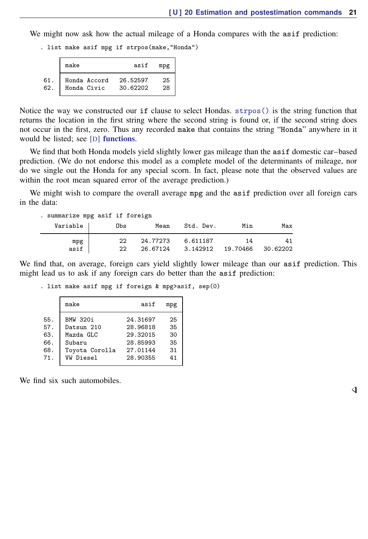We might now ask how the actual mileage of a Honda compares with the asif prediction:

. list make asif mpg if strpos(make,"Honda")

|            | make        |              | asif                 | mpg      |
|------------|-------------|--------------|----------------------|----------|
| 61.<br>62. | Honda Civic | Honda Accord | 26.52597<br>30.62202 | 25<br>28 |

Notice the way we constructed our if clause to select Hondas. [strpos\(\)](http://www.stata.com/manuals13/dfunctions.pdf#dfunctionsDescriptionstrpos()) is the string function that returns the location in the first string where the second string is found or, if the second string does not occur in the first, zero. Thus any recorded make that contains the string "Honda" anywhere in it would be listed; see [D] [functions](http://www.stata.com/manuals13/dfunctions.pdf#dfunctions).

We find that both Honda models yield slightly lower gas mileage than the asif domestic car–based prediction. (We do not endorse this model as a complete model of the determinants of mileage, nor do we single out the Honda for any special scorn. In fact, please note that the observed values are within the root mean squared error of the average prediction.)

We might wish to compare the overall average mpg and the asif prediction over all foreign cars in the data:

| . summarize mpg asif if foreign |          |                      |                      |           |                |                |
|---------------------------------|----------|----------------------|----------------------|-----------|----------------|----------------|
| Variable                        | Obs      | Mean                 |                      | Std. Dev. | Min            | Max            |
| mpg<br>asif                     | 22<br>22 | 24.77273<br>26.67124 | 6.611187<br>3.142912 |           | 14<br>19.70466 | 41<br>30.62202 |

We find that, on average, foreign cars yield slightly lower mileage than our asif prediction. This might lead us to ask if any foreign cars do better than the asif prediction:

|     | make             | asif     | mpg |
|-----|------------------|----------|-----|
| 55. | <b>BMW 320i</b>  | 24.31697 | 25  |
| 57. | Datsun 210       | 28.96818 | 35  |
| 63. | Mazda GLC        | 29.32015 | 30  |
| 66. | Subaru           | 28.85993 | 35  |
| 68. | Toyota Corolla   | 27.01144 | 31  |
| 71. | <b>VW Diesel</b> | 28.90355 | 41  |
|     |                  |          |     |

. list make asif mpg if foreign & mpg>asif, sep(0)

We find six such automobiles.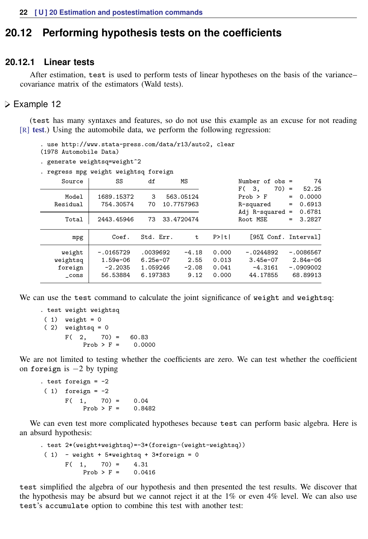# <span id="page-21-1"></span><span id="page-21-0"></span>**20.12 Performing hypothesis tests on the coefficients**

## **20.12.1 Linear tests**

After estimation, test is used to perform tests of linear hypotheses on the basis of the variance– covariance matrix of the estimators (Wald tests).

#### Example 12

(test has many syntaxes and features, so do not use this example as an excuse for not reading [R] [test](http://www.stata.com/manuals13/rtest.pdf#rtest).) Using the automobile data, we perform the following regression:

```
. use http://www.stata-press.com/data/r13/auto2, clear
(1978 Automobile Data)
```
- . generate weightsq=weight^2
- . regress mpg weight weightsq foreign

| Source                                | SS                                                   | df                                             | ΜS                                 |                                  | Number of $obs =$<br>$70) =$<br>F (<br>3,          | 74<br>52.25                                          |
|---------------------------------------|------------------------------------------------------|------------------------------------------------|------------------------------------|----------------------------------|----------------------------------------------------|------------------------------------------------------|
| Model<br>Residual                     | 1689.15372<br>754.30574                              | 3<br>70                                        | 563.05124<br>10.7757963            |                                  | $Prob$ > $F$<br>R-squared                          | 0.0000<br>$=$<br>0.6913<br>$=$<br>0.6781             |
| Total                                 | 2443.45946                                           | 73                                             | 33.4720474                         |                                  | $Adj$ R-squared =<br>Root MSE                      | 3.2827<br>$=$                                        |
| mpg                                   | Coef.                                                | Std. Err.                                      | t                                  | P>  t                            | [95% Conf. Interval]                               |                                                      |
| weight<br>weightsq<br>foreign<br>cons | $-.0165729$<br>$1.59e - 06$<br>$-2.2035$<br>56.53884 | .0039692<br>$6.25e-07$<br>1.059246<br>6.197383 | $-4.18$<br>2.55<br>$-2.08$<br>9.12 | 0.000<br>0.013<br>0.041<br>0.000 | $-.0244892$<br>$3.45e-07$<br>$-4.3161$<br>44.17855 | $-.0086567$<br>$2.84e-06$<br>$-.0909002$<br>68.89913 |

We can use the test command to calculate the joint significance of weight and weightsq:

```
. test weight weightsq
 ( 1) weight = 0
 ( 2) weightsq = 0
       F(2, 70) = 60.83<br>Prob > F = 0.0000
             Prob > F =
```
We are not limited to testing whether the coefficients are zero. We can test whether the coefficient on foreign is −2 by typing

```
. test foreign = -2(1) foreign = -2F( 1, 70) = 0.04Prob > F = 0.8482
```
We can even test more complicated hypotheses because test can perform basic algebra. Here is an absurd hypothesis:

```
. test 2*(weight+weightsq)=-3*(foreign-(weight-weightsq))
 ( 1) - weight + 5*weightsq + 3*foreign = 0
       F( 1, 70) = 4.31<br>Prob > F = 0.0416
            Prob > F =
```
test simplified the algebra of our hypothesis and then presented the test results. We discover that the hypothesis may be absurd but we cannot reject it at the  $1\%$  or even  $4\%$  level. We can also use test's accumulate option to combine this test with another test: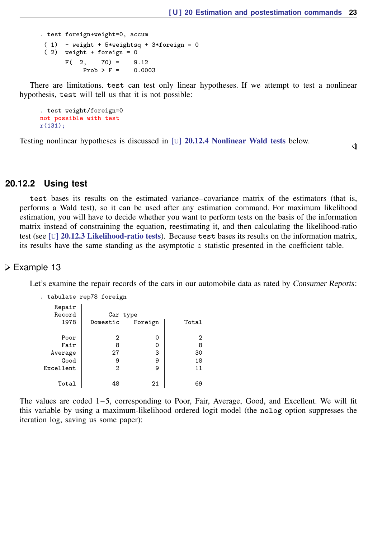```
. test foreign+weight=0, accum
(1) - weight + 5*weightsq + 3*foreign = 0
 ( 2) weight + foreign = 0
       F(2, 70) = 9.12<br>Prob > F = 0.0003
            Prob > F =
```
There are limitations. test can test only linear hypotheses. If we attempt to test a nonlinear hypothesis, test will tell us that it is not possible:

```
. test weight/foreign=0
not possible with test
r(131);
```
<span id="page-22-0"></span>Testing nonlinear hypotheses is discussed in [U[\] 20.12.4 Nonlinear Wald tests](#page-24-0) below.

#### **20.12.2 Using test**

test bases its results on the estimated variance–covariance matrix of the estimators (that is, performs a Wald test), so it can be used after any estimation command. For maximum likelihood estimation, you will have to decide whether you want to perform tests on the basis of the information matrix instead of constraining the equation, reestimating it, and then calculating the likelihood-ratio test (see [U[\] 20.12.3 Likelihood-ratio tests](#page-23-0)). Because test bases its results on the information matrix, its results have the same standing as the asymptotic  $z$  statistic presented in the coefficient table.

#### Example 13

Let's examine the repair records of the cars in our automobile data as rated by Consumer Reports:

| Repair<br>Record | Car type |         |       |
|------------------|----------|---------|-------|
| 1978             | Domestic | Foreign | Total |
| Poor             | 2        | 0       | 2     |
| Fair             | 8        | 0       | 8     |
| Average          | 27       | 3       | 30    |
| Good             | 9        | 9       | 18    |
| Excellent        | 2        | 9       | 11    |
| Total            | 48       | 21      | 69    |

. tabulate rep78 foreign

The values are coded 1–5, corresponding to Poor, Fair, Average, Good, and Excellent. We will fit this variable by using a maximum-likelihood ordered logit model (the nolog option suppresses the iteration log, saving us some paper):

 $\triangleleft$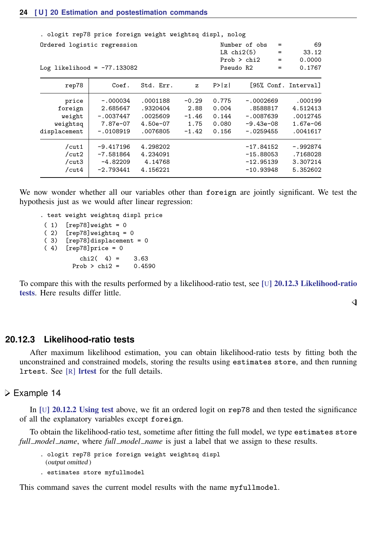. ologit rep78 price foreign weight weightsq displ, nolog

| . Ologic lepno biice idieigh weight weightsd displ, holog    |                                                                  |                                                            |                                               |                                           |                                                                      |  |                                                         |
|--------------------------------------------------------------|------------------------------------------------------------------|------------------------------------------------------------|-----------------------------------------------|-------------------------------------------|----------------------------------------------------------------------|--|---------------------------------------------------------|
| Ordered logistic regression<br>Log likelihood = $-77.133082$ | $LR$ chi $2(5)$<br>Prob > chi2<br>Pseudo R2                      | Number of obs                                              | $=$<br>$=$<br>$=$<br>$=$                      | 69<br>33.12<br>0.0000<br>0.1767           |                                                                      |  |                                                         |
| rep78                                                        | Coef.                                                            | Std. Err.                                                  | $\mathbf{z}$                                  | P >  z                                    |                                                                      |  | [95% Conf. Interval]                                    |
| price<br>foreign<br>weight<br>weightsq<br>displacement       | $-.000034$<br>2.685647<br>$-.0037447$<br>7.87e-07<br>$-.0108919$ | .0001188<br>.9320404<br>.0025609<br>$4.50e-07$<br>.0076805 | $-0.29$<br>2.88<br>$-1.46$<br>1.75<br>$-1.42$ | 0.775<br>0.004<br>0.144<br>0.080<br>0.156 | $-.0002669$<br>.8588817<br>$-.0087639$<br>$-9.43e-08$<br>$-.0259455$ |  | .000199<br>4.512413<br>.0012745<br>1.67e-06<br>.0041617 |
| /cut1<br>/cut2<br>/cut3<br>/cut4                             | $-9.417196$<br>$-7.581864$<br>$-4.82209$<br>$-2.793441$          | 4.298202<br>4.234091<br>4.14768<br>4.156221                |                                               |                                           | $-17.84152$<br>$-15.88053$<br>$-12.95139$<br>$-10.93948$             |  | $-.992874$<br>.7168028<br>3.307214<br>5.352602          |

We now wonder whether all our variables other than foreign are jointly significant. We test the hypothesis just as we would after linear regression:

```
. test weight weightsq displ price
 (1) [rep78]weight = 0
 ( 2) [rep78]weightsq = 0
 ( 3) [rep78]displacement = 0
 ( 4) [rep78]price = 0
           chi2(4) = 3.63<br>
cob > chi2 = 0.4590
         Prob > chi2 =
```
To compare this with the results performed by a likelihood-ratio test, see [U[\] 20.12.3 Likelihood-ratio](#page-23-0) [tests](#page-23-0). Here results differ little.

 $\blacktriangleleft$ 

## <span id="page-23-0"></span>**20.12.3 Likelihood-ratio tests**

After maximum likelihood estimation, you can obtain likelihood-ratio tests by fitting both the unconstrained and constrained models, storing the results using estimates store, and then running lrtest. See [R] [lrtest](http://www.stata.com/manuals13/rlrtest.pdf#rlrtest) for the full details.

# Example 14

In [U[\] 20.12.2 Using test](#page-22-0) above, we fit an ordered logit on rep78 and then tested the significance of all the explanatory variables except foreign.

To obtain the likelihood-ratio test, sometime after fitting the full model, we type estimates store *full model name*, where *full model name* is just a label that we assign to these results.

. ologit rep78 price foreign weight weightsq displ (output omitted )

. estimates store myfullmodel

This command saves the current model results with the name myfullmodel.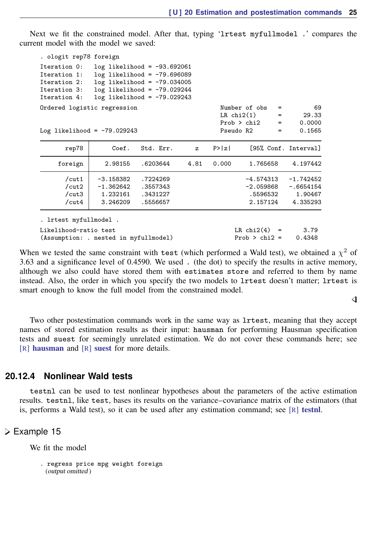Next we fit the constrained model. After that, typing 'lrtest myfullmodel .' compares the current model with the model we saved:

| . ologit rep78 foreign                |                      |                               |      |           |                      |                      |
|---------------------------------------|----------------------|-------------------------------|------|-----------|----------------------|----------------------|
| Iteration 0:                          |                      | $log$ likelihood = -93.692061 |      |           |                      |                      |
| Iteration 1:                          |                      | $log$ likelihood = -79.696089 |      |           |                      |                      |
| Iteration 2:                          |                      | $log$ likelihood = -79.034005 |      |           |                      |                      |
| Iteration 3:                          |                      | $log$ likelihood = -79.029244 |      |           |                      |                      |
| Iteration 4:                          |                      | $log$ likelihood = -79.029243 |      |           |                      |                      |
| Ordered logistic regression           |                      |                               |      |           | Number of obs<br>$=$ | 69                   |
|                                       |                      |                               |      |           | LR $chi2(1)$ =       | 29.33                |
|                                       |                      |                               |      |           | $Prob > chi2 =$      | 0.0000               |
| Log likelihood = $-79.029243$         |                      |                               |      | Pseudo R2 | $=$                  | 0.1565               |
| rep78                                 | Coef.                | Std. Err.                     | z.   | P >  z    |                      | [95% Conf. Interval] |
| foreign                               | 2.98155              | .6203644                      | 4.81 | 0.000     | 1.765658             | 4.197442             |
| /cut1                                 | $-3.158382$          | .7224269                      |      |           | -4.574313            | $-1.742452$          |
| $/c$ ut $2$                           | $-1.362642$ .3557343 |                               |      |           | $-2.059868$          | $-.6654154$          |
| /cut3                                 |                      | 1.232161 .3431227             |      |           | .5596532             | 1.90467              |
| $/c$ ut $4$                           | 3.246209             | .5556657                      |      |           | 2.157124             | 4.335293             |
| . lrtest myfullmodel.                 |                      |                               |      |           |                      |                      |
| Likelihood-ratio test                 |                      |                               |      |           | $LR chi2(4) =$       | 3.79                 |
| (Assumption: . nested in myfullmodel) |                      |                               |      |           | $Prob > chi2 =$      | 0.4348               |

When we tested the same constraint with test (which performed a Wald test), we obtained a  $\chi^2$  of 3.63 and a significance level of 0.4590. We used . (the dot) to specify the results in active memory, although we also could have stored them with estimates store and referred to them by name instead. Also, the order in which you specify the two models to lrtest doesn't matter; lrtest is smart enough to know the full model from the constrained model.

Two other postestimation commands work in the same way as lrtest, meaning that they accept names of stored estimation results as their input: hausman for performing Hausman specification tests and suest for seemingly unrelated estimation. We do not cover these commands here; see [R] [hausman](http://www.stata.com/manuals13/rhausman.pdf#rhausman) and [R] [suest](http://www.stata.com/manuals13/rsuest.pdf#rsuest) for more details.

## <span id="page-24-0"></span>**20.12.4 Nonlinear Wald tests**

testnl can be used to test nonlinear hypotheses about the parameters of the active estimation results. testnl, like test, bases its results on the variance–covariance matrix of the estimators (that is, performs a Wald test), so it can be used after any estimation command; see  $[R]$  [testnl](http://www.stata.com/manuals13/rtestnl.pdf#rtestnl).

Example 15

We fit the model

. regress price mpg weight foreign (output omitted )

 $\blacktriangleleft$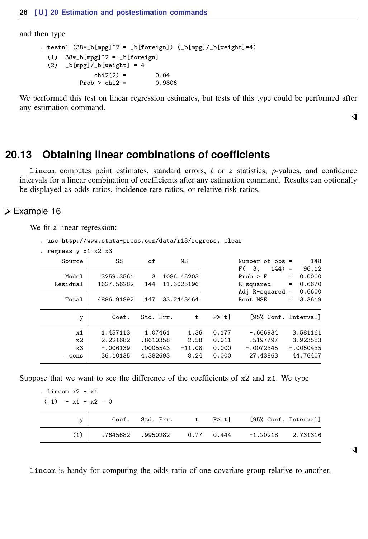and then type

```
. testnl (38 *_b[mpg]^2 = _b[foreigh]) (_b[mpg]/_b[weight]=4)(1) 38 * \text{b} \text{[mpg]}^2 = \text{b} \text{[foreign]}<br>(2) \text{b} \text{[mpg]} / \text{b} \text{[weight]} = 4[b[mpg]/b[weight] = 4chi2(2) = 0.04<br>> chi2 = 0.9806Prob > chi2 =
```
We performed this test on linear regression estimates, but tests of this type could be performed after any estimation command.

 $\overline{4}$ 

₫

# <span id="page-25-0"></span>**20.13 Obtaining linear combinations of coefficients**

lincom computes point estimates, standard errors,  $t$  or  $z$  statistics, p-values, and confidence intervals for a linear combination of coefficients after any estimation command. Results can optionally be displayed as odds ratios, incidence-rate ratios, or relative-risk ratios.

## **▷** Example 16

We fit a linear regression:

```
. use http://www.stata-press.com/data/r13/regress, clear
```

| . regress y x1 x2 x3 |            |           |            |       |                                  |     |                 |
|----------------------|------------|-----------|------------|-------|----------------------------------|-----|-----------------|
| Source               | SS         | df        | МS         |       | Number of $obs =$                |     | 148             |
| Model                | 3259.3561  | 3         | 1086.45203 |       | $144) =$<br>F(3.<br>$Prob$ > $F$ | $=$ | 96.12<br>0.0000 |
| Residual             | 1627.56282 | 144       | 11.3025196 |       | R-squared                        | $=$ | 0.6670          |
|                      |            |           |            |       | Adj $R$ -squared =               |     | 0.6600          |
| Total                | 4886.91892 | 147       | 33.2443464 |       | Root MSE                         |     | $= 3.3619$      |
|                      |            |           |            |       |                                  |     |                 |
| y                    | Coef.      | Std. Err. | t.         | P>  t | [95% Conf. Interval]             |     |                 |
| x1                   | 1.457113   | 1.07461   | 1.36       | 0.177 | $-.666934$                       |     | 3.581161        |
| x2                   | 2.221682   | .8610358  | 2.58       | 0.011 | .5197797                         |     | 3.923583        |
| x3                   | $-.006139$ | .0005543  | $-11.08$   | 0.000 | -.0072345                        |     | $-.0050435$     |
| cons                 | 36.10135   | 4.382693  | 8.24       | 0.000 | 27.43863                         |     | 44.76407        |
|                      |            |           |            |       |                                  |     |                 |

Suppose that we want to see the difference of the coefficients of  $x2$  and  $x1$ . We type

```
. lincom x2 - x1
(1) - x1 + x2 = 0y Coef. Std. Err. t P>|t| [95% Conf. Interval]
       (1) .7645682 .9950282 0.77 0.444 -1.20218 2.731316
```
lincom is handy for computing the odds ratio of one covariate group relative to another.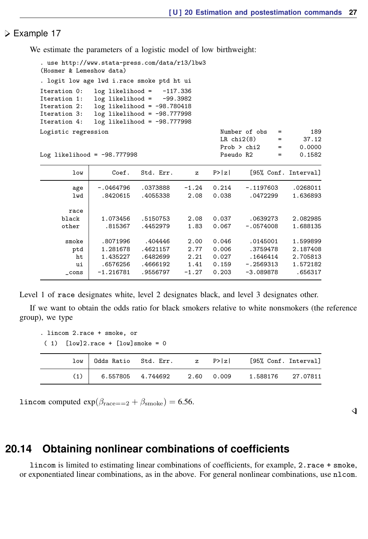## **▷ Example 17**

We estimate the parameters of a logistic model of low birthweight:

| . use http://www.stata-press.com/data/r13/lbw3<br>(Hosmer & Lemeshow data)   |                                                             |                                                                                                                                                                   |                                         |                                           |                                                                |     |                                                         |
|------------------------------------------------------------------------------|-------------------------------------------------------------|-------------------------------------------------------------------------------------------------------------------------------------------------------------------|-----------------------------------------|-------------------------------------------|----------------------------------------------------------------|-----|---------------------------------------------------------|
| . logit low age lwd i.race smoke ptd ht ui                                   |                                                             |                                                                                                                                                                   |                                         |                                           |                                                                |     |                                                         |
| Iteration 0:<br>Iteration 1:<br>Iteration 2:<br>Iteration 3:<br>Iteration 4: |                                                             | $log$ likelihood = $-117.336$<br>$log$ likelihood = $-99.3982$<br>$log$ likelihood = -98.780418<br>$log$ likelihood = -98.777998<br>$log$ likelihood = -98.777998 |                                         |                                           |                                                                |     |                                                         |
| Logistic regression                                                          |                                                             |                                                                                                                                                                   |                                         |                                           | Number of obs                                                  | $=$ | 189                                                     |
|                                                                              |                                                             |                                                                                                                                                                   |                                         | $LR$ chi $2(8)$                           |                                                                | $=$ | 37.12                                                   |
|                                                                              |                                                             |                                                                                                                                                                   |                                         |                                           | Prob > chi2                                                    | $=$ | 0.0000                                                  |
| Log likelihood = $-98.777998$                                                |                                                             |                                                                                                                                                                   |                                         | Pseudo R2                                 |                                                                | $=$ | 0.1582                                                  |
| low                                                                          | Coef.                                                       | Std. Err.                                                                                                                                                         | $\mathbf{z}$                            | P >  z                                    |                                                                |     | [95% Conf. Interval]                                    |
| age                                                                          | -.0464796                                                   | .0373888                                                                                                                                                          | $-1.24$                                 | 0.214                                     | -.1197603                                                      |     | .0268011                                                |
| lwd                                                                          | .8420615                                                    | .4055338                                                                                                                                                          | 2.08                                    | 0.038                                     | .0472299                                                       |     | 1.636893                                                |
| race<br>black<br>other                                                       | 1.073456<br>.815367                                         | .5150753<br>.4452979                                                                                                                                              | 2.08<br>1.83                            | 0.037<br>0.067                            | .0639273<br>$-.0574008$                                        |     | 2.082985<br>1.688135                                    |
| smoke<br>ptd<br>ht<br>ui<br>$_{\rm -cons}$                                   | .8071996<br>1.281678<br>1.435227<br>.6576256<br>$-1.216781$ | .404446<br>.4621157<br>.6482699<br>.4666192<br>.9556797                                                                                                           | 2.00<br>2.77<br>2.21<br>1.41<br>$-1.27$ | 0.046<br>0.006<br>0.027<br>0.159<br>0.203 | .0145001<br>.3759478<br>.1646414<br>$-.2569313$<br>$-3.089878$ |     | 1.599899<br>2.187408<br>2.705813<br>1.572182<br>.656317 |
|                                                                              |                                                             |                                                                                                                                                                   |                                         |                                           |                                                                |     |                                                         |

Level 1 of race designates white, level 2 designates black, and level 3 designates other.

If we want to obtain the odds ratio for black smokers relative to white nonsmokers (the reference group), we type

```
. lincom 2.race + smoke, or
(1) \lceil \text{lowl2.race +} \rceillow]smoke = 0
        low Odds Ratio Std. Err. z P>|z| [95% Conf. Interval]
        (1) 6.557805 4.744692 2.60 0.009 1.588176 27.07811
```
lincom computed  $\exp(\beta_{\text{race}==2} + \beta_{\text{smoke}}) = 6.56$ .

# <span id="page-26-0"></span>**20.14 Obtaining nonlinear combinations of coefficients**

lincom is limited to estimating linear combinations of coefficients, for example, 2.race + smoke, or exponentiated linear combinations, as in the above. For general nonlinear combinations, use nlcom.

◁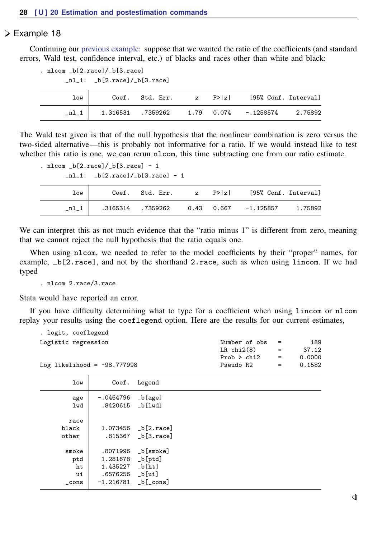#### Example 18

Continuing our [previous example:](http://www.stata.com/manuals13/uobtaininglinearcombinationsofcoefficients.pdf#uObtaininglinearcombinationsofcoefficientsObtaininglinearcombinationsofcoefficientsex17) suppose that we wanted the ratio of the coefficients (and standard errors, Wald test, confidence interval, etc.) of blacks and races other than white and black:

```
. nlcom _b[2.race]/_b[3.race]
      nl_1: b[2.read]/b[3.read]
```

| low I | $Coef.$ Std. Err. $z$ P> $ z $ |  | [95% Conf. Interval]                                  |  |
|-------|--------------------------------|--|-------------------------------------------------------|--|
|       |                                |  | nl 1   1.316531 .7359262 1.79 0.074 -.1258574 2.75892 |  |

The Wald test given is that of the null hypothesis that the nonlinear combination is zero versus the two-sided alternative—this is probably not informative for a ratio. If we would instead like to test whether this ratio is one, we can rerun nlcom, this time subtracting one from our ratio estimate.

```
. nlcom \nightharpoonup b[2, race]/\nightharpoonup b[3, race] - 1
```

```
[n] _nl _1: _b[2.race]/_b[3.race] - 1
```

| low       | Coef. | Std. Err.        |            | z P>lzl |             | [95% Conf. Interval] |
|-----------|-------|------------------|------------|---------|-------------|----------------------|
| $\_n1\_1$ |       | .3165314.7359262 | 0.43 0.667 |         | $-1$ 125857 | 1 75892              |

We can interpret this as not much evidence that the "ratio minus 1" is different from zero, meaning that we cannot reject the null hypothesis that the ratio equals one.

When using nlcom, we needed to refer to the model coefficients by their "proper" names, for example,  $_b[2, \text{race}]$ , and not by the shorthand 2.race, such as when using lincom. If we had typed

. nlcom 2.race/3.race

Stata would have reported an error.

If you have difficulty determining what to type for a coefficient when using lincom or nlcom replay your results using the coeflegend option. Here are the results for our current estimates,

| . logit, coeflegend                                  |                                                          |                                                                         |            |                  |  |
|------------------------------------------------------|----------------------------------------------------------|-------------------------------------------------------------------------|------------|------------------|--|
| Logistic regression<br>Log likelihood = $-98.777998$ |                                                          | Number of obs<br>$LR$ chi $2(8)$                                        | $=$<br>$=$ | 189<br>37.12     |  |
|                                                      |                                                          | Prob > chi2<br>Pseudo R2                                                | $=$<br>$=$ | 0.0000<br>0.1582 |  |
| low                                                  | Coef.                                                    | Legend                                                                  |            |                  |  |
| age<br>lwd                                           | $-.0464796$<br>.8420615                                  | _b[age]<br>b[lwd]                                                       |            |                  |  |
| race<br>black<br>other                               |                                                          | 1.073456 _b[2.race]<br>$.815367 \quad b[3.\text{race}]$                 |            |                  |  |
| smoke<br>ptd<br>ht<br>ui<br>$\_cons$                 | .8071996<br>1.281678<br>1.435227<br>$.6576256$ $_b$ [ui] | _b[smoke]<br>$_b[ptd]$<br>_b[ht]<br>$-1.216781$ b $\lceil \cosh \rceil$ |            |                  |  |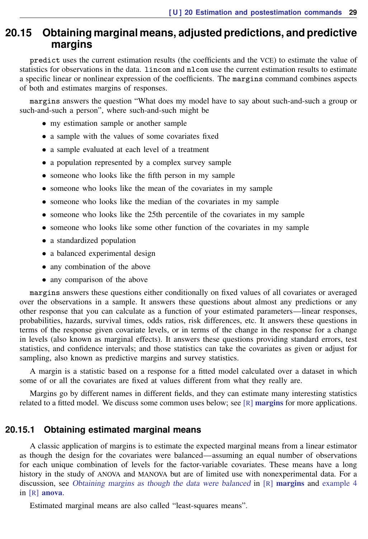# <span id="page-28-0"></span>**20.15 Obtaining marginal means, adjusted predictions, and predictive margins**

predict uses the current estimation results (the coefficients and the VCE) to estimate the value of statistics for observations in the data. lincom and nlcom use the current estimation results to estimate a specific linear or nonlinear expression of the coefficients. The margins command combines aspects of both and estimates margins of responses.

margins answers the question "What does my model have to say about such-and-such a group or such-and-such a person", where such-and-such might be

- my estimation sample or another sample
- a sample with the values of some covariates fixed
- a sample evaluated at each level of a treatment
- a population represented by a complex survey sample
- someone who looks like the fifth person in my sample
- someone who looks like the mean of the covariates in my sample
- someone who looks like the median of the covariates in my sample
- someone who looks like the 25th percentile of the covariates in my sample
- someone who looks like some other function of the covariates in my sample
- a standardized population
- a balanced experimental design
- any combination of the above
- any comparison of the above

margins answers these questions either conditionally on fixed values of all covariates or averaged over the observations in a sample. It answers these questions about almost any predictions or any other response that you can calculate as a function of your estimated parameters—linear responses, probabilities, hazards, survival times, odds ratios, risk differences, etc. It answers these questions in terms of the response given covariate levels, or in terms of the change in the response for a change in levels (also known as marginal effects). It answers these questions providing standard errors, test statistics, and confidence intervals; and those statistics can take the covariates as given or adjust for sampling, also known as predictive margins and survey statistics.

A margin is a statistic based on a response for a fitted model calculated over a dataset in which some of or all the covariates are fixed at values different from what they really are.

<span id="page-28-1"></span>Margins go by different names in different fields, and they can estimate many interesting statistics related to a fitted model. We discuss some common uses below; see [R] [margins](http://www.stata.com/manuals13/rmargins.pdf#rmargins) for more applications.

## **20.15.1 Obtaining estimated marginal means**

A classic application of margins is to estimate the expected marginal means from a linear estimator as though the design for the covariates were balanced—assuming an equal number of observations for each unique combination of levels for the factor-variable covariates. These means have a long history in the study of ANOVA and MANOVA but are of limited use with nonexperimental data. For a discussion, see [Obtaining margins as though the data were balanced](http://www.stata.com/manuals13/rmargins.pdf#rmarginsRemarksandexamplesObtainingmarginsasthoughthedatawerebalanced) in [R] **[margins](http://www.stata.com/manuals13/rmargins.pdf#rmargins)** and [example 4](http://www.stata.com/manuals13/ranova.pdf#ranovaRemarksandexamplesex_anova_systolic) in [R] [anova](http://www.stata.com/manuals13/ranova.pdf#ranova).

Estimated marginal means are also called "least-squares means".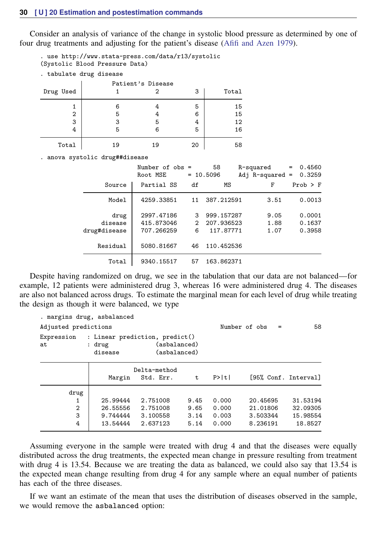Consider an analysis of variance of the change in systolic blood pressure as determined by one of four drug treatments and adjusting for the patient's disease ([Afifi and Azen](#page-62-1) [1979\)](#page-62-1).

. use http://www.stata-press.com/data/r13/systolic (Systolic Blood Pressure Data)

```
. tabulate drug disease
```

|           |    | Patient's Disease |    |       |
|-----------|----|-------------------|----|-------|
| Drug Used |    |                   | 3  | Total |
|           |    |                   |    |       |
|           | 6  |                   | 5  | 15    |
| 2         | 5  |                   | 6  | 15    |
| 3         | 3  | 5                 | 4  | 12    |
| 4         | 5  | 6                 | 5  | 16    |
| Total     | 19 | 19                | 20 | 58    |

. anova systolic drug##disease

|                                 | Number of $obs =$<br>Root MSE          |             | 58<br>$= 10.5096$                     | R-squared<br>Adj $R$ -squared = | 0.4560<br>$=$<br>0.3259    |
|---------------------------------|----------------------------------------|-------------|---------------------------------------|---------------------------------|----------------------------|
| Source                          | Partial SS                             | df          | ΜS                                    | F                               | $Prob$ > $F$               |
| Model                           | 4259.33851                             | 11          | 387.212591                            | 3.51                            | 0.0013                     |
| drug<br>disease<br>drug#disease | 2997.47186<br>415.873046<br>707.266259 | 3<br>2<br>6 | 999.157287<br>207.936523<br>117.87771 | 9.05<br>1.88<br>1.07            | 0.0001<br>0.1637<br>0.3958 |
| Residual                        | 5080.81667                             | 46          | 110.452536                            |                                 |                            |
| Total                           | 9340.15517                             | 57          | 163.862371                            |                                 |                            |

Despite having randomized on drug, we see in the tabulation that our data are not balanced—for example, 12 patients were administered drug 3, whereas 16 were administered drug 4. The diseases are also not balanced across drugs. To estimate the marginal mean for each level of drug while treating the design as though it were balanced, we type

| . margins drug, asbalanced            |                                                                                     |                                              |                              |                                  |                                              |                                             |
|---------------------------------------|-------------------------------------------------------------------------------------|----------------------------------------------|------------------------------|----------------------------------|----------------------------------------------|---------------------------------------------|
| Adjusted predictions                  |                                                                                     |                                              |                              |                                  | Number of obs<br>$=$                         | 58                                          |
| Expression<br>at                      | : Linear prediction, predict()<br>(asbalanced)<br>: drug<br>(asbalanced)<br>disease |                                              |                              |                                  |                                              |                                             |
|                                       | Margin                                                                              | Delta-method<br>Std. Err.                    | t                            | $P>$  t                          |                                              | [95% Conf. Interval]                        |
| drug<br>1<br>$\overline{2}$<br>3<br>4 | 25.99444<br>26.55556<br>9.744444<br>13.54444                                        | 2.751008<br>2.751008<br>3.100558<br>2.637123 | 9.45<br>9.65<br>3.14<br>5.14 | 0.000<br>0.000<br>0.003<br>0.000 | 20.45695<br>21,01806<br>3.503344<br>8.236191 | 31.53194<br>32.09305<br>15.98554<br>18.8527 |

Assuming everyone in the sample were treated with drug 4 and that the diseases were equally distributed across the drug treatments, the expected mean change in pressure resulting from treatment with drug 4 is 13.54. Because we are treating the data as balanced, we could also say that 13.54 is the expected mean change resulting from drug 4 for any sample where an equal number of patients has each of the three diseases.

If we want an estimate of the mean that uses the distribution of diseases observed in the sample, we would remove the asbalanced option: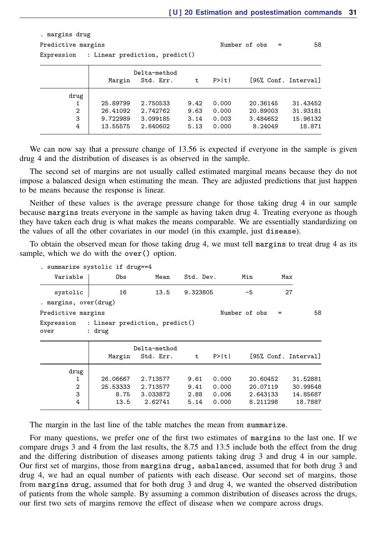| . margins drug |                                |                           |      |       |               |                      |
|----------------|--------------------------------|---------------------------|------|-------|---------------|----------------------|
|                | Predictive margins             |                           |      |       | Number of obs | 58                   |
| Expression     | : Linear prediction, predict() |                           |      |       |               |                      |
|                | Margin                         | Delta-method<br>Std. Err. | t    | P>  t |               | [95% Conf. Interval] |
| drug           |                                |                           |      |       |               |                      |
| 1              | 25.89799                       | 2.750533                  | 9.42 | 0.000 | 20.36145      | 31.43452             |
| $\mathbf{2}$   | 26.41092                       | 2.742762                  | 9.63 | 0.000 | 20.89003      | 31.93181             |
| 3              | 9.722989                       | 3.099185                  | 3.14 | 0.003 | 3.484652      | 15.96132             |
| 4              | 13.55575                       | 2.640602                  | 5.13 | 0.000 | 8.24049       | 18.871               |

We can now say that a pressure change of 13.56 is expected if everyone in the sample is given drug 4 and the distribution of diseases is as observed in the sample.

The second set of margins are not usually called estimated marginal means because they do not impose a balanced design when estimating the mean. They are adjusted predictions that just happen to be means because the response is linear.

Neither of these values is the average pressure change for those taking drug 4 in our sample because margins treats everyone in the sample as having taken drug 4. Treating everyone as though they have taken each drug is what makes the means comparable. We are essentially standardizing on the values of all the other covariates in our model (in this example, just disease).

To obtain the observed mean for those taking drug 4, we must tell margins to treat drug 4 as its sample, which we do with the over () option.

| . summarize systolic if drug==4 |                                          |              |           |       |               |     |                      |
|---------------------------------|------------------------------------------|--------------|-----------|-------|---------------|-----|----------------------|
| Variable                        | Obs                                      | Mean         | Std. Dev. |       | Min           | Max |                      |
| systolic                        | 16                                       | 13.5         | 9.323805  |       | $-5$          | 27  |                      |
| . margins, over (drug)          |                                          |              |           |       |               |     |                      |
| Predictive margins              |                                          |              |           |       | Number of obs |     | 58                   |
| Expression<br>over              | : Linear prediction, predict()<br>: drug |              |           |       |               |     |                      |
|                                 |                                          | Delta-method |           |       |               |     |                      |
|                                 | Margin                                   | Std. Err.    | t.        | P>ltl |               |     | [95% Conf. Interval] |
| drug                            |                                          |              |           |       |               |     |                      |
| 1                               | 26.06667                                 | 2.713577     | 9.61      | 0.000 | 20.60452      |     | 31.52881             |
| $\overline{2}$                  | 25.53333                                 | 2.713577     | 9.41      | 0.000 | 20.07119      |     | 30.99548             |
| 3                               | 8.75                                     | 3.033872     | 2.88      | 0.006 | 2.643133      |     | 14.85687             |
| 4                               | 13.5                                     | 2.62741      | 5.14      | 0.000 | 8.211298      |     | 18.7887              |
|                                 |                                          |              |           |       |               |     |                      |

The margin in the last line of the table matches the mean from summarize.

For many questions, we prefer one of the first two estimates of margins to the last one. If we compare drugs 3 and 4 from the last results, the 8.75 and 13.5 include both the effect from the drug and the differing distribution of diseases among patients taking drug 3 and drug 4 in our sample. Our first set of margins, those from margins drug, asbalanced, assumed that for both drug 3 and drug 4, we had an equal number of patients with each disease. Our second set of margins, those from margins drug, assumed that for both drug 3 and drug 4, we wanted the observed distribution of patients from the whole sample. By assuming a common distribution of diseases across the drugs, our first two sets of margins remove the effect of disease when we compare across drugs.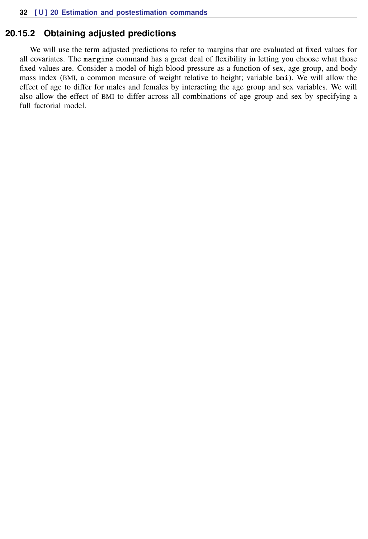# <span id="page-31-0"></span>**20.15.2 Obtaining adjusted predictions**

We will use the term adjusted predictions to refer to margins that are evaluated at fixed values for all covariates. The margins command has a great deal of flexibility in letting you choose what those fixed values are. Consider a model of high blood pressure as a function of sex, age group, and body mass index (BMI, a common measure of weight relative to height; variable bmi). We will allow the effect of age to differ for males and females by interacting the age group and sex variables. We will also allow the effect of BMI to differ across all combinations of age group and sex by specifying a full factorial model.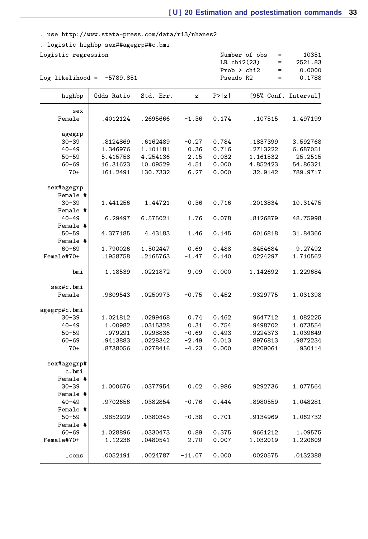. use http://www.stata-press.com/data/r13/nhanes2

```
. logistic highbp sex##agegrp##c.bmi
```

| Logistic regression<br>$Log$ likelihood =                                 | $-5789.851$                                            | Number of obs<br>$LR$ chi $2(23)$<br>Prob > chi2<br>Pseudo R2 | 10351<br>2521.83<br>0.0000<br>0.1788          |                                           |                                                          |                                                         |
|---------------------------------------------------------------------------|--------------------------------------------------------|---------------------------------------------------------------|-----------------------------------------------|-------------------------------------------|----------------------------------------------------------|---------------------------------------------------------|
| highbp                                                                    | Odds Ratio                                             | Std. Err.                                                     | z                                             | P >  z                                    |                                                          | [95% Conf. Interval]                                    |
| sex<br>Female                                                             | .4012124                                               | .2695666                                                      | $-1.36$                                       | 0.174                                     | .107515                                                  | 1.497199                                                |
| agegrp<br>$30 - 39$<br>$40 - 49$<br>$50 - 59$                             | .8124869<br>1.346976<br>5.415758                       | .6162489<br>1.101181<br>4.254136                              | $-0.27$<br>0.36<br>2.15                       | 0.784<br>0.716<br>0.032                   | .1837399<br>. 2713222<br>1.161532                        | 3.592768<br>6.687051<br>25.2515                         |
| $60 - 69$<br>$70+$                                                        | 16.31623<br>161.2491                                   | 10.09529<br>130.7332                                          | 4.51<br>6.27                                  | 0.000<br>0.000                            | 4.852423<br>32.9142                                      | 54.86321<br>789.9717                                    |
| sex#agegrp<br>Female #<br>$30 - 39$<br>Female #                           | 1.441256                                               | 1.44721                                                       | 0.36                                          | 0.716                                     | .2013834                                                 | 10.31475                                                |
| $40 - 49$<br>Female #<br>$50 - 59$                                        | 6.29497<br>4.377185                                    | 6.575021<br>4.43183                                           | 1.76<br>1.46                                  | 0.078<br>0.145                            | .8126879<br>.6016818                                     | 48.75998<br>31.84366                                    |
| Female #<br>$60 - 69$<br>Female#70+                                       | 1.790026<br>.1958758                                   | 1.502447<br>.2165763                                          | 0.69<br>$-1.47$                               | 0.488<br>0.140                            | .3454684<br>.0224297                                     | 9.27492<br>1.710562                                     |
| bmi                                                                       | 1.18539                                                | .0221872                                                      | 9.09                                          | 0.000                                     | 1.142692                                                 | 1.229684                                                |
| sex#c.bmi<br>Female                                                       | .9809543                                               | .0250973                                                      | $-0.75$                                       | 0.452                                     | .9329775                                                 | 1.031398                                                |
| agegrp#c.bmi<br>$30 - 39$<br>$40 - 49$<br>$50 - 59$<br>$60 - 69$<br>$70+$ | 1.021812<br>1.00982<br>.979291<br>.9413883<br>.8738056 | .0299468<br>.0315328<br>.0298836<br>.0228342<br>.0278416      | 0.74<br>0.31<br>$-0.69$<br>$-2.49$<br>$-4.23$ | 0.462<br>0.754<br>0.493<br>0.013<br>0.000 | .9647712<br>.9498702<br>.9224373<br>.8976813<br>.8209061 | 1.082225<br>1.073554<br>1.039649<br>.9872234<br>.930114 |
| sex#agegrp#<br>c.bmi<br>Female #<br>$30 - 39$                             | 1.000676                                               | .0377954                                                      | 0.02                                          | 0.986                                     | .9292736                                                 | 1.077564                                                |
| Female #<br>$40 - 49$                                                     | .9702656                                               | .0382854                                                      | $-0.76$                                       | 0.444                                     | .8980559                                                 | 1.048281                                                |
| Female #<br>$50 - 59$<br>Female #                                         | .9852929                                               | .0380345                                                      | $-0.38$                                       | 0.701                                     | .9134969                                                 | 1.062732                                                |
| $60 - 69$<br>Female#70+                                                   | 1.028896<br>1.12236                                    | .0330473<br>.0480541                                          | 0.89<br>2.70                                  | 0.375<br>0.007                            | .9661212<br>1.032019                                     | 1.09575<br>1.220609                                     |
| _cons                                                                     | .0052191                                               | .0024787                                                      | $-11.07$                                      | 0.000                                     | .0020575                                                 | .0132388                                                |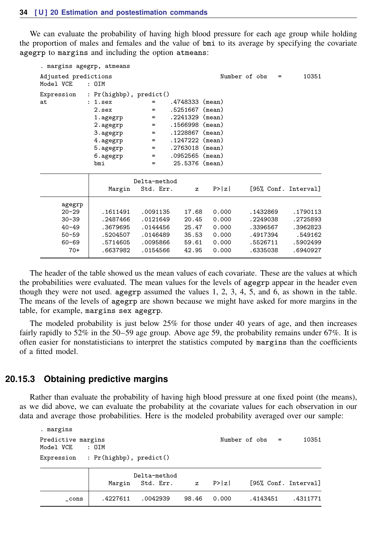We can evaluate the probability of having high blood pressure for each age group while holding the proportion of males and females and the value of bmi to its average by specifying the covariate agegrp to margins and including the option atmeans:

| . margins agegrp, atmeans                                                        |                                                                                                                                             |                                                                      |                                                                                                                                                                        |                                                    |                                                                      |     |                                                                     |
|----------------------------------------------------------------------------------|---------------------------------------------------------------------------------------------------------------------------------------------|----------------------------------------------------------------------|------------------------------------------------------------------------------------------------------------------------------------------------------------------------|----------------------------------------------------|----------------------------------------------------------------------|-----|---------------------------------------------------------------------|
| Adjusted predictions<br>Model VCE                                                | : OIM                                                                                                                                       |                                                                      |                                                                                                                                                                        |                                                    | Number of obs                                                        | $=$ | 10351                                                               |
| Expression<br>at                                                                 | : $Pr(highbp)$ , $predict()$<br>: 1.setx<br>$2.\texttt{sex}$<br>1.agegrp<br>2.agegrp<br>3.agegrp<br>4.agegrp<br>5.agegrp<br>6.agegrp<br>bmi | $=$<br>$=$<br>$=$<br>$=$<br>$=$<br>$=$<br>$=$<br>$=$<br>$=$          | .4748333 (mean)<br>.5251667 (mean)<br>.2241329 (mean)<br>.1566998 (mean)<br>.1228867 (mean)<br>.1247222 (mean)<br>.2763018 (mean)<br>.0952565 (mean)<br>25.5376 (mean) |                                                    |                                                                      |     |                                                                     |
|                                                                                  |                                                                                                                                             | Delta-method                                                         |                                                                                                                                                                        | P >  z                                             |                                                                      |     | [95% Conf. Interval]                                                |
|                                                                                  | Margin                                                                                                                                      | Std. Err.                                                            | $\mathbf{z}$                                                                                                                                                           |                                                    |                                                                      |     |                                                                     |
| agegrp<br>$20 - 29$<br>$30 - 39$<br>$40 - 49$<br>$50 - 59$<br>$60 - 69$<br>$70+$ | .1611491<br>.2487466<br>.3679695<br>.5204507<br>.5714605<br>.6637982                                                                        | .0091135<br>.0121649<br>.0144456<br>.0146489<br>.0095866<br>.0154566 | 17.68<br>20.45<br>25.47<br>35.53<br>59.61<br>42.95                                                                                                                     | 0.000<br>0.000<br>0.000<br>0.000<br>0.000<br>0.000 | .1432869<br>.2249038<br>.3396567<br>.4917394<br>.5526711<br>.6335038 |     | .1790113<br>.2725893<br>.3962823<br>.549162<br>.5902499<br>.6940927 |
|                                                                                  |                                                                                                                                             |                                                                      |                                                                                                                                                                        |                                                    |                                                                      |     |                                                                     |

The header of the table showed us the mean values of each covariate. These are the values at which the probabilities were evaluated. The mean values for the levels of agegrp appear in the header even though they were not used. agegrp assumed the values 1, 2, 3, 4, 5, and 6, as shown in the table. The means of the levels of agegrp are shown because we might have asked for more margins in the table, for example, margins sex agegrp.

The modeled probability is just below 25% for those under 40 years of age, and then increases fairly rapidly to 52% in the 50–59 age group. Above age 59, the probability remains under 67%. It is often easier for nonstatisticians to interpret the statistics computed by margins than the coefficients of a fitted model.

## <span id="page-33-0"></span>**20.15.3 Obtaining predictive margins**

Rather than evaluate the probability of having high blood pressure at one fixed point (the means), as we did above, we can evaluate the probability at the covariate values for each observation in our data and average those probabilities. Here is the modeled probability averaged over our sample:

```
. margins
Predictive margins and the control of obs = 10351<br>Nodel VCE : 0IM
Model VCE
Expression : Pr(highbp), predict()
                       Delta-method<br>Std. Err.
                 Margin Std. Err. z P>|z| [95% Conf. Interval]
      _cons .4227611 .0042939 98.46 0.000 .4143451 .4311771
```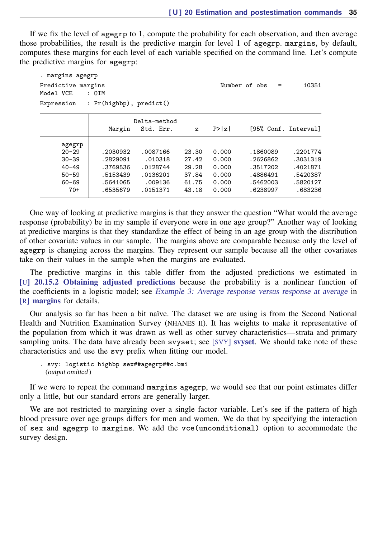If we fix the level of agegrp to 1, compute the probability for each observation, and then average those probabilities, the result is the predictive margin for level 1 of agegrp. margins, by default, computes these margins for each level of each variable specified on the command line. Let's compute the predictive margins for agegrp:

| . margins agegrp                         |                              |                           |              |        |                      |          |  |
|------------------------------------------|------------------------------|---------------------------|--------------|--------|----------------------|----------|--|
| Predictive margins<br>Model VCE<br>: OIM |                              |                           |              |        | Number of obs<br>$=$ | 10351    |  |
| Expression                               | : $Pr(highbp)$ , $predict()$ |                           |              |        |                      |          |  |
|                                          | Margin                       | Delta-method<br>Std. Err. | $\mathbf{z}$ | P >  z | [95% Conf. Interval] |          |  |
| agegrp                                   |                              |                           |              |        |                      |          |  |
| $20 - 29$                                | .2030932                     | .0087166                  | 23.30        | 0.000  | .1860089             | .2201774 |  |
| $30 - 39$                                | .2829091                     | .010318                   | 27.42        | 0.000  | .2626862             | .3031319 |  |
| $40 - 49$                                | .3769536                     | .0128744                  | 29.28        | 0.000  | .3517202             | .4021871 |  |
| $50 - 59$                                | .5153439                     | .0136201                  | 37.84        | 0.000  | .4886491             | .5420387 |  |
| 60-69                                    | .5641065                     | .009136                   | 61.75        | 0.000  | .5462003             | .5820127 |  |
| $70+$                                    | .6535679                     | .0151371                  | 43.18        | 0.000  | .6238997             | .683236  |  |

One way of looking at predictive margins is that they answer the question "What would the average response (probability) be in my sample if everyone were in one age group?" Another way of looking at predictive margins is that they standardize the effect of being in an age group with the distribution of other covariate values in our sample. The margins above are comparable because only the level of agegrp is changing across the margins. They represent our sample because all the other covariates take on their values in the sample when the margins are evaluated.

The predictive margins in this table differ from the adjusted predictions we estimated in [U[\] 20.15.2 Obtaining adjusted predictions](#page-31-0) because the probability is a nonlinear function of the coefficients in a logistic model; see [Example 3: Average response versus response at average](http://www.stata.com/manuals13/rmargins.pdf#rmarginsRemarksandexamplesExample3Averageresponseversusresponseataverage) in [R] **[margins](http://www.stata.com/manuals13/rmargins.pdf#rmargins)** for details.

Our analysis so far has been a bit na¨ıve. The dataset we are using is from the Second National Health and Nutrition Examination Survey (NHANES II). It has weights to make it representative of the population from which it was drawn as well as other survey characteristics—strata and primary sampling units. The data have already been syyset; see [SVY] syyset. We should take note of these characteristics and use the svy prefix when fitting our model.

. svy: logistic highbp sex##agegrp##c.bmi (output omitted )

If we were to repeat the command margins agegrp, we would see that our point estimates differ only a little, but our standard errors are generally larger.

We are not restricted to margining over a single factor variable. Let's see if the pattern of high blood pressure over age groups differs for men and women. We do that by specifying the interaction of sex and agegrp to margins. We add the vce(unconditional) option to accommodate the survey design.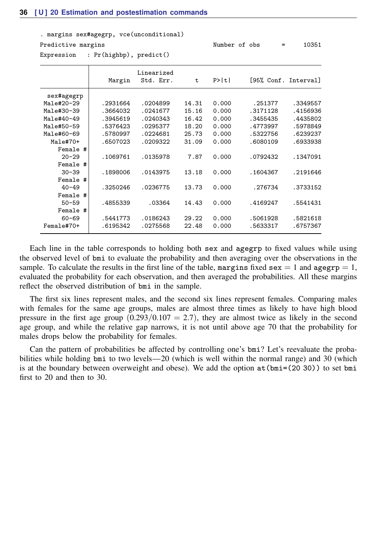. margins sex#agegrp, vce(unconditional)

Predictive margins  $\blacksquare$  Number of obs = 10351

Expression  $\cdot$  Pr(highbp) predict()

| rhtespion  | . LI/HIRHDD), breatco/) |                         |       |       |                      |          |
|------------|-------------------------|-------------------------|-------|-------|----------------------|----------|
|            | Margin                  | Linearized<br>Std. Err. | t     | P>  t | [95% Conf. Interval] |          |
| sex#agegrp |                         |                         |       |       |                      |          |
| Male#20-29 | .2931664                | .0204899                | 14.31 | 0.000 | .251377              | .3349557 |
| Male#30-39 | .3664032                | .0241677                | 15.16 | 0.000 | .3171128             | .4156936 |
| Male#40-49 | .3945619                | .0240343                | 16.42 | 0.000 | .3455435             | .4435802 |
| Male#50-59 | .5376423                | .0295377                | 18.20 | 0.000 | .4773997             | .5978849 |
| Male#60-69 | .5780997                | .0224681                | 25.73 | 0.000 | .5322756             | .6239237 |
| Male#70+   | .6507023                | .0209322                | 31.09 | 0.000 | .6080109             | .6933938 |
| Female #   |                         |                         |       |       |                      |          |
| $20 - 29$  | .1069761                | .0135978                | 7.87  | 0.000 | .0792432             | .1347091 |
| Female #   |                         |                         |       |       |                      |          |
| $30 - 39$  | .1898006                | .0143975                | 13.18 | 0.000 | .1604367             | .2191646 |
| Female #   |                         |                         |       |       |                      |          |
| $40 - 49$  | .3250246                | .0236775                | 13.73 | 0.000 | .276734              | .3733152 |
| Female #   |                         |                         |       |       |                      |          |
| $50 - 59$  | .4855339                | .03364                  | 14.43 | 0.000 | .4169247             | .5541431 |
| Female #   |                         |                         |       |       |                      |          |
| $60 - 69$  | .5441773                | .0186243                | 29.22 | 0.000 | .5061928             | .5821618 |
| Female#70+ | .6195342                | .0275568                | 22.48 | 0.000 | .5633317             | .6757367 |
|            |                         |                         |       |       |                      |          |

Each line in the table corresponds to holding both sex and agegrp to fixed values while using the observed level of bmi to evaluate the probability and then averaging over the observations in the sample. To calculate the results in the first line of the table, margins fixed  $sex = 1$  and agegrp  $= 1$ , evaluated the probability for each observation, and then averaged the probabilities. All these margins reflect the observed distribution of bmi in the sample.

The first six lines represent males, and the second six lines represent females. Comparing males with females for the same age groups, males are almost three times as likely to have high blood pressure in the first age group  $(0.293/0.107 = 2.7)$ , they are almost twice as likely in the second age group, and while the relative gap narrows, it is not until above age 70 that the probability for males drops below the probability for females.

Can the pattern of probabilities be affected by controlling one's bmi? Let's reevaluate the probabilities while holding bmi to two levels—20 (which is well within the normal range) and 30 (which is at the boundary between overweight and obese). We add the option  $at(bmi=(20 30))$  to set bmi first to 20 and then to 30.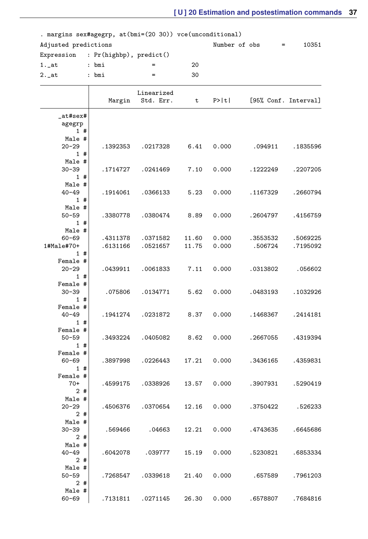| . margins sex#agegrp, at (bmi=(20 30)) vce(unconditional) |          |                         |       |       |                      |          |
|-----------------------------------------------------------|----------|-------------------------|-------|-------|----------------------|----------|
| Adjusted predictions                                      |          |                         |       |       | Number of obs<br>$=$ | 10351    |
| Expression : $Pr(highbp)$ , $predict()$                   |          |                         |       |       |                      |          |
| $1.-at$                                                   | : bmi    | $=$                     | 20    |       |                      |          |
| 2._at                                                     | : bmi    | $=$                     | 30    |       |                      |          |
|                                                           |          |                         |       |       |                      |          |
|                                                           | Margin   | Linearized<br>Std. Err. | t     | P>  t | [95% Conf. Interval] |          |
| _at#sex#                                                  |          |                         |       |       |                      |          |
| agegrp                                                    |          |                         |       |       |                      |          |
| 1#                                                        |          |                         |       |       |                      |          |
| Male #                                                    |          |                         |       |       |                      |          |
| $20 - 29$                                                 | .1392353 | .0217328                | 6.41  | 0.000 | .094911              | .1835596 |
| 1#                                                        |          |                         |       |       |                      |          |
| Male #<br>$30 - 39$                                       | .1714727 | .0241469                | 7.10  | 0.000 | .1222249             | .2207205 |
| 1#                                                        |          |                         |       |       |                      |          |
| Male #                                                    |          |                         |       |       |                      |          |
| $40 - 49$                                                 | .1914061 | .0366133                | 5.23  | 0.000 | .1167329             | .2660794 |
| 1#                                                        |          |                         |       |       |                      |          |
| Male #                                                    |          |                         |       |       |                      |          |
| $50 - 59$<br>1#                                           | .3380778 | .0380474                | 8.89  | 0.000 | .2604797             | .4156759 |
| Male #                                                    |          |                         |       |       |                      |          |
| $60 - 69$                                                 | .4311378 | .0371582                | 11.60 | 0.000 | .3553532             | .5069225 |
| $1#Male#70+$                                              | .6131166 | .0521657                | 11.75 | 0.000 | .506724              | .7195092 |
| 1#                                                        |          |                         |       |       |                      |          |
| Female #                                                  |          |                         |       |       |                      |          |
| $20 - 29$<br>1#                                           | .0439911 | .0061833                | 7.11  | 0.000 | .0313802             | .056602  |
| Female #                                                  |          |                         |       |       |                      |          |
| $30 - 39$                                                 | .075806  | .0134771                | 5.62  | 0.000 | .0483193             | .1032926 |
| 1#                                                        |          |                         |       |       |                      |          |
| Female #                                                  |          |                         |       |       |                      |          |
| $40 - 49$                                                 | .1941274 | .0231872                | 8.37  | 0.000 | .1468367             | .2414181 |
| 1#<br>Female #                                            |          |                         |       |       |                      |          |
| $50 - 59$                                                 | .3493224 | .0405082                | 8.62  | 0.000 | .2667055             | .4319394 |
| 1#                                                        |          |                         |       |       |                      |          |
| Female #                                                  |          |                         |       |       |                      |          |
| $60 - 69$                                                 | .3897998 | .0226443                | 17.21 | 0.000 | .3436165             | .4359831 |
| 1#                                                        |          |                         |       |       |                      |          |
| Female #<br>$70+$                                         | .4599175 | .0338926                | 13.57 | 0.000 | .3907931             | .5290419 |
| 2#                                                        |          |                         |       |       |                      |          |
| Male #                                                    |          |                         |       |       |                      |          |
| $20 - 29$                                                 | .4506376 | .0370654                | 12.16 | 0.000 | .3750422             | .526233  |
| 2#                                                        |          |                         |       |       |                      |          |
| Male #<br>30-39                                           |          |                         |       |       | .4743635             |          |
| 2#                                                        | .569466  | .04663                  | 12.21 | 0.000 |                      | .6645686 |
| Male #                                                    |          |                         |       |       |                      |          |
| 40-49                                                     | .6042078 | .039777                 | 15.19 | 0.000 | .5230821             | .6853334 |
| 2#                                                        |          |                         |       |       |                      |          |
| Male #                                                    |          |                         |       |       |                      |          |
| $50 - 59$<br>2#                                           | .7268547 | .0339618                | 21.40 | 0.000 | .657589              | .7961203 |
| Male #                                                    |          |                         |       |       |                      |          |
| $60 - 69$                                                 | .7131811 | .0271145                | 26.30 | 0.000 | .6578807             | .7684816 |
|                                                           |          |                         |       |       |                      |          |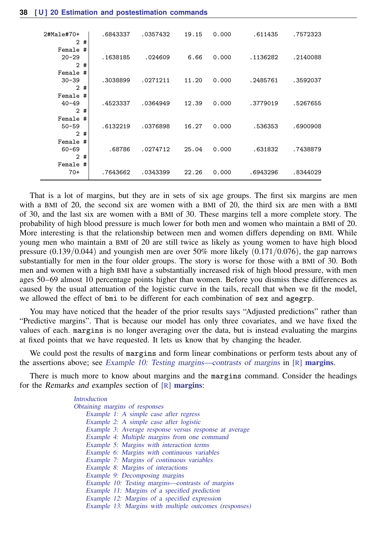| $2#Malef70+$<br>$\overline{2}$        | #      | .6843337 | .0357432 | 19.15 | 0.000 | .611435  | .7572323 |
|---------------------------------------|--------|----------|----------|-------|-------|----------|----------|
| Female<br>$20 - 29$<br>$\overline{2}$ | #<br># | .1638185 | .024609  | 6.66  | 0.000 | .1136282 | .2140088 |
| Female<br>$30 - 39$<br>2              | #<br># | .3038899 | .0271211 | 11.20 | 0.000 | .2485761 | .3592037 |
| Female<br>$40 - 49$<br>$\overline{2}$ | #<br># | .4523337 | .0364949 | 12.39 | 0.000 | .3779019 | .5267655 |
| Female<br>$50 - 59$<br>$\overline{2}$ | #<br># | .6132219 | .0376898 | 16.27 | 0.000 | .536353  | .6900908 |
| Female<br>$60 - 69$<br>$\overline{2}$ | #<br># | .68786   | .0274712 | 25.04 | 0.000 | .631832  | .7438879 |
| Female<br>$70+$                       | #      | .7643662 | .0343399 | 22.26 | 0.000 | .6943296 | .8344029 |

That is a lot of margins, but they are in sets of six age groups. The first six margins are men with a BMI of 20, the second six are women with a BMI of 20, the third six are men with a BMI of 30, and the last six are women with a BMI of 30. These margins tell a more complete story. The probability of high blood pressure is much lower for both men and women who maintain a BMI of 20. More interesting is that the relationship between men and women differs depending on BMI. While young men who maintain a BMI of 20 are still twice as likely as young women to have high blood pressure  $(0.139/0.044)$  and youngish men are over 50% more likely  $(0.171/0.076)$ , the gap narrows substantially for men in the four older groups. The story is worse for those with a BMI of 30. Both men and women with a high BMI have a substantially increased risk of high blood pressure, with men ages 50–69 almost 10 percentage points higher than women. Before you dismiss these differences as caused by the usual attenuation of the logistic curve in the tails, recall that when we fit the model, we allowed the effect of bmi to be different for each combination of sex and agegrp.

You may have noticed that the header of the prior results says "Adjusted predictions" rather than "Predictive margins". That is because our model has only three covariates, and we have fixed the values of each. margins is no longer averaging over the data, but is instead evaluating the margins at fixed points that we have requested. It lets us know that by changing the header.

We could post the results of margins and form linear combinations or perform tests about any of the assertions above; see *[Example 10: Testing margins—contrasts of margins](http://www.stata.com/manuals13/rmargins.pdf#rmarginsRemarksandexamplesExample10Testingmargins---contrastsofmargins)* in [R] **[margins](http://www.stata.com/manuals13/rmargins.pdf#rmargins).** 

There is much more to know about margins and the margins command. Consider the headings for the Remarks and examples section of  $[R]$  [margins](http://www.stata.com/manuals13/rmargins.pdf#rmargins):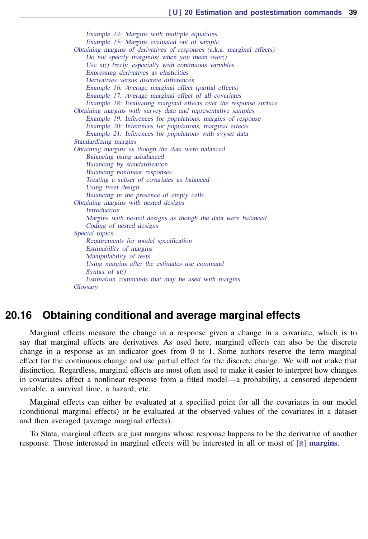[Example 14: Margins with multiple equations](http://www.stata.com/manuals13/rmargins.pdf#rmarginsRemarksandexamplesExample14Marginswithmultipleequations) [Example 15: Margins evaluated out of sample](http://www.stata.com/manuals13/rmargins.pdf#rmarginsRemarksandexamplesExample15Marginsevaluatedoutofsample) [Obtaining margins of derivatives of responses \(a.k.a. marginal effects\)](http://www.stata.com/manuals13/rmargins.pdf#rmarginsRemarksandexamplesObtainingmarginsofderivativesofresponses(a.k.a.marginaleffects)) [Do not specify marginlist when you mean over\(\)](http://www.stata.com/manuals13/rmargins.pdf#rmarginsRemarksandexamplesDonotspecifymarginlistwhenyoumeanover()) [Use at\(\) freely, especially with continuous variables](http://www.stata.com/manuals13/rmargins.pdf#rmarginsRemarksandexamplesUseat()freely,especiallywithcontinuousvariables) [Expressing derivatives as elasticities](http://www.stata.com/manuals13/rmargins.pdf#rmarginsRemarksandexamplesExpressingderivativesaselasticities) [Derivatives versus discrete differences](http://www.stata.com/manuals13/rmargins.pdf#rmarginsRemarksandexamplesDerivativesversusdiscretedifferences) [Example 16: Average marginal effect \(partial effects\)](http://www.stata.com/manuals13/rmargins.pdf#rmarginsRemarksandexamplesExample16Averagemarginaleffect(partialeffects)) [Example 17: Average marginal effect of all covariates](http://www.stata.com/manuals13/rmargins.pdf#rmarginsRemarksandexamplesExample17Averagemarginaleffectofallcovariates) [Example 18: Evaluating marginal effects over the response surface](http://www.stata.com/manuals13/rmargins.pdf#rmarginsRemarksandexamplesExample18Evaluatingmarginaleffectsovertheresponsesurface) [Obtaining margins with survey data and representative samples](http://www.stata.com/manuals13/rmargins.pdf#rmarginsRemarksandexamplesObtainingmarginswithsurveydataandrepresentativesamples) [Example 19: Inferences for populations, margins of response](http://www.stata.com/manuals13/rmargins.pdf#rmarginsRemarksandexamplesExample19Inferencesforpopulations,marginsofresponse) [Example 20: Inferences for populations, marginal effects](http://www.stata.com/manuals13/rmargins.pdf#rmarginsRemarksandexamplesExample20Inferencesforpopulations,marginaleffects) [Example 21: Inferences for populations with svyset data](http://www.stata.com/manuals13/rmargins.pdf#rmarginsRemarksandexamplesExample21Inferencesforpopulationswithsvysetdata) [Standardizing margins](http://www.stata.com/manuals13/rmargins.pdf#rmarginsRemarksandexamplesStandardizingmargins) [Obtaining margins as though the data were balanced](http://www.stata.com/manuals13/rmargins.pdf#rmarginsRemarksandexamplesObtainingmarginsasthoughthedatawerebalanced) [Balancing using asbalanced](http://www.stata.com/manuals13/rmargins.pdf#rmarginsRemarksandexamplesBalancingusingasbalanced) [Balancing by standardization](http://www.stata.com/manuals13/rmargins.pdf#rmarginsRemarksandexamplesBalancingbystandardization) [Balancing nonlinear responses](http://www.stata.com/manuals13/rmargins.pdf#rmarginsRemarksandexamplesBalancingnonlinearresponses) [Treating a subset of covariates as balanced](http://www.stata.com/manuals13/rmargins.pdf#rmarginsRemarksandexamplesTreatingasubsetofcovariatesasbalanced) [Using fvset design](http://www.stata.com/manuals13/rmargins.pdf#rmarginsRemarksandexamplesUsingfvsetdesign) [Balancing in the presence of empty cells](http://www.stata.com/manuals13/rmargins.pdf#rmarginsRemarksandexamplesBalancinginthepresenceofemptycells) [Obtaining margins with nested designs](http://www.stata.com/manuals13/rmargins.pdf#rmarginsRemarksandexamplesObtainingmarginswithnesteddesigns) [Introduction](http://www.stata.com/manuals13/rmargins.pdf#rmarginsRemarksandexamplesIntroduction) [Margins with nested designs as though the data were balanced](http://www.stata.com/manuals13/rmargins.pdf#rmarginsRemarksandexamplesMarginswithnesteddesignsasthoughthedatawerebalanced) [Coding of nested designs](http://www.stata.com/manuals13/rmargins.pdf#rmarginsRemarksandexamplesCodingofnesteddesigns) [Special topics](http://www.stata.com/manuals13/rmargins.pdf#rmarginsRemarksandexamplesSpecialtopics) [Requirements for model specification](http://www.stata.com/manuals13/rmargins.pdf#rmarginsRemarksandexamplesRequirementsformodelspecification) [Estimability of margins](http://www.stata.com/manuals13/rmargins.pdf#rmarginsRemarksandexamplesEstimabilityofmargins) [Manipulability of tests](http://www.stata.com/manuals13/rmargins.pdf#rmarginsRemarksandexamplesManipulabilityoftests) [Using margins after the estimates use command](http://www.stata.com/manuals13/rmargins.pdf#rmarginsRemarksandexamplesUsingmarginsaftertheestimatesusecommand) Syntax of  $at()$ [Estimation commands that may be used with margins](http://www.stata.com/manuals13/rmargins.pdf#rmarginsRemarksandexamplesEstimationcommandsthatmaybeusedwithmargins) **[Glossary](http://www.stata.com/manuals13/rmargins.pdf#rmarginsRemarksandexamplesGlossary)** 

# <span id="page-38-0"></span>**20.16 Obtaining conditional and average marginal effects**

Marginal effects measure the change in a response given a change in a covariate, which is to say that marginal effects are derivatives. As used here, marginal effects can also be the discrete change in a response as an indicator goes from 0 to 1. Some authors reserve the term marginal effect for the continuous change and use partial effect for the discrete change. We will not make that distinction. Regardless, marginal effects are most often used to make it easier to interpret how changes in covariates affect a nonlinear response from a fitted model—a probability, a censored dependent variable, a survival time, a hazard, etc.

Marginal effects can either be evaluated at a specified point for all the covariates in our model (conditional marginal effects) or be evaluated at the observed values of the covariates in a dataset and then averaged (average marginal effects).

To Stata, marginal effects are just margins whose response happens to be the derivative of another response. Those interested in marginal effects will be interested in all or most of  $[R]$  [margins](http://www.stata.com/manuals13/rmargins.pdf#rmargins).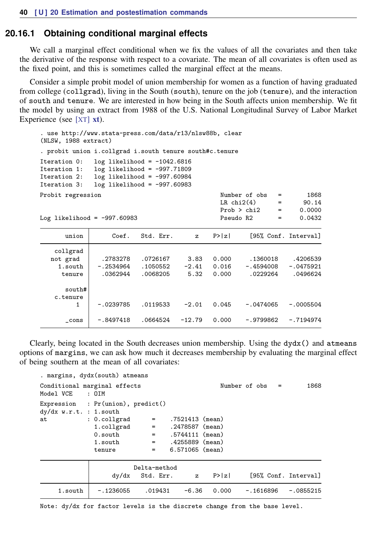## <span id="page-39-0"></span>**20.16.1 Obtaining conditional marginal effects**

We call a marginal effect conditional when we fix the values of all the covariates and then take the derivative of the response with respect to a covariate. The mean of all covariates is often used as the fixed point, and this is sometimes called the marginal effect at the means.

Consider a simple probit model of union membership for women as a function of having graduated from college (collgrad), living in the South (south), tenure on the job (tenure), and the interaction of south and tenure. We are interested in how being in the South affects union membership. We fit the model by using an extract from 1988 of the U.S. National Longitudinal Survey of Labor Market Experience (see [[XT](http://www.stata.com/manuals13/xtxt.pdf#xtxt)] xt).

```
. use http://www.stata-press.com/data/r13/nlsw88b, clear
(NLSW, 1988 extract)
. probit union i.collgrad i.south tenure south#c.tenure
Iteration 0: log likelihood = -1042.6816
Iteration 1: log likelihood = -997.71809<br>Iteration 2: log likelihood = -997.60984
            log likelihood = -997.60984
Iteration 3: log likelihood = -997.60983
Probit regression Number of obs = 1868
                                          LR chi2(4) = 90.14Prob > chi2 = 0.0000Log likelihood = -997.60983 Pseudo R2 = 0.0432
      union Coef. Std. Err. z P>|z| [95%, Conf. Interval]
   collgrad
  not grad .2783278 .0726167 3.83 0.000 .1360018 .4206539
    1.south -.2534964 .1050552 -2.41 0.016 -.4594008 -.0475921
     tenure .0362944 .0068205 5.32 0.000 .0229264 .0496624
      south#
   c.tenure
        1 -.0239785 .0119533 -2.01 0.045 -.0474065 -.0005504
      _cons -.8497418 .0664524 -12.79 0.000 -.9799862 -.7194974
```
Clearly, being located in the South decreases union membership. Using the  $dydx()$  and atmeans options of margins, we can ask how much it decreases membership by evaluating the marginal effect of being southern at the mean of all covariates:

| . margins, dydx(south) atmeans                                           |                                                                                                                              |                                                              |                                    |       |                   |                      |
|--------------------------------------------------------------------------|------------------------------------------------------------------------------------------------------------------------------|--------------------------------------------------------------|------------------------------------|-------|-------------------|----------------------|
| Conditional marginal effects<br>Model VCE                                | : OIM                                                                                                                        |                                                              |                                    |       | Number of $obs =$ | 1868                 |
| Expression : $Pr(union)$ , $predict()$<br>$dy/dx$ w.r.t. : 1.south<br>at | $: 0.$ collgrad = .7521413 (mean)<br>$1. \text{collgrad} = .2478587 \text{ (mean)}$<br>$0.\text{south}$<br>1.south<br>tenure | = .5744111 (mean)<br>$\mathcal{L}_{\rm{max}} = 0.000$<br>$=$ | .4255889 (mean)<br>6.571065 (mean) |       |                   |                      |
|                                                                          |                                                                                                                              | Delta-method<br>$dy/dx$ Std. Err. z $P> z $                  |                                    |       |                   | [95% Conf. Interval] |
| 1.south                                                                  | -.1236055                                                                                                                    | .019431                                                      | -6.36                              | 0.000 | -.1616896         | $-.0855215$          |

Note: dy/dx for factor levels is the discrete change from the base level.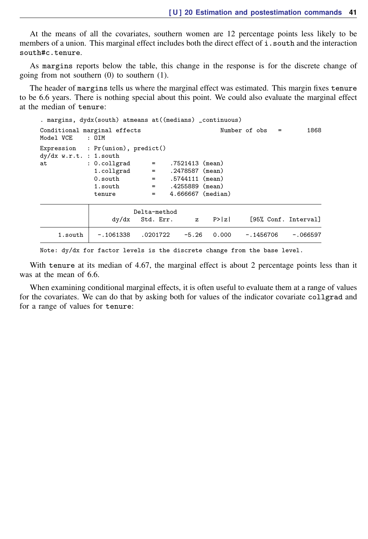At the means of all the covariates, southern women are 12 percentage points less likely to be members of a union. This marginal effect includes both the direct effect of i.south and the interaction south#c.tenure.

As margins reports below the table, this change in the response is for the discrete change of going from not southern (0) to southern (1).

The header of margins tells us where the marginal effect was estimated. This margin fixes tenure to be 6.6 years. There is nothing special about this point. We could also evaluate the marginal effect at the median of tenure:

| . margins, dydx(south) atmeans at((medians) _continuous)                 |                                       |                                                                                                                                          |       |                   |                   |            |
|--------------------------------------------------------------------------|---------------------------------------|------------------------------------------------------------------------------------------------------------------------------------------|-------|-------------------|-------------------|------------|
| Conditional marginal effects<br>Model VCE                                | : OIM                                 |                                                                                                                                          |       |                   | Number of $obs =$ | 1868       |
| Expression : $Pr(union)$ , $predict()$<br>$dy/dx$ w.r.t. : 1.south<br>at | $0.\text{south}$<br>1.south<br>tenure | $: 0.$ collgrad = .7521413 (mean)<br>$1. \text{collgrad}$ = .2478587 (mean)<br>$=$ .5744111 (mean)<br>$= 4255889 \pmod{2}$<br>$=$ $\sim$ |       | 4.666667 (median) |                   |            |
|                                                                          |                                       | Delta-method<br>$dy/dx$ Std. Err. z P> z  [95% Conf. Interval]                                                                           |       |                   |                   |            |
| 1.south                                                                  | $-.1061338$                           | .0201722                                                                                                                                 | -5.26 | 0.000             | -.1456706         | $-.066597$ |

Note: dy/dx for factor levels is the discrete change from the base level.

With tenure at its median of 4.67, the marginal effect is about 2 percentage points less than it was at the mean of 6.6.

When examining conditional marginal effects, it is often useful to evaluate them at a range of values for the covariates. We can do that by asking both for values of the indicator covariate collgrad and for a range of values for tenure: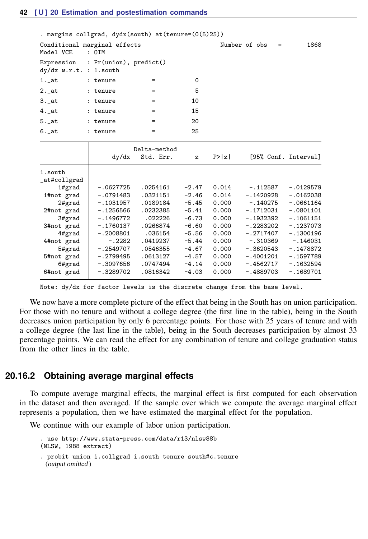| . margins collgrad, $dydx(south)$ at $(tenure=(0(5)25))$ |                        |              |              |               |             |     |                      |
|----------------------------------------------------------|------------------------|--------------|--------------|---------------|-------------|-----|----------------------|
| Conditional marginal effects<br>Model VCE                | : OIM                  |              |              | Number of obs |             | $=$ | 1868                 |
| Expression<br>$dy/dx$ w.r.t. : 1.south                   | : Pr(union), predict() |              |              |               |             |     |                      |
| $1.-at$                                                  | : tenure               | $=$          | $\Omega$     |               |             |     |                      |
| $2.-at$                                                  | : tenure               | =            | 5            |               |             |     |                      |
| $3.-at$                                                  | : tenure               | $=$          | 10           |               |             |     |                      |
| $4.-at$                                                  | : tenure               | =            | 15           |               |             |     |                      |
| $5.-at$                                                  | : tenure               | $=$          | 20           |               |             |     |                      |
| $6.$ $at$                                                | : tenure               | =            | 25           |               |             |     |                      |
|                                                          |                        | Delta-method |              |               |             |     |                      |
|                                                          | dy/dx                  | Std. Err.    | $\mathbf{z}$ | P >  z        |             |     | [95% Conf. Interval] |
| 1.south                                                  |                        |              |              |               |             |     |                      |
| _at#collgrad                                             |                        |              |              |               |             |     |                      |
| 1#grad                                                   | $-.0627725$            | .0254161     | $-2.47$      | 0.014         | $-.112587$  |     | $-.0129579$          |
| 1#not grad                                               | $-.0791483$            | .0321151     | $-2.46$      | 0.014         | $-.1420928$ |     | $-.0162038$          |
| 2#grad                                                   | $-.1031957$            | .0189184     | $-5.45$      | 0.000         | $-.140275$  |     | $-.0661164$          |
| 2#not grad                                               | $-.1256566$            | .0232385     | $-5.41$      | 0.000         | $-.1712031$ |     | $-.0801101$          |
| 3#grad                                                   | $-.1496772$            | .022226      | $-6.73$      | 0.000         | $-.1932392$ |     | $-.1061151$          |
| 3#not grad                                               | $-.1760137$            | .0266874     | $-6.60$      | 0.000         | $-.2283202$ |     | $-.1237073$          |
| 4#grad                                                   | $-.2008801$            | .036154      | $-5.56$      | 0.000         | $-.2717407$ |     | $-.1300196$          |
| 4#not grad                                               | $-.2282$               | .0419237     | $-5.44$      | 0.000         | $-.310369$  |     | $-.146031$           |
| 5#grad                                                   | $-.2549707$            | .0546355     | $-4.67$      | 0.000         | $-.3620543$ |     | $-.1478872$          |
| 5#not grad                                               | $-.2799495$            | .0613127     | $-4.57$      | 0.000         | $-.4001201$ |     | $-.1597789$          |
| 6#grad                                                   | $-.3097656$            | .0747494     | $-4.14$      | 0.000         | $-.4562717$ |     | $-.1632594$          |
| 6#not grad                                               | $-.3289702$            | .0816342     | $-4.03$      | 0.000         | $-.4889703$ |     | $-.1689701$          |

Note: dy/dx for factor levels is the discrete change from the base level.

We now have a more complete picture of the effect that being in the South has on union participation. For those with no tenure and without a college degree (the first line in the table), being in the South decreases union participation by only 6 percentage points. For those with 25 years of tenure and with a college degree (the last line in the table), being in the South decreases participation by almost 33 percentage points. We can read the effect for any combination of tenure and college graduation status from the other lines in the table.

#### <span id="page-41-0"></span>**20.16.2 Obtaining average marginal effects**

To compute average marginal effects, the marginal effect is first computed for each observation in the dataset and then averaged. If the sample over which we compute the average marginal effect represents a population, then we have estimated the marginal effect for the population.

We continue with our example of labor union participation.

```
. use http://www.stata-press.com/data/r13/nlsw88b
(NLSW, 1988 extract)
. probit union i.collgrad i.south tenure south#c.tenure
 (output omitted )
```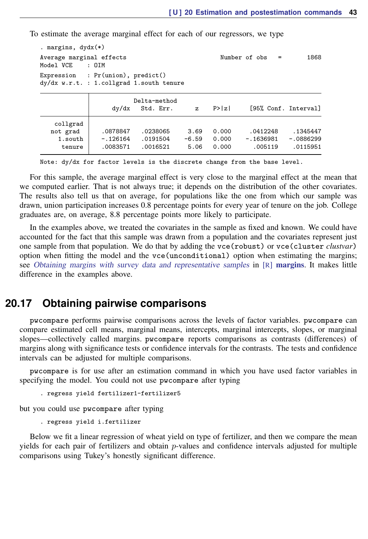To estimate the average marginal effect for each of our regressors, we type

| . margins, $dydx(*)$                                                               |                                    |                                  |                         |                         |                                    |                                     |
|------------------------------------------------------------------------------------|------------------------------------|----------------------------------|-------------------------|-------------------------|------------------------------------|-------------------------------------|
| Average marginal effects<br>Model VCE                                              | : OIM                              |                                  |                         |                         | Number of obs<br>$=$               | 1868                                |
| Expression : $Pr(union)$ , $predict()$<br>dy/dx w.r.t. : 1.collgrad 1.south tenure |                                    |                                  |                         |                         |                                    |                                     |
|                                                                                    | dy/dx                              | Delta-method<br>Std. Err.        | $\mathbf{z}$            | P >  z                  | [95% Conf. Interval]               |                                     |
| collgrad<br>not grad<br>1.south<br>tenure                                          | .0878847<br>$-.126164$<br>.0083571 | .0238065<br>.0191504<br>.0016521 | 3.69<br>$-6.59$<br>5.06 | 0.000<br>0.000<br>0.000 | .0412248<br>$-.1636981$<br>.005119 | .1345447<br>$-.0886299$<br>.0115951 |

Note: dy/dx for factor levels is the discrete change from the base level.

For this sample, the average marginal effect is very close to the marginal effect at the mean that we computed earlier. That is not always true; it depends on the distribution of the other covariates. The results also tell us that on average, for populations like the one from which our sample was drawn, union participation increases 0.8 percentage points for every year of tenure on the job. College graduates are, on average, 8.8 percentage points more likely to participate.

In the examples above, we treated the covariates in the sample as fixed and known. We could have accounted for the fact that this sample was drawn from a population and the covariates represent just one sample from that population. We do that by adding the vce(robust) or vce(cluster *clustvar*) option when fitting the model and the vce(unconditional) option when estimating the margins; see [Obtaining margins with survey data and representative samples](http://www.stata.com/manuals13/rmargins.pdf#rmarginsRemarksandexamplesObtainingmarginswithsurveydataandrepresentativesamples) in [R] **[margins](http://www.stata.com/manuals13/rmargins.pdf#rmargins).** It makes little difference in the examples above.

# <span id="page-42-0"></span>**20.17 Obtaining pairwise comparisons**

pwcompare performs pairwise comparisons across the levels of factor variables. pwcompare can compare estimated cell means, marginal means, intercepts, marginal intercepts, slopes, or marginal slopes—collectively called margins. pwcompare reports comparisons as contrasts (differences) of margins along with significance tests or confidence intervals for the contrasts. The tests and confidence intervals can be adjusted for multiple comparisons.

pwcompare is for use after an estimation command in which you have used factor variables in specifying the model. You could not use pwcompare after typing

```
. regress yield fertilizer1-fertilizer5
```
but you could use pwcompare after typing

. regress yield i.fertilizer

Below we fit a linear regression of wheat yield on type of fertilizer, and then we compare the mean yields for each pair of fertilizers and obtain  $p$ -values and confidence intervals adjusted for multiple comparisons using Tukey's honestly significant difference.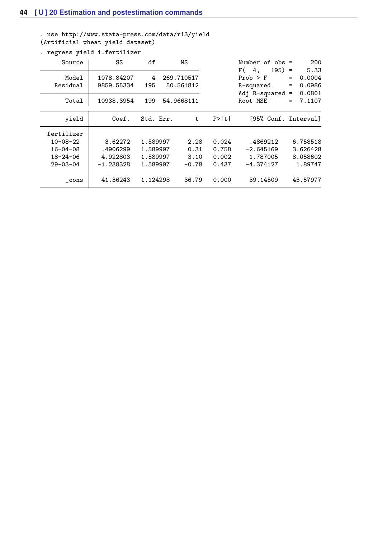. use http://www.stata-press.com/data/r13/yield (Artificial wheat yield dataset)

| Source         | SS          | df        | МS         |       | Number of $obs =$    |     | 200      |
|----------------|-------------|-----------|------------|-------|----------------------|-----|----------|
|                |             |           |            |       | F(4,<br>$195$ =      |     | 5.33     |
| Model          | 1078.84207  | 4         | 269.710517 |       | $Prob$ > $F$         | $=$ | 0.0004   |
| Residual       | 9859.55334  | 195       | 50.561812  |       | R-squared            | $=$ | 0.0986   |
|                |             |           |            |       | Adj $R$ -squared =   |     | 0.0801   |
| Total          | 10938.3954  | 199       | 54.9668111 |       | Root MSE             |     | 7.1107   |
|                |             |           |            |       |                      |     |          |
| yield          | Coef.       | Std. Err. | t          | P>  t | [95% Conf. Interval] |     |          |
|                |             |           |            |       |                      |     |          |
| fertilizer     |             |           |            |       |                      |     |          |
| $10 - 08 - 22$ | 3.62272     | 1.589997  | 2.28       | 0.024 | .4869212             |     | 6.758518 |
| $16 - 04 - 08$ | .4906299    | 1.589997  | 0.31       | 0.758 | $-2.645169$          |     | 3.626428 |
| $18 - 24 - 06$ | 4.922803    | 1.589997  | 3.10       | 0.002 | 1.787005             |     | 8.058602 |
| $29 - 03 - 04$ | $-1.238328$ | 1.589997  | $-0.78$    | 0.437 | $-4.374127$          |     | 1.89747  |
|                |             |           |            |       |                      |     |          |
| $\_cons$       | 41.36243    | 1.124298  | 36.79      | 0.000 | 39.14509             |     | 43.57977 |
|                |             |           |            |       |                      |     |          |

. regress yield i.fertilizer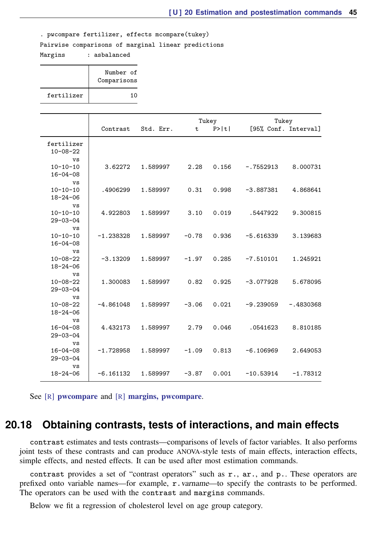. pwcompare fertilizer, effects mcompare(tukey)

Pairwise comparisons of marginal linear predictions

Margins : asbalanced

|            | Number of<br>Comparisons |
|------------|--------------------------|
| fertilizer | 10                       |

|                                               |             |           |             | Tukey | Tukey       |                      |
|-----------------------------------------------|-------------|-----------|-------------|-------|-------------|----------------------|
|                                               | Contrast    | Std. Err. | $\mathbf t$ | P>  t |             | [95% Conf. Interval] |
| fertilizer<br>$10 - 08 - 22$                  |             |           |             |       |             |                      |
| <b>VS</b><br>$10 - 10 - 10$<br>$16 - 04 - 08$ | 3.62272     | 1.589997  | 2.28        | 0.156 | $-.7552913$ | 8.000731             |
| <b>VS</b><br>$10 - 10 - 10$<br>$18 - 24 - 06$ | .4906299    | 1.589997  | 0.31        | 0.998 | $-3.887381$ | 4.868641             |
| <b>VS</b><br>$10 - 10 - 10$<br>$29 - 03 - 04$ | 4.922803    | 1.589997  | 3.10        | 0.019 | .5447922    | 9.300815             |
| <b>VS</b><br>$10 - 10 - 10$<br>$16 - 04 - 08$ | $-1.238328$ | 1.589997  | $-0.78$     | 0.936 | $-5.616339$ | 3.139683             |
| <b>VS</b><br>$10 - 08 - 22$<br>$18 - 24 - 06$ | $-3.13209$  | 1.589997  | $-1.97$     | 0.285 | $-7.510101$ | 1.245921             |
| VS<br>$10 - 08 - 22$<br>$29 - 03 - 04$        | 1.300083    | 1.589997  | 0.82        | 0.925 | $-3.077928$ | 5.678095             |
| VS<br>$10 - 08 - 22$<br>$18 - 24 - 06$        | $-4.861048$ | 1.589997  | $-3.06$     | 0.021 | $-9.239059$ | $-.4830368$          |
| VS<br>$16 - 04 - 08$<br>$29 - 03 - 04$        | 4.432173    | 1.589997  | 2.79        | 0.046 | .0541623    | 8.810185             |
| <b>VS</b><br>$16 - 04 - 08$<br>$29 - 03 - 04$ | $-1.728958$ | 1.589997  | $-1.09$     | 0.813 | $-6.106969$ | 2.649053             |
| <b>VS</b><br>$18 - 24 - 06$                   | $-6.161132$ | 1.589997  | $-3.87$     | 0.001 | $-10.53914$ | $-1.78312$           |

<span id="page-44-0"></span>See [R] [pwcompare](http://www.stata.com/manuals13/rpwcompare.pdf#rpwcompare) and [R] [margins, pwcompare](http://www.stata.com/manuals13/rmarginspwcompare.pdf#rmargins,pwcompare).

# **20.18 Obtaining contrasts, tests of interactions, and main effects**

contrast estimates and tests contrasts—comparisons of levels of factor variables. It also performs joint tests of these contrasts and can produce ANOVA-style tests of main effects, interaction effects, simple effects, and nested effects. It can be used after most estimation commands.

contrast provides a set of "contrast operators" such as  $r_1$ ,  $ar_2$ , and  $p_1$ . These operators are prefixed onto variable names—for example,  $r$ . varname—to specify the contrasts to be performed. The operators can be used with the contrast and margins commands.

Below we fit a regression of cholesterol level on age group category.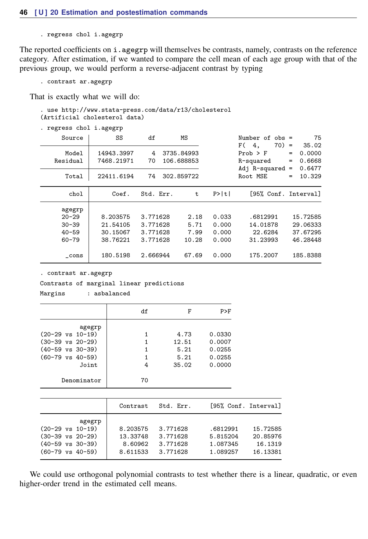. regress chol i.agegrp

The reported coefficients on i. agegrp will themselves be contrasts, namely, contrasts on the reference category. After estimation, if we wanted to compare the cell mean of each age group with that of the previous group, we would perform a reverse-adjacent contrast by typing

. contrast ar.agegrp

That is exactly what we will do:

. use http://www.stata-press.com/data/r13/cholesterol (Artificial cholesterol data)

. regress chol i.agegrp

| Source                                                     | SS                                           | df                                           | ΜS                            |                                  | Number of $obs =$                                                  | 75                                                |
|------------------------------------------------------------|----------------------------------------------|----------------------------------------------|-------------------------------|----------------------------------|--------------------------------------------------------------------|---------------------------------------------------|
| Model<br>Residual                                          | 14943.3997<br>7468.21971                     | 4<br>70                                      | 3735.84993<br>106.688853      |                                  | $70) =$<br>F(4,<br>$Prob$ > $F$<br>R-squared<br>Adj $R$ -squared = | 35.02<br>0.0000<br>$=$<br>0.6668<br>$=$<br>0.6477 |
| Total                                                      | 22411.6194                                   | 74                                           | 302.859722                    |                                  | Root MSE                                                           | 10.329<br>$=$                                     |
| chol                                                       | Coef.                                        | Std. Err.                                    | t.                            | P>  t                            | [95% Conf. Interval]                                               |                                                   |
| agegrp<br>$20 - 29$<br>$30 - 39$<br>$40 - 59$<br>$60 - 79$ | 8.203575<br>21.54105<br>30.15067<br>38.76221 | 3.771628<br>3.771628<br>3.771628<br>3.771628 | 2.18<br>5.71<br>7.99<br>10.28 | 0.033<br>0.000<br>0.000<br>0.000 | .6812991<br>14.01878<br>22.6284<br>31.23993                        | 15.72585<br>29.06333<br>37.67295<br>46.28448      |
| cons                                                       | 180.5198                                     | 2.666944                                     | 67.69                         | 0.000                            | 175.2007                                                           | 185.8388                                          |

. contrast ar.agegrp

Contrasts of marginal linear predictions

Margins : asbalanced

|  |  |  | asbalan |  |
|--|--|--|---------|--|
|--|--|--|---------|--|

|                             | df       | F         | P>F      |                      |
|-----------------------------|----------|-----------|----------|----------------------|
| agegrp                      |          |           |          |                      |
| $(20-29 \text{ vs } 10-19)$ | 1        | 4.73      | 0.0330   |                      |
| $(30-39 \text{ vs } 20-29)$ | 1        | 12.51     | 0.0007   |                      |
| $(40-59 \text{ vs } 30-39)$ | 1        | 5.21      | 0.0255   |                      |
| $(60-79 \text{ vs } 40-59)$ | 1        | 5.21      | 0.0255   |                      |
| Joint                       | 4        | 35.02     | 0.0000   |                      |
| Denominator                 | 70       |           |          |                      |
|                             | Contrast | Std. Err. |          | [95% Conf. Interval] |
| agegrp                      |          |           |          |                      |
| $(20-29 \text{ vs } 10-19)$ | 8.203575 | 3.771628  | .6812991 | 15.72585             |
| $(30-39 \text{ vs } 20-29)$ | 13.33748 | 3.771628  | 5.815204 | 20.85976             |
| $(40-59 \text{ vs } 30-39)$ | 8.60962  | 3.771628  | 1.087345 | 16.1319              |
| $(60-79 \text{ vs } 40-59)$ | 8.611533 | 3.771628  | 1.089257 | 16.13381             |

We could use orthogonal polynomial contrasts to test whether there is a linear, quadratic, or even higher-order trend in the estimated cell means.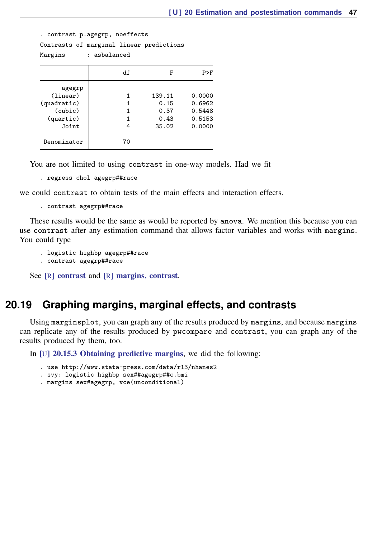| Contrasts of marginal linear predictions |              |        |        |  |  |  |  |  |
|------------------------------------------|--------------|--------|--------|--|--|--|--|--|
| Margins                                  | : asbalanced |        |        |  |  |  |  |  |
|                                          | df           | F      | P>F    |  |  |  |  |  |
| agegrp                                   |              |        |        |  |  |  |  |  |
| (linear)                                 | 1            | 139.11 | 0.0000 |  |  |  |  |  |
| (quadratic)                              | 1            | 0.15   | 0.6962 |  |  |  |  |  |
| (cubic)                                  | 1            | 0.37   | 0.5448 |  |  |  |  |  |
| (quartic)                                | 1            | 0.43   | 0.5153 |  |  |  |  |  |
| Joint                                    | 4            | 35.02  | 0.0000 |  |  |  |  |  |
| Denominator                              | 70           |        |        |  |  |  |  |  |

You are not limited to using contrast in one-way models. Had we fit

. regress chol agegrp##race

. contrast p.agegrp, noeffects

we could contrast to obtain tests of the main effects and interaction effects.

. contrast agegrp##race

These results would be the same as would be reported by anova. We mention this because you can use contrast after any estimation command that allows factor variables and works with margins. You could type

. logistic highbp agegrp##race

. contrast agegrp##race

<span id="page-46-0"></span>See [R] [contrast](http://www.stata.com/manuals13/rcontrast.pdf#rcontrast) and [R] [margins, contrast](http://www.stata.com/manuals13/rmarginscontrast.pdf#rmargins,contrast).

# **20.19 Graphing margins, marginal effects, and contrasts**

Using marginsplot, you can graph any of the results produced by margins, and because margins can replicate any of the results produced by pwcompare and contrast, you can graph any of the results produced by them, too.

In [U[\] 20.15.3 Obtaining predictive margins](#page-33-0), we did the following:

```
. use http://www.stata-press.com/data/r13/nhanes2
```

```
. svy: logistic highbp sex##agegrp##c.bmi
```
. margins sex#agegrp, vce(unconditional)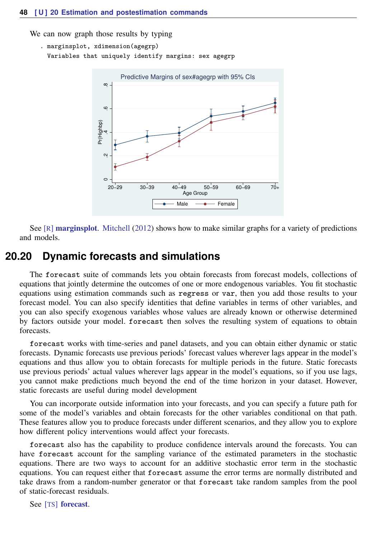We can now graph those results by typing

. marginsplot, xdimension(agegrp) Variables that uniquely identify margins: sex agegrp



<span id="page-47-0"></span>See [R] [marginsplot](http://www.stata.com/manuals13/rmarginsplot.pdf#rmarginsplot). [Mitchell](#page-62-2) [\(2012](#page-62-2)) shows how to make similar graphs for a variety of predictions and models.

# **20.20 Dynamic forecasts and simulations**

The forecast suite of commands lets you obtain forecasts from forecast models, collections of equations that jointly determine the outcomes of one or more endogenous variables. You fit stochastic equations using estimation commands such as regress or var, then you add those results to your forecast model. You can also specify identities that define variables in terms of other variables, and you can also specify exogenous variables whose values are already known or otherwise determined by factors outside your model. forecast then solves the resulting system of equations to obtain forecasts.

forecast works with time-series and panel datasets, and you can obtain either dynamic or static forecasts. Dynamic forecasts use previous periods' forecast values wherever lags appear in the model's equations and thus allow you to obtain forecasts for multiple periods in the future. Static forecasts use previous periods' actual values wherever lags appear in the model's equations, so if you use lags, you cannot make predictions much beyond the end of the time horizon in your dataset. However, static forecasts are useful during model development

You can incorporate outside information into your forecasts, and you can specify a future path for some of the model's variables and obtain forecasts for the other variables conditional on that path. These features allow you to produce forecasts under different scenarios, and they allow you to explore how different policy interventions would affect your forecasts.

forecast also has the capability to produce confidence intervals around the forecasts. You can have forecast account for the sampling variance of the estimated parameters in the stochastic equations. There are two ways to account for an additive stochastic error term in the stochastic equations. You can request either that forecast assume the error terms are normally distributed and take draws from a random-number generator or that forecast take random samples from the pool of static-forecast residuals.

See [TS] [forecast](http://www.stata.com/manuals13/tsforecast.pdf#tsforecast).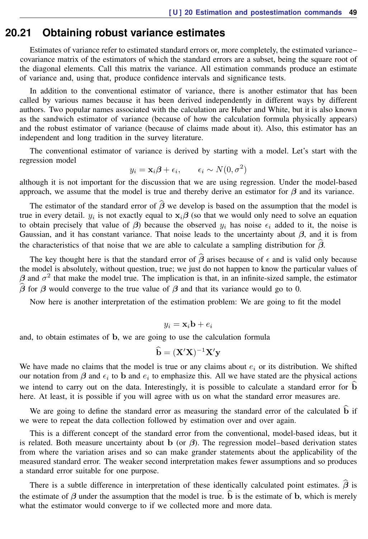# <span id="page-48-0"></span>**20.21 Obtaining robust variance estimates**

Estimates of variance refer to estimated standard errors or, more completely, the estimated variance– covariance matrix of the estimators of which the standard errors are a subset, being the square root of the diagonal elements. Call this matrix the variance. All estimation commands produce an estimate of variance and, using that, produce confidence intervals and significance tests.

In addition to the conventional estimator of variance, there is another estimator that has been called by various names because it has been derived independently in different ways by different authors. Two popular names associated with the calculation are Huber and White, but it is also known as the sandwich estimator of variance (because of how the calculation formula physically appears) and the robust estimator of variance (because of claims made about it). Also, this estimator has an independent and long tradition in the survey literature.

The conventional estimator of variance is derived by starting with a model. Let's start with the regression model

$$
y_i = \mathbf{x}_i \boldsymbol{\beta} + \epsilon_i, \qquad \epsilon_i \sim N(0, \sigma^2)
$$

although it is not important for the discussion that we are using regression. Under the model-based approach, we assume that the model is true and thereby derive an estimator for  $\beta$  and its variance.

The estimator of the standard error of  $\hat{\beta}$  we develop is based on the assumption that the model is true in every detail.  $y_i$  is not exactly equal to  $\mathbf{x}_i\boldsymbol{\beta}$  (so that we would only need to solve an equation to obtain precisely that value of  $\beta$ ) because the observed  $y_i$  has noise  $\epsilon_i$  added to it, the noise is Gaussian, and it has constant variance. That noise leads to the uncertainty about  $\beta$ , and it is from the characteristics of that noise that we are able to calculate a sampling distribution for  $\beta$ .

The key thought here is that the standard error of  $\hat{\beta}$  arises because of  $\epsilon$  and is valid only because the model is absolutely, without question, true; we just do not happen to know the particular values of  $\beta$  and  $\sigma^2$  that make the model true. The implication is that, in an infinite-sized sample, the estimator  $\hat{\beta}$  for  $\beta$  would converge to the true value of  $\beta$  and that its variance would go to 0.

Now here is another interpretation of the estimation problem: We are going to fit the model

$$
y_i = \mathbf{x}_i \mathbf{b} + e_i
$$

and, to obtain estimates of b, we are going to use the calculation formula

$$
\hat{\mathbf{b}} = (\mathbf{X}'\mathbf{X})^{-1}\mathbf{X}'\mathbf{y}
$$

We have made no claims that the model is true or any claims about  $e_i$  or its distribution. We shifted our notation from  $\beta$  and  $\epsilon_i$  to b and  $\epsilon_i$  to emphasize this. All we have stated are the physical actions we intend to carry out on the data. Interestingly, it is possible to calculate a standard error for **b** here. At least, it is possible if you will agree with us on what the standard error measures are.

We are going to define the standard error as measuring the standard error of the calculated b if we were to repeat the data collection followed by estimation over and over again.

This is a different concept of the standard error from the conventional, model-based ideas, but it is related. Both measure uncertainty about b (or  $\beta$ ). The regression model–based derivation states from where the variation arises and so can make grander statements about the applicability of the measured standard error. The weaker second interpretation makes fewer assumptions and so produces a standard error suitable for one purpose.

There is a subtle difference in interpretation of these identically calculated point estimates.  $\hat{\beta}$  is the estimate of  $\beta$  under the assumption that the model is true.  $\hat{b}$  is the estimate of b, which is merely what the estimator would converge to if we collected more and more data.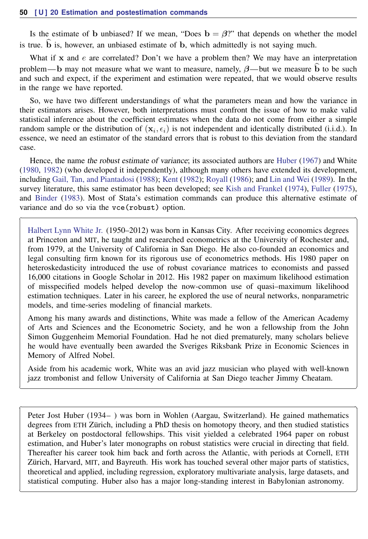Is the estimate of b unbiased? If we mean, "Does  $b = \beta$ ?" that depends on whether the model is true.  $\dot{\mathbf{b}}$  is, however, an unbiased estimate of  $\mathbf{b}$ , which admittedly is not saying much.

What if  $x$  and  $e$  are correlated? Don't we have a problem then? We may have an interpretation problem—b may not measure what we want to measure, namely,  $\beta$ —but we measure b to be such and such and expect, if the experiment and estimation were repeated, that we would observe results in the range we have reported.

So, we have two different understandings of what the parameters mean and how the variance in their estimators arises. However, both interpretations must confront the issue of how to make valid statistical inference about the coefficient estimates when the data do not come from either a simple random sample or the distribution of  $(\mathbf{x}_i, \epsilon_i)$  is not independent and identically distributed (i.i.d.). In essence, we need an estimator of the standard errors that is robust to this deviation from the standard case.

Hence, the name the robust estimate of variance; its associated authors are [Huber](#page-62-3) [\(1967](#page-62-3)) and White [\(1980](#page-62-4), [1982\)](#page-62-5) (who developed it independently), although many others have extended its development, including [Gail, Tan, and Piantadosi](#page-62-6) [\(1988](#page-62-6)); [Kent](#page-62-7) [\(1982\)](#page-62-7); [Royall](#page-62-8) ([1986\)](#page-62-8); and [Lin and Wei](#page-62-9) ([1989\)](#page-62-9). In the survey literature, this same estimator has been developed; see [Kish and Frankel](#page-62-10) ([1974\)](#page-62-10), [Fuller](#page-62-11) [\(1975](#page-62-11)), and [Binder](#page-62-12) ([1983\)](#page-62-12). Most of Stata's estimation commands can produce this alternative estimate of variance and do so via the vce(robust) option.

 $\overline{\mathcal{L}}$ 

[Halbert Lynn White Jr.](http://www.stata.com/giftshop/bookmarks/series5/white/) (1950–2012) was born in Kansas City. After receiving economics degrees at Princeton and MIT, he taught and researched econometrics at the University of Rochester and, from 1979, at the University of California in San Diego. He also co-founded an economics and legal consulting firm known for its rigorous use of econometrics methods. His 1980 paper on heteroskedasticity introduced the use of robust covariance matrices to economists and passed 16,000 citations in Google Scholar in 2012. His 1982 paper on maximum likelihood estimation of misspecified models helped develop the now-common use of quasi–maximum likelihood estimation techniques. Later in his career, he explored the use of neural networks, nonparametric models, and time-series modeling of financial markets.

Among his many awards and distinctions, White was made a fellow of the American Academy of Arts and Sciences and the Econometric Society, and he won a fellowship from the John Simon Guggenheim Memorial Foundation. Had he not died prematurely, many scholars believe he would have eventually been awarded the Sveriges Riksbank Prize in Economic Sciences in Memory of Alfred Nobel.

Aside from his academic work, White was an avid jazz musician who played with well-known jazz trombonist and fellow University of California at San Diego teacher Jimmy Cheatam.  $\overline{\phantom{a}}$   $\overline{\phantom{a}}$   $\overline{\phantom{a}}$   $\overline{\phantom{a}}$   $\overline{\phantom{a}}$   $\overline{\phantom{a}}$   $\overline{\phantom{a}}$   $\overline{\phantom{a}}$   $\overline{\phantom{a}}$   $\overline{\phantom{a}}$   $\overline{\phantom{a}}$   $\overline{\phantom{a}}$   $\overline{\phantom{a}}$   $\overline{\phantom{a}}$   $\overline{\phantom{a}}$   $\overline{\phantom{a}}$   $\overline{\phantom{a}}$   $\overline{\phantom{a}}$   $\overline{\$ 

 $\overline{\phantom{a}}$ 

Peter Jost Huber (1934– ) was born in Wohlen (Aargau, Switzerland). He gained mathematics degrees from ETH Zürich, including a PhD thesis on homotopy theory, and then studied statistics at Berkeley on postdoctoral fellowships. This visit yielded a celebrated 1964 paper on robust estimation, and Huber's later monographs on robust statistics were crucial in directing that field. Thereafter his career took him back and forth across the Atlantic, with periods at Cornell, ETH Zürich, Harvard, MIT, and Bayreuth. His work has touched several other major parts of statistics, theoretical and applied, including regression, exploratory multivariate analysis, large datasets, and statistical computing. Huber also has a major long-standing interest in Babylonian astronomy.

 $\overline{\phantom{a}}$   $\overline{\phantom{a}}$   $\overline{\phantom{a}}$   $\overline{\phantom{a}}$   $\overline{\phantom{a}}$   $\overline{\phantom{a}}$   $\overline{\phantom{a}}$   $\overline{\phantom{a}}$   $\overline{\phantom{a}}$   $\overline{\phantom{a}}$   $\overline{\phantom{a}}$   $\overline{\phantom{a}}$   $\overline{\phantom{a}}$   $\overline{\phantom{a}}$   $\overline{\phantom{a}}$   $\overline{\phantom{a}}$   $\overline{\phantom{a}}$   $\overline{\phantom{a}}$   $\overline{\$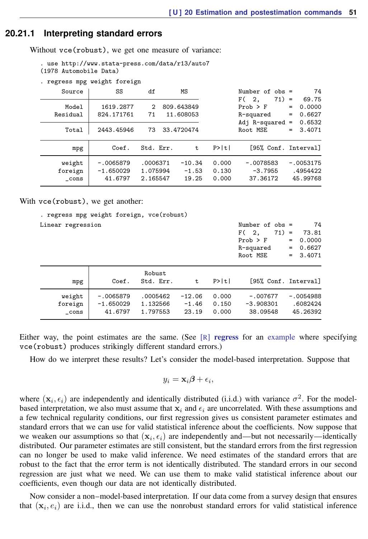#### <span id="page-50-0"></span>**20.21.1 Interpreting standard errors**

Without vce(robust), we get one measure of variance:

| . use http://www.stata-press.com/data/r13/auto7 |
|-------------------------------------------------|
| (1978 Automobile Data)                          |

. regress mpg weight foreign

| Source                    | SS                                    | df                               | ΜS                           |                         | Number of $obs =$<br>$71) =$<br>F(2,            |            | 74<br>69.75                         |
|---------------------------|---------------------------------------|----------------------------------|------------------------------|-------------------------|-------------------------------------------------|------------|-------------------------------------|
| Model<br>Residual         | 1619.2877<br>824.171761               | $\mathcal{D}$<br>71              | 809.643849<br>11.608053      |                         | $Prob$ > $F$<br>R-squared<br>Adj $R$ -squared = | $=$<br>$=$ | 0.0000<br>0.6627<br>0.6532          |
| Total                     | 2443.45946                            | 73                               | 33.4720474                   |                         | Root MSE                                        |            | $= 3.4071$                          |
| mpg                       | Coef.                                 | Std. Err.                        | t                            | P>  t                   | [95% Conf. Interval]                            |            |                                     |
| weight<br>foreign<br>cons | $-.0065879$<br>$-1.650029$<br>41.6797 | .0006371<br>1.075994<br>2.165547 | $-10.34$<br>$-1.53$<br>19.25 | 0.000<br>0.130<br>0.000 | $-.0078583$<br>$-3.7955$<br>37.36172            |            | $-.0053175$<br>.4954422<br>45.99768 |

With vce(robust), we get another:

```
. regress mpg weight foreign, vce(robust)
Linear regression \blacksquare Number of obs = 74<br>F( 2, 71) = 73.81
                                               F(2, 71) = 73.81Prob > F = 0.0000
                                               R-squared = 0.6627<br>Root MSE = 3.4071
                                               Root MSE =Robust<br>Std. Err.
       mpg Coef. Std. Err. t P>|t| [95% Conf. Interval]
     weight -.0065879 .0005462 -12.06 0.000 -.007677 -.0054988
    foreign -1.650029 1.132566 -1.46 0.150 -3.908301 .6082424
      _cons 41.6797 1.797553 23.19 0.000 38.09548 45.26392
```
Either way, the point estimates are the same. (See  $[R]$  [regress](http://www.stata.com/manuals13/rregress.pdf#rregress) for an [example](http://www.stata.com/manuals13/rregress.pdf#rregressRemarksandexamplesex5) where specifying vce(robust) produces strikingly different standard errors.)

How do we interpret these results? Let's consider the model-based interpretation. Suppose that

$$
y_i = \mathbf{x}_i \boldsymbol{\beta} + \epsilon_i,
$$

where  $(\mathbf{x}_i, \epsilon_i)$  are independently and identically distributed (i.i.d.) with variance  $\sigma^2$ . For the modelbased interpretation, we also must assume that  $x_i$  and  $\epsilon_i$  are uncorrelated. With these assumptions and a few technical regularity conditions, our first regression gives us consistent parameter estimates and standard errors that we can use for valid statistical inference about the coefficients. Now suppose that we weaken our assumptions so that  $(x_i, \epsilon_i)$  are independently and—but not necessarily—identically distributed. Our parameter estimates are still consistent, but the standard errors from the first regression can no longer be used to make valid inference. We need estimates of the standard errors that are robust to the fact that the error term is not identically distributed. The standard errors in our second regression are just what we need. We can use them to make valid statistical inference about our coefficients, even though our data are not identically distributed.

Now consider a non–model-based interpretation. If our data come from a survey design that ensures that  $(x_i, e_i)$  are i.i.d., then we can use the nonrobust standard errors for valid statistical inference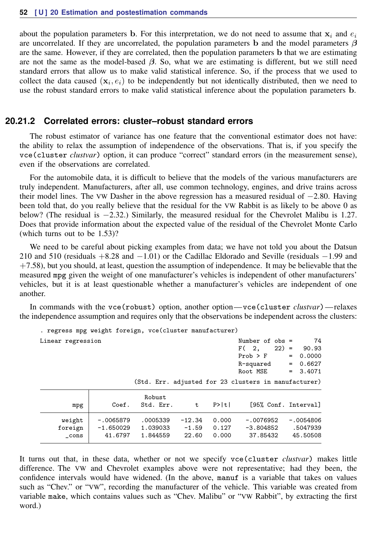about the population parameters b. For this interpretation, we do not need to assume that  $x_i$  and  $e_i$ are uncorrelated. If they are uncorrelated, the population parameters b and the model parameters  $\beta$ are the same. However, if they are correlated, then the population parameters b that we are estimating are not the same as the model-based  $\beta$ . So, what we are estimating is different, but we still need standard errors that allow us to make valid statistical inference. So, if the process that we used to collect the data caused  $(x_i, e_i)$  to be independently but not identically distributed, then we need to use the robust standard errors to make valid statistical inference about the population parameters b.

## <span id="page-51-0"></span>**20.21.2 Correlated errors: cluster–robust standard errors**

The robust estimator of variance has one feature that the conventional estimator does not have: the ability to relax the assumption of independence of the observations. That is, if you specify the vce(cluster *clustvar*) option, it can produce "correct" standard errors (in the measurement sense), even if the observations are correlated.

For the automobile data, it is difficult to believe that the models of the various manufacturers are truly independent. Manufacturers, after all, use common technology, engines, and drive trains across their model lines. The VW Dasher in the above regression has a measured residual of −2.80. Having been told that, do you really believe that the residual for the VW Rabbit is as likely to be above 0 as below? (The residual is −2.32.) Similarly, the measured residual for the Chevrolet Malibu is 1.27. Does that provide information about the expected value of the residual of the Chevrolet Monte Carlo (which turns out to be 1.53)?

We need to be careful about picking examples from data; we have not told you about the Datsun 210 and 510 (residuals +8.28 and −1.01) or the Cadillac Eldorado and Seville (residuals −1.99 and  $+7.58$ ), but you should, at least, question the assumption of independence. It may be believable that the measured mpg given the weight of one manufacturer's vehicles is independent of other manufacturers' vehicles, but it is at least questionable whether a manufacturer's vehicles are independent of one another.

In commands with the vce(robust) option, another option—vce(cluster *clustvar*)— relaxes the independence assumption and requires only that the observations be independent across the clusters:

| . regress mpg weight foreign, vce(cluster manufacturer) |                                       |                                  |                              |                         |                                                      |                                     |
|---------------------------------------------------------|---------------------------------------|----------------------------------|------------------------------|-------------------------|------------------------------------------------------|-------------------------------------|
| Linear regression                                       |                                       |                                  |                              |                         | Number of $obs =$                                    | 74                                  |
|                                                         |                                       |                                  |                              |                         | F(2,                                                 | $22$ ) = 90.93                      |
|                                                         |                                       |                                  |                              |                         | Prob > F                                             | 0.0000<br>$=$                       |
|                                                         |                                       |                                  |                              |                         | $R$ -squared $=$                                     | 0.6627                              |
|                                                         |                                       |                                  |                              |                         | Root MSE                                             | $= 3.4071$                          |
|                                                         |                                       |                                  |                              |                         | (Std. Err. adjusted for 23 clusters in manufacturer) |                                     |
| mpg                                                     | Coef.                                 | Robust<br>Std. Err. t            |                              |                         | P> t  [95% Conf. Interval]                           |                                     |
| weight<br>foreign<br>cons                               | $-.0065879$<br>$-1.650029$<br>41.6797 | .0005339<br>1.039033<br>1.844559 | $-12.34$<br>$-1.59$<br>22.60 | 0.000<br>0.127<br>0.000 | $-.0076952$<br>-3.804852<br>37.85432                 | $-.0054806$<br>.5047939<br>45.50508 |

It turns out that, in these data, whether or not we specify vce(cluster *clustvar*) makes little difference. The VW and Chevrolet examples above were not representative; had they been, the confidence intervals would have widened. (In the above, manuf is a variable that takes on values such as "Chev." or "VW", recording the manufacturer of the vehicle. This variable was created from variable make, which contains values such as "Chev. Malibu" or "VW Rabbit", by extracting the first word.)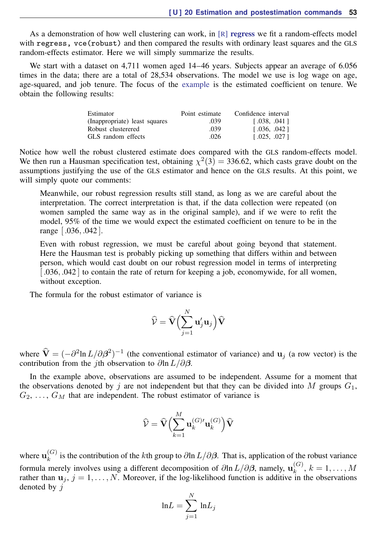As a demonstration of how well clustering can work, in [R] [regress](http://www.stata.com/manuals13/rregress.pdf#rregress) we fit a random-effects model with regress, vce(robust) and then compared the results with ordinary least squares and the GLS random-effects estimator. Here we will simply summarize the results.

We start with a dataset on 4,711 women aged 14–46 years. Subjects appear an average of 6.056 times in the data; there are a total of 28,534 observations. The model we use is log wage on age, age-squared, and job tenure. The focus of the [example](http://www.stata.com/manuals13/rregress.pdf#rregressRemarksandexamplesex7) is the estimated coefficient on tenure. We obtain the following results:

| Estimator                     | Point estimate | Confidence interval |
|-------------------------------|----------------|---------------------|
| (Inappropriate) least squares | .039           | $1.038, .041$ ]     |
| Robust clusterered            | .039           | 1.036, .0421        |
| GLS random effects            | .026           | 1.025.0271          |

Notice how well the robust clustered estimate does compared with the GLS random-effects model. We then run a Hausman specification test, obtaining  $\chi^2(3) = 336.62$ , which casts grave doubt on the assumptions justifying the use of the GLS estimator and hence on the GLS results. At this point, we will simply quote our comments:

Meanwhile, our robust regression results still stand, as long as we are careful about the interpretation. The correct interpretation is that, if the data collection were repeated (on women sampled the same way as in the original sample), and if we were to refit the model, 95% of the time we would expect the estimated coefficient on tenure to be in the range [ .036, .042 ].

Even with robust regression, we must be careful about going beyond that statement. Here the Hausman test is probably picking up something that differs within and between person, which would cast doubt on our robust regression model in terms of interpreting [.036, .042] to contain the rate of return for keeping a job, economywide, for all women, without exception.

The formula for the robust estimator of variance is

$$
\widehat{\mathcal{V}} = \widehat{\mathbf{V}} \Bigl( \sum_{j=1}^N \mathbf{u}_j' \mathbf{u}_j \Bigr) \widehat{\mathbf{V}}
$$

where  $\hat{\mathbf{V}} = (-\partial^2 \ln L/\partial \beta^2)^{-1}$  (the conventional estimator of variance) and  $\mathbf{u}_j$  (a row vector) is the contribution from the jth observation to  $\partial \ln L / \partial \beta$ .

In the example above, observations are assumed to be independent. Assume for a moment that the observations denoted by j are not independent but that they can be divided into M groups  $G_1$ ,  $G_2, \ldots, G_M$  that are independent. The robust estimator of variance is

$$
\widehat{\mathcal{V}} = \widehat{\mathbf{V}} \Bigl( \sum_{k=1}^M \mathbf{u}_k^{(G)\prime} \mathbf{u}_k^{(G)} \Bigr) \widehat{\mathbf{V}}
$$

where  $\mathbf{u}_k^{(G)}$  $\kappa_k^{(G)}$  is the contribution of the *k*th group to ∂ln  $L/\partial\beta$ . That is, application of the robust variance formula merely involves using a different decomposition of  $\partial \ln L / \partial \beta$ , namely,  $\mathbf{u}_k^{(G)}$  $k^{(G)}$ ,  $k = 1, ..., M$ rather than  $\mathbf{u}_j$ ,  $j = 1, ..., N$ . Moreover, if the log-likelihood function is additive in the observations denoted by  $j$ 

$$
\ln L = \sum_{j=1}^{N} \ln L_j
$$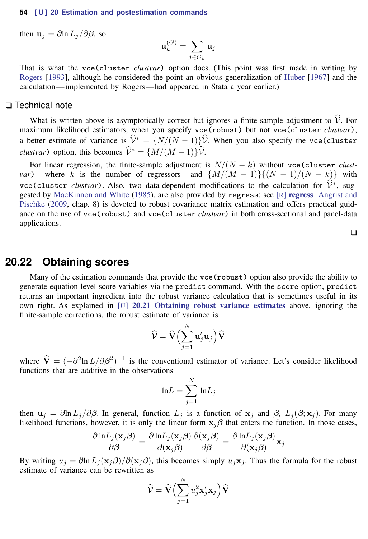then  $\mathbf{u}_i = \partial \ln L_i / \partial \beta$ , so

$$
\mathbf{u}_k^{(G)} = \sum_{j \in G_k} \mathbf{u}_j
$$

That is what the vce(cluster *clustvar*) option does. (This point was first made in writing by [Rogers](#page-62-13) [[1993\]](#page-62-13), although he considered the point an obvious generalization of [Huber](#page-62-3) [\[1967](#page-62-3)] and the calculation—implemented by Rogers— had appeared in Stata a year earlier.)

#### □ Technical note

What is written above is asymptotically correct but ignores a finite-sample adjustment to  $\hat{V}$ . For maximum likelihood estimators, when you specify vce(robust) but not vce(cluster *clustvar*), a better estimate of variance is  $\hat{V}^* = \{N/(N-1)\}\hat{V}$ . When you also specify the vce(cluster *clustvar*) option, this becomes  $\hat{V}^* = \{M/(M-1)\}\hat{V}$ .

For linear regression, the finite-sample adjustment is  $N/(N - k)$  without vce(cluster *clustvar*)—where  $\tilde{k}$  is the number of regressors—and  $\{M/(M-1)\}\{(N-1)/(N-k)\}\$  with vce (cluster *clustvar*). Also, two data-dependent modifications to the calculation for  $\hat{\mathcal{V}}^*$ , sug-<br>casted by Mac*Vinnes* and White (1095), are also requided by using such as [p] negrecs. Aposiational gested by [MacKinnon and White](#page-62-14) ([1985\)](#page-62-14), are also provided by regress; see [R] [regress](http://www.stata.com/manuals13/rregress.pdf#rregress). [Angrist and](#page-62-15) [Pischke](#page-62-15) ([2009,](#page-62-15) chap. 8) is devoted to robust covariance matrix estimation and offers practical guidance on the use of vce(robust) and vce(cluster *clustvar*) in both cross-sectional and panel-data applications.

 $\Box$ 

# <span id="page-53-0"></span>**20.22 Obtaining scores**

Many of the estimation commands that provide the vce (robust) option also provide the ability to generate equation-level score variables via the predict command. With the score option, predict returns an important ingredient into the robust variance calculation that is sometimes useful in its own right. As explained in  $[U]$  20.21 Obtaining robust variance estimates above, ignoring the finite-sample corrections, the robust estimate of variance is

$$
\widehat{\mathcal{V}} = \widehat{\mathbf{V}} \Bigl( \sum_{j=1}^N \mathbf{u}_j' \mathbf{u}_j \Bigr) \widehat{\mathbf{V}}
$$

where  $\hat{\mathbf{V}} = (-\partial^2 \ln L/\partial \beta^2)^{-1}$  is the conventional estimator of variance. Let's consider likelihood functions that are additive in the observations

$$
\ln L = \sum_{j=1}^{N} \ln L_j
$$

then  $\mathbf{u}_i = \partial \ln L_i / \partial \beta$ . In general, function  $L_i$  is a function of  $\mathbf{x}_i$  and  $\beta$ ,  $L_i(\beta; \mathbf{x}_i)$ . For many likelihood functions, however, it is only the linear form  $x_i\beta$  that enters the function. In those cases,

$$
\frac{\partial \ln L_j(\mathbf{x}_j \boldsymbol{\beta})}{\partial \boldsymbol{\beta}} = \frac{\partial \ln L_j(\mathbf{x}_j \boldsymbol{\beta})}{\partial (\mathbf{x}_j \boldsymbol{\beta})} \frac{\partial (\mathbf{x}_j \boldsymbol{\beta})}{\partial \boldsymbol{\beta}} = \frac{\partial \ln L_j(\mathbf{x}_j \boldsymbol{\beta})}{\partial (\mathbf{x}_j \boldsymbol{\beta})} \mathbf{x}_j
$$

By writing  $u_j = \partial \ln L_j(\mathbf{x}_j \partial)/\partial(\mathbf{x}_j \partial)$ , this becomes simply  $u_j \mathbf{x}_j$ . Thus the formula for the robust estimate of variance can be rewritten as

$$
\widehat{\mathbf{V}} = \widehat{\mathbf{V}} \Bigl( \sum_{j=1}^N u_j^2 \mathbf{x}_j' \mathbf{x}_j \Bigr) \widehat{\mathbf{V}}
$$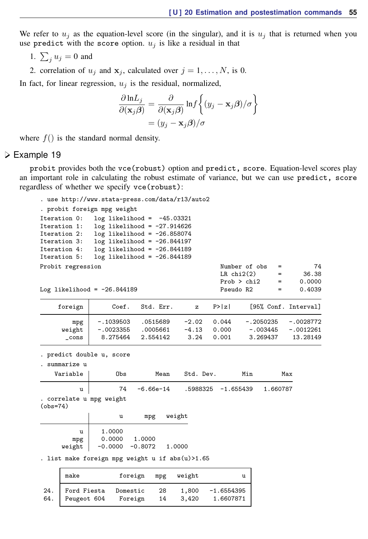We refer to  $u_i$  as the equation-level score (in the singular), and it is  $u_i$  that is returned when you use predict with the score option.  $u_j$  is like a residual in that

1.  $\sum_{j} u_j = 0$  and

2. correlation of  $u_j$  and  $x_j$ , calculated over  $j = 1, \ldots, N$ , is 0.

In fact, for linear regression,  $u_i$  is the residual, normalized,

$$
\frac{\partial \ln L_j}{\partial (\mathbf{x}_j \beta)} = \frac{\partial}{\partial (\mathbf{x}_j \beta)} \ln f \left\{ (y_j - \mathbf{x}_j \beta) / \sigma \right\}
$$

$$
= (y_j - \mathbf{x}_j \beta) / \sigma
$$

where  $f()$  is the standard normal density.

## Example 19

probit provides both the vce(robust) option and predict, score. Equation-level scores play an important role in calculating the robust estimate of variance, but we can use predict, score regardless of whether we specify vce(robust):

| . use http://www.stata-press.com/data/r13/auto2     |             |                                 |           |           |                 |             |                      |
|-----------------------------------------------------|-------------|---------------------------------|-----------|-----------|-----------------|-------------|----------------------|
| . probit foreign mpg weight                         |             |                                 |           |           |                 |             |                      |
| Iteration 0:                                        |             | $log$ likelihood = $-45.03321$  |           |           |                 |             |                      |
| Iteration 1:                                        |             | $log$ likelihood = -27.914626   |           |           |                 |             |                      |
| Iteration 2:                                        |             | $log$ likelihood = -26.858074   |           |           |                 |             |                      |
| Iteration 3:                                        |             | $log$ likelihood = -26.844197   |           |           |                 |             |                      |
| Iteration 4:                                        |             | $log$ likelihood = -26.844189   |           |           |                 |             |                      |
| Iteration 5:                                        |             | $log$ likelihood = $-26.844189$ |           |           |                 |             |                      |
| Probit regression                                   |             |                                 |           |           | Number of obs   | $=$         | 74                   |
|                                                     |             |                                 |           |           | $LR$ chi $2(2)$ | $=$         | 36.38                |
|                                                     |             |                                 |           |           | Prob > chi2     | =           | 0.0000               |
| Log likelihood = $-26.844189$                       |             |                                 |           | Pseudo R2 |                 | $=$         | 0.4039               |
| foreign                                             | Coef.       | Std. Err.                       | z         | P >  z    |                 |             | [95% Conf. Interval] |
| mpg                                                 | $-.1039503$ | .0515689                        | $-2.02$   | 0.044     |                 | $-.2050235$ | $-.0028772$          |
| weight                                              | $-.0023355$ | .0005661                        | $-4.13$   | 0.000     |                 | $-.003445$  | $-.0012261$          |
| $\_cons$                                            | 8.275464    | 2.554142                        | 3.24      | 0.001     |                 | 3.269437    | 13.28149             |
| . predict double u, score                           |             |                                 |           |           |                 |             |                      |
| . summarize u                                       |             |                                 |           |           |                 |             |                      |
| Variable                                            | Obs         | Mean                            | Std. Dev. |           | Min             |             | Max                  |
| u                                                   | 74          | $-6.66e-14$                     | .5988325  |           | -1.655439       | 1.660787    |                      |
| . correlate u mpg weight<br>$(obs=74)$              |             |                                 |           |           |                 |             |                      |
|                                                     | u           | weight<br>mpg                   |           |           |                 |             |                      |
| u                                                   | 1.0000      |                                 |           |           |                 |             |                      |
| mpg                                                 | 0.0000      | 1.0000                          |           |           |                 |             |                      |
| weight                                              | $-0.0000$   | $-0.8072$<br>1.0000             |           |           |                 |             |                      |
| . list make foreign mpg weight u if $abs(u) > 1.65$ |             |                                 |           |           |                 |             |                      |
| make                                                | foreign     | mpg                             | weight    |           | u               |             |                      |

| make                                                | foreign mpg weight |          |                |                           |
|-----------------------------------------------------|--------------------|----------|----------------|---------------------------|
| 24. Ford Fiesta Domestic<br>64. Peugeot 604 Foreign |                    | 28<br>14 | 1,800<br>3.420 | $-1.6554395$<br>1.6607871 |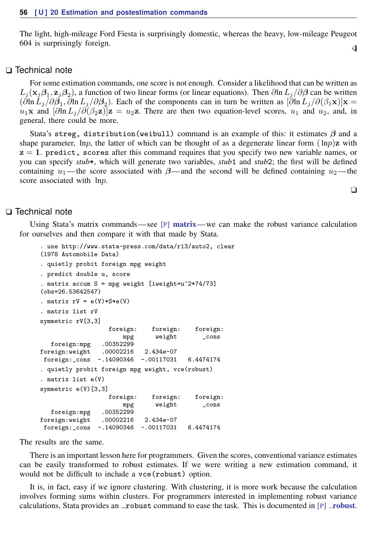The light, high-mileage Ford Fiesta is surprisingly domestic, whereas the heavy, low-mileage Peugeot 604 is surprisingly foreign. ◁

#### □ Technical note

For some estimation commands, one score is not enough. Consider a likelihood that can be written as  $L_j$ ( $\mathbf{x}_j \beta_1, \mathbf{z}_j \beta_2$ ), a function of two linear forms (or linear equations). Then ∂ln  $L_j/\partial \beta$  can be written  $(\partial \ln L_j/\partial \beta_1, \partial \ln L_j/\partial \beta_2)$ . Each of the components can in turn be written as  $[\partial \ln L_j/\partial(\beta_1 \mathbf{x})] \mathbf{x} =$  $u_1$ **x** and  $[\partial \ln L_i/\partial(\beta_2 z)]z = u_2z$ . There are then two equation-level scores,  $u_1$  and  $u_2$ , and, in general, there could be more.

Stata's streg, distribution(weibull) command is an example of this: it estimates  $\beta$  and a shape parameter, lnp, the latter of which can be thought of as a degenerate linear form (lnp)z with  $z = 1$ . predict, scores after this command requires that you specify two new variable names, or you can specify *stub*\*, which will generate two variables, *stub*1 and *stub*2; the first will be defined containing  $u_1$ —the score associated with  $\beta$ —and the second will be defined containing  $u_2$ —the score associated with  $ln p$ .

 $\Box$ 

## □ Technical note

Using Stata's [matrix](http://www.stata.com/manuals13/pmatrix.pdf#pmatrix) commands—see  $[P]$  matrix—we can make the robust variance calculation for ourselves and then compare it with that made by Stata.

```
. use http://www.stata-press.com/data/r13/auto2, clear
(1978 Automobile Data)
. quietly probit foreign mpg weight
. predict double u, score
. matrix accum S = mpg weight [iweight=u^2*74/73]
(obs=26.53642547)
. matrix rV = e(V) * S * e(V). matrix list rV
symmetric rV[3,3]
                  foreign: foreign: foreign:
                mpg weight _{cons}foreign:mpg .00352299
foreign:weight .00002216 2.434e-07
 foreign:_cons -.14090346 -.00117031 6.4474174
. quietly probit foreign mpg weight, vce(robust)
. matrix list e(V)
symmetric e(V)[3,3]
                  foreign: foreign: foreign:<br>mpg weight cons
                mpg weight<br>.00352299
   foreign:mpg .00352299
foreign:weight .00002216 2.434e-07
 foreign:_cons -.14090346 -.00117031 6.4474174
```
The results are the same.

There is an important lesson here for programmers. Given the scores, conventional variance estimates can be easily transformed to robust estimates. If we were writing a new estimation command, it would not be difficult to include a vce(robust) option.

It is, in fact, easy if we ignore clustering. With clustering, it is more work because the calculation involves forming sums within clusters. For programmers interested in implementing robust variance calculations, Stata provides an [robust](http://www.stata.com/manuals13/p_robust.pdf#p_robust) command to ease the task. This is documented in  $[P]$  robust.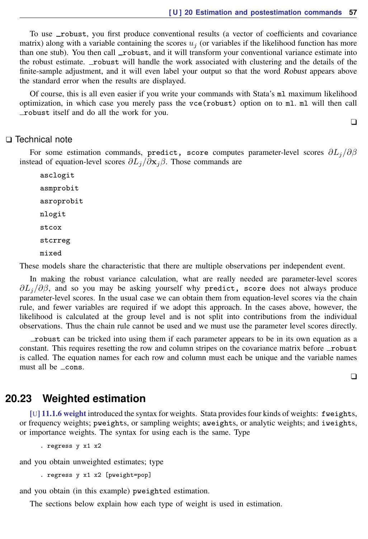To use \_robust, you first produce conventional results (a vector of coefficients and covariance matrix) along with a variable containing the scores  $u_i$  (or variables if the likelihood function has more than one stub). You then call robust, and it will transform your conventional variance estimate into the robust estimate. \_robust will handle the work associated with clustering and the details of the finite-sample adjustment, and it will even label your output so that the word Robust appears above the standard error when the results are displayed.

Of course, this is all even easier if you write your commands with Stata's ml maximum likelihood optimization, in which case you merely pass the vce(robust) option on to ml. ml will then call robust itself and do all the work for you.

 $\Box$ 

#### □ Technical note

For some estimation commands, predict, score computes parameter-level scores  $\partial L_i/\partial \beta$ instead of equation-level scores  $\partial L_j/\partial \mathbf{x}_i\beta$ . Those commands are

asclogit asmprobit asroprobit nlogit stcox stcrreg mixed

These models share the characteristic that there are multiple observations per independent event.

In making the robust variance calculation, what are really needed are parameter-level scores  $\partial L_i/\partial \beta$ , and so you may be asking yourself why predict, score does not always produce parameter-level scores. In the usual case we can obtain them from equation-level scores via the chain rule, and fewer variables are required if we adopt this approach. In the cases above, however, the likelihood is calculated at the group level and is not split into contributions from the individual observations. Thus the chain rule cannot be used and we must use the parameter level scores directly.

robust can be tricked into using them if each parameter appears to be in its own equation as a constant. This requires resetting the row and column stripes on the covariance matrix before \_robust is called. The equation names for each row and column must each be unique and the variable names must all be cons.

 $\Box$ 

# <span id="page-56-0"></span>**20.23 Weighted estimation**

[U[\] 11.1.6 weight](http://www.stata.com/manuals13/u11.pdf#u11.1.6weight) introduced the syntax for weights. Stata provides four kinds of weights: fweights, or frequency weights; pweights, or sampling weights; aweights, or analytic weights; and iweights, or importance weights. The syntax for using each is the same. Type

```
. regress y x1 x2
```
and you obtain unweighted estimates; type

```
. regress y x1 x2 [pweight=pop]
```
and you obtain (in this example) pweighted estimation.

The sections below explain how each type of weight is used in estimation.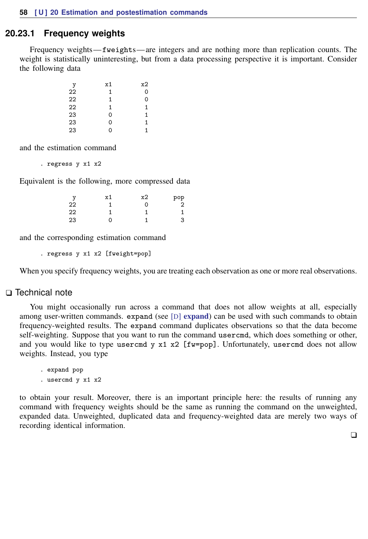## <span id="page-57-0"></span>**20.23.1 Frequency weights**

Frequency weights—fweights—are integers and are nothing more than replication counts. The weight is statistically uninteresting, but from a data processing perspective it is important. Consider the following data

| y  | x1 | x2 |
|----|----|----|
| 22 |    | 0  |
| 22 | 1  | 0  |
| 22 | 1  | 1  |
| 23 | 0  | 1  |
| 23 | 0  | 1  |
| 23 | 0  | 1  |
|    |    |    |

and the estimation command

. regress y x1 x2

Equivalent is the following, more compressed data

| x1 | х2 | pop |
|----|----|-----|
|    | Ω  | 2   |
|    |    |     |
|    |    | 3   |
|    |    |     |

and the corresponding estimation command

. regress y x1 x2 [fweight=pop]

When you specify frequency weights, you are treating each observation as one or more real observations.

## □ Technical note

You might occasionally run across a command that does not allow weights at all, especially among user-written commands. [expand](http://www.stata.com/manuals13/dexpand.pdf#dexpand) (see  $[D]$  expand) can be used with such commands to obtain frequency-weighted results. The expand command duplicates observations so that the data become self-weighting. Suppose that you want to run the command usercmd, which does something or other, and you would like to type usercmd  $y \times 1 \times 2$  [fw=pop]. Unfortunately, usercmd does not allow weights. Instead, you type

. expand pop . usercmd y x1 x2

to obtain your result. Moreover, there is an important principle here: the results of running any command with frequency weights should be the same as running the command on the unweighted, expanded data. Unweighted, duplicated data and frequency-weighted data are merely two ways of recording identical information.

 $\Box$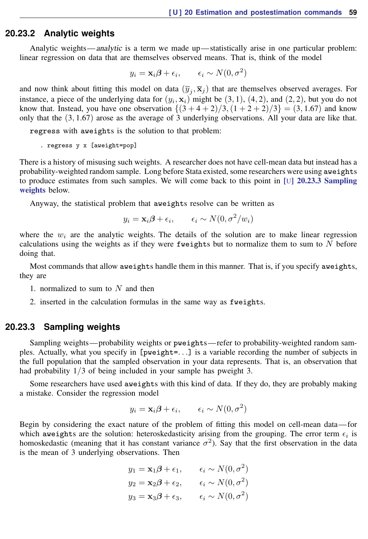## <span id="page-58-0"></span>**20.23.2 Analytic weights**

Analytic weights—analytic is a term we made up— statistically arise in one particular problem: linear regression on data that are themselves observed means. That is, think of the model

$$
y_i = \mathbf{x}_i \boldsymbol{\beta} + \epsilon_i, \qquad \epsilon_i \sim N(0, \sigma^2)
$$

and now think about fitting this model on data  $(\overline{y}_j, \overline{x}_j)$  that are themselves observed averages. For instance, a piece of the underlying data for  $(y_i, \mathbf{x}_i)$  might be  $(3, 1)$ ,  $(4, 2)$ , and  $(2, 2)$ , but you do not know that. Instead, you have one observation  $\{(3+4+2)/3, (1+2+2)/3\} = (3, 1.67)$  and know only that the  $(3, 1.67)$  arose as the average of 3 underlying observations. All your data are like that.

regress with aweights is the solution to that problem:

. regress y x [aweight=pop]

There is a history of misusing such weights. A researcher does not have cell-mean data but instead has a probability-weighted random sample. Long before Stata existed, some researchers were using aweights to produce estimates from such samples. We will come back to this point in  $\text{[U]}$  20.23.3 Sampling [weights](#page-58-1) below.

Anyway, the statistical problem that aweights resolve can be written as

$$
y_i = \mathbf{x}_i \boldsymbol{\beta} + \epsilon_i, \qquad \epsilon_i \sim N(0, \sigma^2/w_i)
$$

where the  $w_i$  are the analytic weights. The details of the solution are to make linear regression calculations using the weights as if they were fweights but to normalize them to sum to  $N$  before doing that.

Most commands that allow aweights handle them in this manner. That is, if you specify aweights, they are

1. normalized to sum to  $N$  and then

<span id="page-58-1"></span>2. inserted in the calculation formulas in the same way as fweights.

## **20.23.3 Sampling weights**

Sampling weights— probability weights or pweights— refer to probability-weighted random samples. Actually, what you specify in [pweight=. . .] is a variable recording the number of subjects in the full population that the sampled observation in your data represents. That is, an observation that had probability  $1/3$  of being included in your sample has pweight 3.

Some researchers have used aweights with this kind of data. If they do, they are probably making a mistake. Consider the regression model

$$
y_i = \mathbf{x}_i \boldsymbol{\beta} + \epsilon_i, \qquad \epsilon_i \sim N(0, \sigma^2)
$$

Begin by considering the exact nature of the problem of fitting this model on cell-mean data— for which aweights are the solution: heteroskedasticity arising from the grouping. The error term  $\epsilon_i$  is homoskedastic (meaning that it has constant variance  $\sigma^2$ ). Say that the first observation in the data is the mean of 3 underlying observations. Then

$$
y_1 = \mathbf{x}_1 \boldsymbol{\beta} + \epsilon_1, \qquad \epsilon_i \sim N(0, \sigma^2)
$$
  
\n
$$
y_2 = \mathbf{x}_2 \boldsymbol{\beta} + \epsilon_2, \qquad \epsilon_i \sim N(0, \sigma^2)
$$
  
\n
$$
y_3 = \mathbf{x}_3 \boldsymbol{\beta} + \epsilon_3, \qquad \epsilon_i \sim N(0, \sigma^2)
$$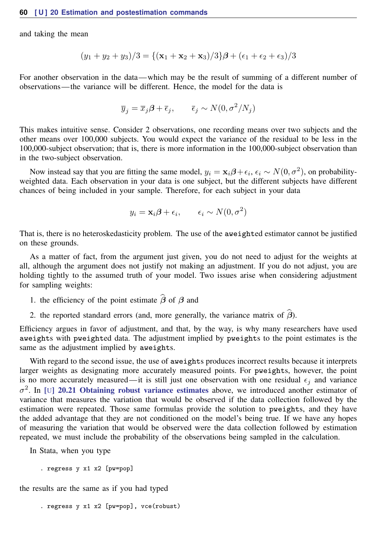and taking the mean

$$
(y_1 + y_2 + y_3)/3 = \{(\mathbf{x}_1 + \mathbf{x}_2 + \mathbf{x}_3)/3\}\boldsymbol{\beta} + (\epsilon_1 + \epsilon_2 + \epsilon_3)/3
$$

For another observation in the data—which may be the result of summing of a different number of observations—the variance will be different. Hence, the model for the data is

$$
\overline{y}_j = \overline{x}_j \beta + \overline{\epsilon}_j, \qquad \overline{\epsilon}_j \sim N(0, \sigma^2/N_j)
$$

This makes intuitive sense. Consider 2 observations, one recording means over two subjects and the other means over 100,000 subjects. You would expect the variance of the residual to be less in the 100,000-subject observation; that is, there is more information in the 100,000-subject observation than in the two-subject observation.

Now instead say that you are fitting the same model,  $y_i = x_i \beta + \epsilon_i$ ,  $\epsilon_i \sim N(0, \sigma^2)$ , on probabilityweighted data. Each observation in your data is one subject, but the different subjects have different chances of being included in your sample. Therefore, for each subject in your data

 $y_i = \mathbf{x}_i \boldsymbol{\beta} + \epsilon_i, \qquad \epsilon_i \sim N(0, \sigma^2)$ 

That is, there is no heteroskedasticity problem. The use of the aweighted estimator cannot be justified on these grounds.

As a matter of fact, from the argument just given, you do not need to adjust for the weights at all, although the argument does not justify not making an adjustment. If you do not adjust, you are holding tightly to the assumed truth of your model. Two issues arise when considering adjustment for sampling weights:

- 1. the efficiency of the point estimate  $\hat{\boldsymbol{\beta}}$  of  $\boldsymbol{\beta}$  and
- 2. the reported standard errors (and, more generally, the variance matrix of  $\hat{\beta}$ ).

Efficiency argues in favor of adjustment, and that, by the way, is why many researchers have used aweights with pweighted data. The adjustment implied by pweights to the point estimates is the same as the adjustment implied by aweights.

With regard to the second issue, the use of aweights produces incorrect results because it interprets larger weights as designating more accurately measured points. For pweights, however, the point is no more accurately measured—it is still just one observation with one residual  $\epsilon_i$  and variance  $\sigma^2$ . In [U[\] 20.21 Obtaining robust variance estimates](#page-48-0) above, we introduced another estimator of variance that measures the variation that would be observed if the data collection followed by the estimation were repeated. Those same formulas provide the solution to pweights, and they have the added advantage that they are not conditioned on the model's being true. If we have any hopes of measuring the variation that would be observed were the data collection followed by estimation repeated, we must include the probability of the observations being sampled in the calculation.

In Stata, when you type

. regress y x1 x2 [pw=pop]

the results are the same as if you had typed

. regress y x1 x2 [pw=pop], vce(robust)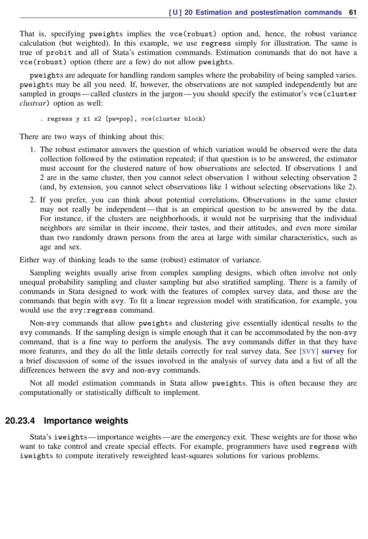That is, specifying pweights implies the vce(robust) option and, hence, the robust variance calculation (but weighted). In this example, we use regress simply for illustration. The same is true of probit and all of Stata's estimation commands. Estimation commands that do not have a vce(robust) option (there are a few) do not allow pweights.

pweights are adequate for handling random samples where the probability of being sampled varies. pweights may be all you need. If, however, the observations are not sampled independently but are sampled in groups—called clusters in the jargon—you should specify the estimator's vce (cluster *clustvar*) option as well:

. regress y x1 x2 [pw=pop], vce(cluster block)

There are two ways of thinking about this:

- 1. The robust estimator answers the question of which variation would be observed were the data collection followed by the estimation repeated; if that question is to be answered, the estimator must account for the clustered nature of how observations are selected. If observations 1 and 2 are in the same cluster, then you cannot select observation 1 without selecting observation 2 (and, by extension, you cannot select observations like 1 without selecting observations like 2).
- 2. If you prefer, you can think about potential correlations. Observations in the same cluster may not really be independent—that is an empirical question to be answered by the data. For instance, if the clusters are neighborhoods, it would not be surprising that the individual neighbors are similar in their income, their tastes, and their attitudes, and even more similar than two randomly drawn persons from the area at large with similar characteristics, such as age and sex.

Either way of thinking leads to the same (robust) estimator of variance.

Sampling weights usually arise from complex sampling designs, which often involve not only unequal probability sampling and cluster sampling but also stratified sampling. There is a family of commands in Stata designed to work with the features of complex survey data, and those are the commands that begin with svy. To fit a linear regression model with stratification, for example, you would use the svy:regress command.

Non-svy commands that allow pweights and clustering give essentially identical results to the svy commands. If the sampling design is simple enough that it can be accommodated by the non-svy command, that is a fine way to perform the analysis. The svy commands differ in that they have more features, and they do all the little details correctly for real survey data. See [SVY] [survey](http://www.stata.com/manuals13/svysurvey.pdf#svysurvey) for a brief discussion of some of the issues involved in the analysis of survey data and a list of all the differences between the svy and non-svy commands.

<span id="page-60-0"></span>Not all model estimation commands in Stata allow pweights. This is often because they are computationally or statistically difficult to implement.

#### **20.23.4 Importance weights**

Stata's iweights—importance weights—are the emergency exit. These weights are for those who want to take control and create special effects. For example, programmers have used regress with iweights to compute iteratively reweighted least-squares solutions for various problems.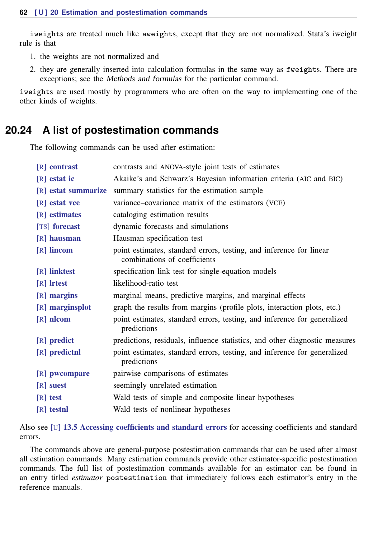iweights are treated much like aweights, except that they are not normalized. Stata's iweight rule is that

- 1. the weights are not normalized and
- 2. they are generally inserted into calculation formulas in the same way as fweights. There are exceptions; see the Methods and formulas for the particular command.

<span id="page-61-0"></span>iweights are used mostly by programmers who are often on the way to implementing one of the other kinds of weights.

# **20.24 A list of postestimation commands**

The following commands can be used after estimation:

| $[R]$ contrast        | contrasts and ANOVA-style joint tests of estimates                                                  |
|-----------------------|-----------------------------------------------------------------------------------------------------|
| $[R]$ estat ic        | Akaike's and Schwarz's Bayesian information criteria (AIC and BIC)                                  |
| $[R]$ estat summarize | summary statistics for the estimation sample                                                        |
| $[R]$ estat vce       | variance-covariance matrix of the estimators (VCE)                                                  |
| $[R]$ estimates       | cataloging estimation results                                                                       |
| [TS] forecast         | dynamic forecasts and simulations                                                                   |
| $[R]$ hausman         | Hausman specification test                                                                          |
| $[R]$ lincom          | point estimates, standard errors, testing, and inference for linear<br>combinations of coefficients |
| $[R]$ linktest        | specification link test for single-equation models                                                  |
| $[R]$ Irtest          | likelihood-ratio test                                                                               |
| $[R]$ margins         | marginal means, predictive margins, and marginal effects                                            |
| $[R]$ marginsplot     | graph the results from margins (profile plots, interaction plots, etc.)                             |
| $[R]$ nlcom           | point estimates, standard errors, testing, and inference for generalized<br>predictions             |
| [R] predict           | predictions, residuals, influence statistics, and other diagnostic measures                         |
| $[R]$ predictnl       | point estimates, standard errors, testing, and inference for generalized<br>predictions             |
| [R] pwcompare         | pairwise comparisons of estimates                                                                   |
| $[R]$ suest           | seemingly unrelated estimation                                                                      |
| $[R]$ test            | Wald tests of simple and composite linear hypotheses                                                |
| $[R]$ testnl          | Wald tests of nonlinear hypotheses                                                                  |
|                       |                                                                                                     |

Also see [U[\] 13.5 Accessing coefficients and standard errors](http://www.stata.com/manuals13/u13.pdf#u13.5Accessingcoefficientsandstandarderrors) for accessing coefficients and standard errors.

The commands above are general-purpose postestimation commands that can be used after almost all estimation commands. Many estimation commands provide other estimator-specific postestimation commands. The full list of postestimation commands available for an estimator can be found in an entry titled *estimator* postestimation that immediately follows each estimator's entry in the reference manuals.